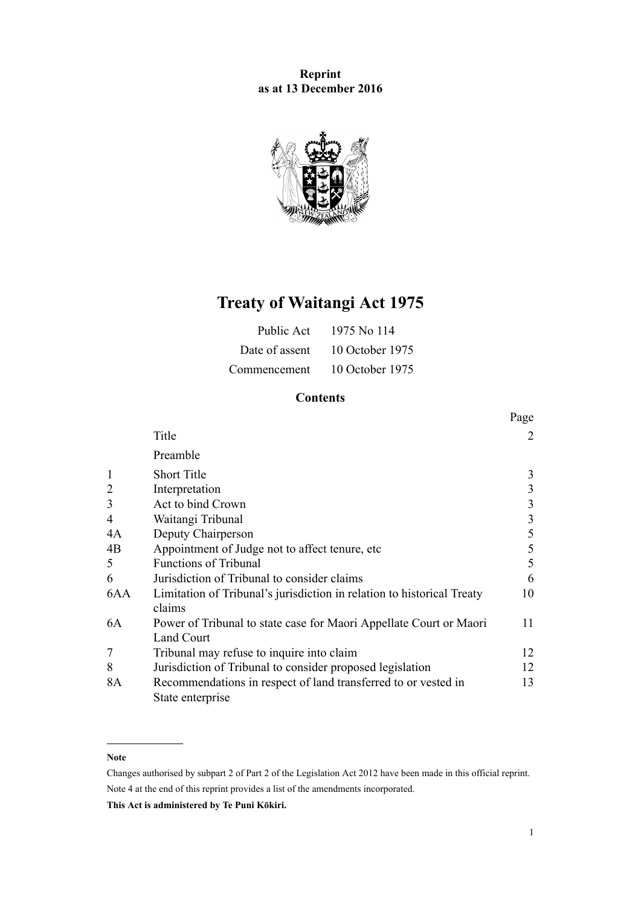# **Reprint as at 13 December 2016**



# **Treaty of Waitangi Act 1975**

| Public Act     | 1975 No 114     |
|----------------|-----------------|
| Date of assent | 10 October 1975 |
| Commencement   | 10 October 1975 |

# **Contents**

|                |                                                                                    | Page           |
|----------------|------------------------------------------------------------------------------------|----------------|
|                | Title                                                                              | $\overline{2}$ |
|                | Preamble                                                                           |                |
| 1              | <b>Short Title</b>                                                                 | 3              |
| $\overline{2}$ | Interpretation                                                                     | 3              |
| 3              | Act to bind Crown                                                                  | 3              |
| $\overline{4}$ | Waitangi Tribunal                                                                  | 3              |
| 4A             | Deputy Chairperson                                                                 | 5              |
| 4B             | Appointment of Judge not to affect tenure, etc.                                    | 5              |
| 5              | <b>Functions of Tribunal</b>                                                       | 5              |
| 6              | Jurisdiction of Tribunal to consider claims                                        | 6              |
| 6AA            | Limitation of Tribunal's jurisdiction in relation to historical Treaty<br>claims   | 10             |
| 6A             | Power of Tribunal to state case for Maori Appellate Court or Maori<br>Land Court   | 11             |
| 7              | Tribunal may refuse to inquire into claim                                          | 12             |
| 8              | Jurisdiction of Tribunal to consider proposed legislation                          | 12             |
| 8A             | Recommendations in respect of land transferred to or vested in<br>State enterprise | 13             |

# **Note**

Changes authorised by [subpart 2](http://prd-lgnz-nlb.prd.pco.net.nz/pdflink.aspx?id=DLM2998524) of Part 2 of the Legislation Act 2012 have been made in this official reprint. Note 4 at the end of this reprint provides a list of the amendments incorporated.

**This Act is administered by Te Puni Kōkiri.**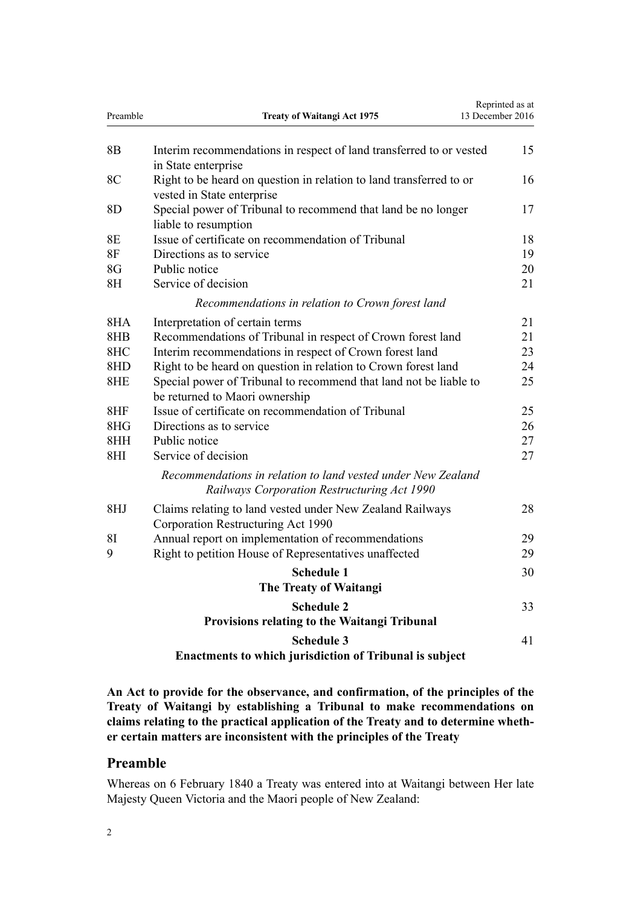<span id="page-1-0"></span>

| Preamble       | <b>Treaty of Waitangi Act 1975</b>                                                                          | Reprinted as at<br>13 December 2016 |
|----------------|-------------------------------------------------------------------------------------------------------------|-------------------------------------|
| 8 <sub>B</sub> | Interim recommendations in respect of land transferred to or vested<br>in State enterprise                  | 15                                  |
| 8C             | Right to be heard on question in relation to land transferred to or<br>vested in State enterprise           | 16                                  |
| 8D             | Special power of Tribunal to recommend that land be no longer<br>liable to resumption                       | 17                                  |
| <b>8E</b>      | Issue of certificate on recommendation of Tribunal                                                          | 18                                  |
| <b>8F</b>      | Directions as to service                                                                                    | 19                                  |
| 8G             | Public notice                                                                                               | 20                                  |
| 8 <sub>H</sub> | Service of decision                                                                                         | 21                                  |
|                | Recommendations in relation to Crown forest land                                                            |                                     |
| 8HA            | Interpretation of certain terms                                                                             | 21                                  |
| 8HB            | Recommendations of Tribunal in respect of Crown forest land                                                 | 21                                  |
| 8HC            | Interim recommendations in respect of Crown forest land                                                     | 23                                  |
| 8HD            | Right to be heard on question in relation to Crown forest land                                              | 24                                  |
| 8HE            | Special power of Tribunal to recommend that land not be liable to<br>be returned to Maori ownership         | 25                                  |
| 8HF            | Issue of certificate on recommendation of Tribunal                                                          | 25                                  |
| 8HG            | Directions as to service                                                                                    | 26                                  |
| 8HH            | Public notice                                                                                               | 27                                  |
| 8HI            | Service of decision                                                                                         | 27                                  |
|                | Recommendations in relation to land vested under New Zealand<br>Railways Corporation Restructuring Act 1990 |                                     |
| 8HJ            | Claims relating to land vested under New Zealand Railways<br>Corporation Restructuring Act 1990             | 28                                  |
| 81             | Annual report on implementation of recommendations                                                          | 29                                  |
| 9              | Right to petition House of Representatives unaffected                                                       | 29                                  |
|                | <b>Schedule 1</b>                                                                                           | 30                                  |
|                | The Treaty of Waitangi                                                                                      |                                     |
|                | <b>Schedule 2</b><br>Provisions relating to the Waitangi Tribunal                                           | 33                                  |
|                | <b>Schedule 3</b>                                                                                           | 41                                  |
|                | Enactments to which jurisdiction of Tribunal is subject                                                     |                                     |

**An Act to provide for the observance, and confirmation, of the principles of the Treaty of Waitangi by establishing a Tribunal to make recommendations on claims relating to the practical application of the Treaty and to determine whether certain matters are inconsistent with the principles of the Treaty**

# **Preamble**

Whereas on 6 February 1840 a Treaty was entered into at Waitangi between Her late Majesty Queen Victoria and the Maori people of New Zealand: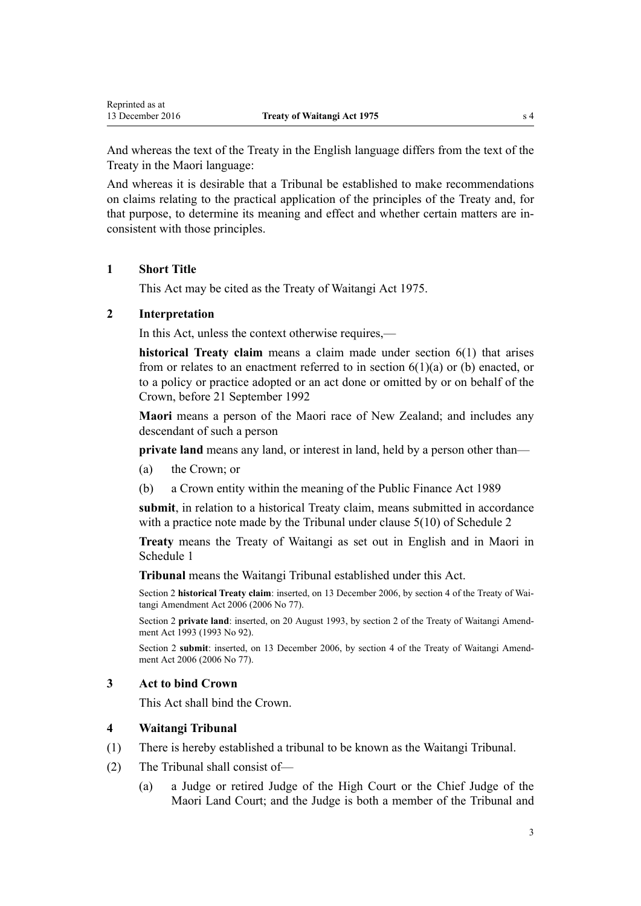<span id="page-2-0"></span>And whereas the text of the Treaty in the English language differs from the text of the Treaty in the Maori language:

And whereas it is desirable that a Tribunal be established to make recommendations on claims relating to the practical application of the principles of the Treaty and, for that purpose, to determine its meaning and effect and whether certain matters are inconsistent with those principles.

# **1 Short Title**

This Act may be cited as the Treaty of Waitangi Act 1975.

# **2 Interpretation**

In this Act, unless the context otherwise requires,—

**historical Treaty claim** means a claim made under [section 6\(1\)](#page-5-0) that arises from or relates to an enactment referred to in section  $6(1)(a)$  or (b) enacted, or to a policy or practice adopted or an act done or omitted by or on behalf of the Crown, before 21 September 1992

**Maori** means a person of the Maori race of New Zealand; and includes any descendant of such a person

**private land** means any land, or interest in land, held by a person other than—

- (a) the Crown; or
- (b) a Crown entity within the meaning of the [Public Finance Act 1989](http://prd-lgnz-nlb.prd.pco.net.nz/pdflink.aspx?id=DLM160808)

**submit**, in relation to a historical Treaty claim, means submitted in accordance with a practice note made by the Tribunal under [clause 5\(10\)](#page-33-0) of Schedule 2

**Treaty** means the [Treaty of Waitangi](#page-29-0) as set out in English and in Maori in [Schedule 1](#page-29-0)

**Tribunal** means the Waitangi Tribunal established under this Act.

Section 2 **historical Treaty claim**: inserted, on 13 December 2006, by [section 4](http://prd-lgnz-nlb.prd.pco.net.nz/pdflink.aspx?id=DLM398905) of the Treaty of Waitangi Amendment Act 2006 (2006 No 77).

Section 2 **private land**: inserted, on 20 August 1993, by section 2 of the Treaty of Waitangi Amendment Act 1993 (1993 No 92).

Section 2 **submit**: inserted, on 13 December 2006, by [section 4](http://prd-lgnz-nlb.prd.pco.net.nz/pdflink.aspx?id=DLM398905) of the Treaty of Waitangi Amendment Act 2006 (2006 No 77).

### **3 Act to bind Crown**

This Act shall bind the Crown.

### **4 Waitangi Tribunal**

- (1) There is hereby established a tribunal to be known as the Waitangi Tribunal.
- (2) The Tribunal shall consist of—
	- (a) a Judge or retired Judge of the High Court or the Chief Judge of the Maori Land Court; and the Judge is both a member of the Tribunal and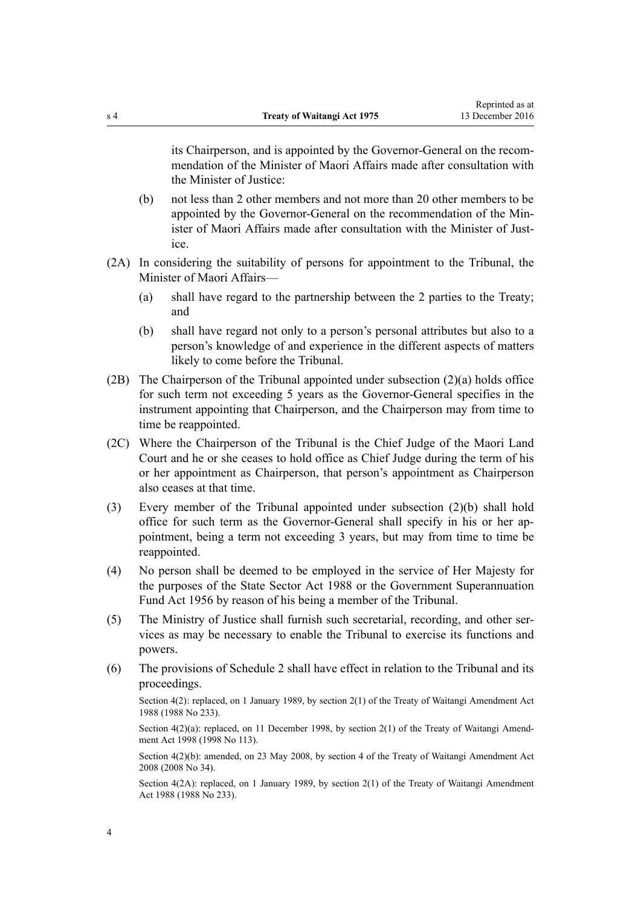its Chairperson, and is appointed by the Governor-General on the recommendation of the Minister of Maori Affairs made after consultation with the Minister of Justice:

- (b) not less than 2 other members and not more than 20 other members to be appointed by the Governor-General on the recommendation of the Minister of Maori Affairs made after consultation with the Minister of Justice.
- (2A) In considering the suitability of persons for appointment to the Tribunal, the Minister of Maori Affairs—
	- (a) shall have regard to the partnership between the 2 parties to the Treaty; and
	- (b) shall have regard not only to a person's personal attributes but also to a person's knowledge of and experience in the different aspects of matters likely to come before the Tribunal.
- (2B) The Chairperson of the Tribunal appointed under subsection (2)(a) holds office for such term not exceeding 5 years as the Governor-General specifies in the instrument appointing that Chairperson, and the Chairperson may from time to time be reappointed.
- (2C) Where the Chairperson of the Tribunal is the Chief Judge of the Maori Land Court and he or she ceases to hold office as Chief Judge during the term of his or her appointment as Chairperson, that person's appointment as Chairperson also ceases at that time.
- (3) Every member of the Tribunal appointed under subsection (2)(b) shall hold office for such term as the Governor-General shall specify in his or her appointment, being a term not exceeding 3 years, but may from time to time be reappointed.
- (4) No person shall be deemed to be employed in the service of Her Majesty for the purposes of the [State Sector Act 1988](http://prd-lgnz-nlb.prd.pco.net.nz/pdflink.aspx?id=DLM129109) or the [Government Superannuation](http://prd-lgnz-nlb.prd.pco.net.nz/pdflink.aspx?id=DLM446000) [Fund Act 1956](http://prd-lgnz-nlb.prd.pco.net.nz/pdflink.aspx?id=DLM446000) by reason of his being a member of the Tribunal.
- (5) The Ministry of Justice shall furnish such secretarial, recording, and other services as may be necessary to enable the Tribunal to exercise its functions and powers.
- (6) The provisions of [Schedule 2](#page-32-0) shall have effect in relation to the Tribunal and its proceedings.

Section 4(2): replaced, on 1 January 1989, by section 2(1) of the Treaty of Waitangi Amendment Act 1988 (1988 No 233).

Section 4(2)(a): replaced, on 11 December 1998, by [section 2\(1\)](http://prd-lgnz-nlb.prd.pco.net.nz/pdflink.aspx?id=DLM18053) of the Treaty of Waitangi Amendment Act 1998 (1998 No 113).

Section 4(2)(b): amended, on 23 May 2008, by [section 4](http://prd-lgnz-nlb.prd.pco.net.nz/pdflink.aspx?id=DLM1297531) of the Treaty of Waitangi Amendment Act 2008 (2008 No 34).

Section 4(2A): replaced, on 1 January 1989, by section 2(1) of the Treaty of Waitangi Amendment Act 1988 (1988 No 233).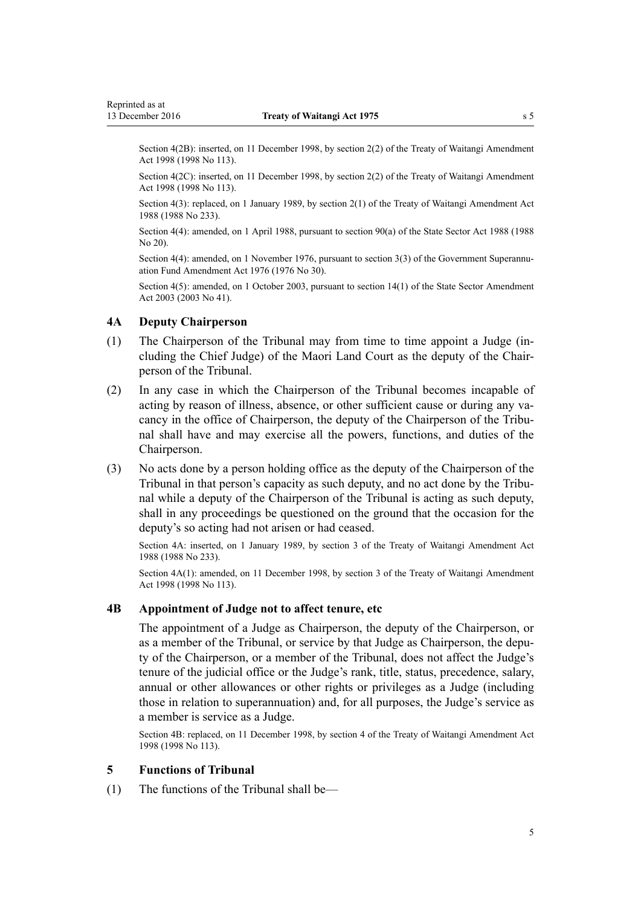<span id="page-4-0"></span>Section 4(2B): inserted, on 11 December 1998, by [section 2\(2\)](http://prd-lgnz-nlb.prd.pco.net.nz/pdflink.aspx?id=DLM18053) of the Treaty of Waitangi Amendment Act 1998 (1998 No 113).

Section 4(2C): inserted, on 11 December 1998, by [section 2\(2\)](http://prd-lgnz-nlb.prd.pco.net.nz/pdflink.aspx?id=DLM18053) of the Treaty of Waitangi Amendment Act 1998 (1998 No 113).

Section 4(3): replaced, on 1 January 1989, by section 2(1) of the Treaty of Waitangi Amendment Act 1988 (1988 No 233).

Section 4(4): amended, on 1 April 1988, pursuant to [section 90\(a\)](http://prd-lgnz-nlb.prd.pco.net.nz/pdflink.aspx?id=DLM130377) of the State Sector Act 1988 (1988 No 20).

Section 4(4): amended, on 1 November 1976, pursuant to [section 3\(3\)](http://prd-lgnz-nlb.prd.pco.net.nz/pdflink.aspx?id=DLM439001) of the Government Superannuation Fund Amendment Act 1976 (1976 No 30).

Section 4(5): amended, on 1 October 2003, pursuant to [section 14\(1\)](http://prd-lgnz-nlb.prd.pco.net.nz/pdflink.aspx?id=DLM201378) of the State Sector Amendment Act 2003 (2003 No 41).

#### **4A Deputy Chairperson**

- (1) The Chairperson of the Tribunal may from time to time appoint a Judge (including the Chief Judge) of the Maori Land Court as the deputy of the Chairperson of the Tribunal.
- (2) In any case in which the Chairperson of the Tribunal becomes incapable of acting by reason of illness, absence, or other sufficient cause or during any vacancy in the office of Chairperson, the deputy of the Chairperson of the Tribunal shall have and may exercise all the powers, functions, and duties of the Chairperson.
- (3) No acts done by a person holding office as the deputy of the Chairperson of the Tribunal in that person's capacity as such deputy, and no act done by the Tribunal while a deputy of the Chairperson of the Tribunal is acting as such deputy, shall in any proceedings be questioned on the ground that the occasion for the deputy's so acting had not arisen or had ceased.

Section 4A: inserted, on 1 January 1989, by section 3 of the Treaty of Waitangi Amendment Act 1988 (1988 No 233).

Section  $4A(1)$ : amended, on 11 December 1998, by [section 3](http://prd-lgnz-nlb.prd.pco.net.nz/pdflink.aspx?id=DLM18054) of the Treaty of Waitangi Amendment Act 1998 (1998 No 113).

### **4B Appointment of Judge not to affect tenure, etc**

The appointment of a Judge as Chairperson, the deputy of the Chairperson, or as a member of the Tribunal, or service by that Judge as Chairperson, the deputy of the Chairperson, or a member of the Tribunal, does not affect the Judge's tenure of the judicial office or the Judge's rank, title, status, precedence, salary, annual or other allowances or other rights or privileges as a Judge (including those in relation to superannuation) and, for all purposes, the Judge's service as a member is service as a Judge.

Section 4B: replaced, on 11 December 1998, by [section 4](http://prd-lgnz-nlb.prd.pco.net.nz/pdflink.aspx?id=DLM18055) of the Treaty of Waitangi Amendment Act 1998 (1998 No 113).

### **5 Functions of Tribunal**

(1) The functions of the Tribunal shall be—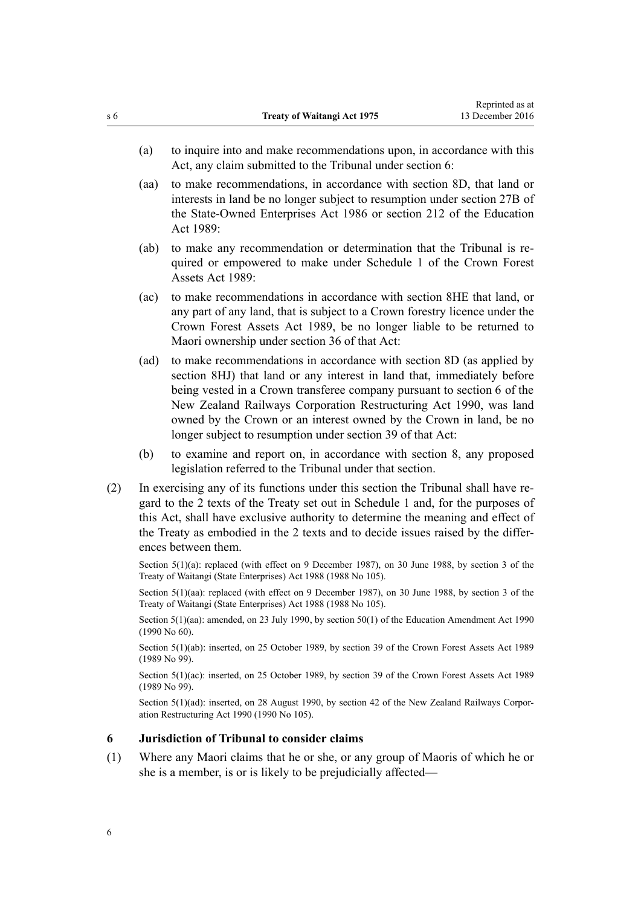- <span id="page-5-0"></span>(a) to inquire into and make recommendations upon, in accordance with this Act, any claim submitted to the Tribunal under section 6:
- (aa) to make recommendations, in accordance with [section 8D](#page-16-0), that land or interests in land be no longer subject to resumption under [section 27B](http://prd-lgnz-nlb.prd.pco.net.nz/pdflink.aspx?id=DLM98400) of the State-Owned Enterprises Act 1986 or [section 212](http://prd-lgnz-nlb.prd.pco.net.nz/pdflink.aspx?id=DLM184660) of the Education Act 1989:
- (ab) to make any recommendation or determination that the Tribunal is required or empowered to make under [Schedule 1](#page-29-0) of the Crown Forest Assets Act 1989:
- (ac) to make recommendations in accordance with [section 8HE](#page-24-0) that land, or any part of any land, that is subject to a Crown forestry licence under the [Crown Forest Assets Act 1989,](http://prd-lgnz-nlb.prd.pco.net.nz/pdflink.aspx?id=DLM191768) be no longer liable to be returned to Maori ownership under [section 36](http://prd-lgnz-nlb.prd.pco.net.nz/pdflink.aspx?id=DLM192358) of that Act:
- (ad) to make recommendations in accordance with [section 8D](#page-16-0) (as applied by [section 8HJ\)](#page-27-0) that land or any interest in land that, immediately before being vested in a Crown transferee company pursuant to [section 6](http://prd-lgnz-nlb.prd.pco.net.nz/pdflink.aspx?id=DLM222671) of the New Zealand Railways Corporation Restructuring Act 1990, was land owned by the Crown or an interest owned by the Crown in land, be no longer subject to resumption under [section 39](http://prd-lgnz-nlb.prd.pco.net.nz/pdflink.aspx?id=DLM223146) of that Act:
- (b) to examine and report on, in accordance with [section 8](#page-11-0), any proposed legislation referred to the Tribunal under that section.
- (2) In exercising any of its functions under this section the Tribunal shall have regard to the 2 texts of the Treaty set out in [Schedule 1](#page-29-0) and, for the purposes of this Act, shall have exclusive authority to determine the meaning and effect of the Treaty as embodied in the 2 texts and to decide issues raised by the differences between them.

Section 5(1)(a): replaced (with effect on 9 December 1987), on 30 June 1988, by [section 3](http://prd-lgnz-nlb.prd.pco.net.nz/pdflink.aspx?id=DLM132570) of the Treaty of Waitangi (State Enterprises) Act 1988 (1988 No 105).

Section 5(1)(aa): replaced (with effect on 9 December 1987), on 30 June 1988, by [section 3](http://prd-lgnz-nlb.prd.pco.net.nz/pdflink.aspx?id=DLM132570) of the Treaty of Waitangi (State Enterprises) Act 1988 (1988 No 105).

Section 5(1)(aa): amended, on 23 July 1990, by [section 50\(1\)](http://prd-lgnz-nlb.prd.pco.net.nz/pdflink.aspx?id=DLM212679) of the Education Amendment Act 1990 (1990 No 60).

Section 5(1)(ab): inserted, on 25 October 1989, by [section 39](http://prd-lgnz-nlb.prd.pco.net.nz/pdflink.aspx?id=DLM192362) of the Crown Forest Assets Act 1989 (1989 No 99).

Section 5(1)(ac): inserted, on 25 October 1989, by [section 39](http://prd-lgnz-nlb.prd.pco.net.nz/pdflink.aspx?id=DLM192362) of the Crown Forest Assets Act 1989 (1989 No 99).

Section 5(1)(ad): inserted, on 28 August 1990, by [section 42](http://prd-lgnz-nlb.prd.pco.net.nz/pdflink.aspx?id=DLM223150) of the New Zealand Railways Corporation Restructuring Act 1990 (1990 No 105).

#### **6 Jurisdiction of Tribunal to consider claims**

(1) Where any Maori claims that he or she, or any group of Maoris of which he or she is a member, is or is likely to be prejudicially affected—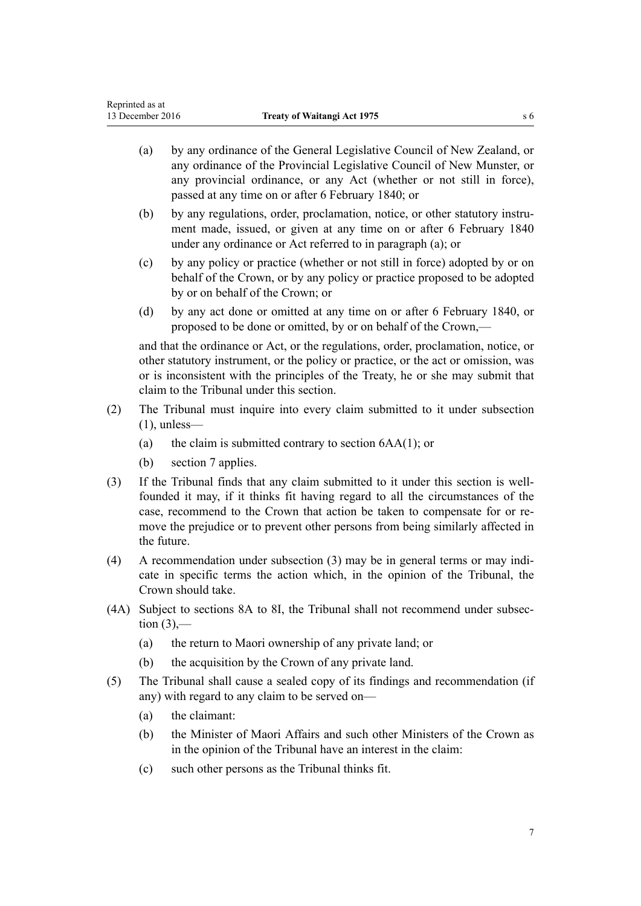- (a) by any ordinance of the General Legislative Council of New Zealand, or any ordinance of the Provincial Legislative Council of New Munster, or any provincial ordinance, or any Act (whether or not still in force), passed at any time on or after 6 February 1840; or
- (b) by any regulations, order, proclamation, notice, or other statutory instrument made, issued, or given at any time on or after 6 February 1840 under any ordinance or Act referred to in paragraph (a); or
- (c) by any policy or practice (whether or not still in force) adopted by or on behalf of the Crown, or by any policy or practice proposed to be adopted by or on behalf of the Crown; or
- (d) by any act done or omitted at any time on or after 6 February 1840, or proposed to be done or omitted, by or on behalf of the Crown,—

and that the ordinance or Act, or the regulations, order, proclamation, notice, or other statutory instrument, or the policy or practice, or the act or omission, was or is inconsistent with the principles of the Treaty, he or she may submit that claim to the Tribunal under this section.

- (2) The Tribunal must inquire into every claim submitted to it under subsection  $(1)$ , unless—
	- (a) the claim is submitted contrary to section  $6AA(1)$ ; or
	- (b) [section 7](#page-11-0) applies.
- (3) If the Tribunal finds that any claim submitted to it under this section is wellfounded it may, if it thinks fit having regard to all the circumstances of the case, recommend to the Crown that action be taken to compensate for or remove the prejudice or to prevent other persons from being similarly affected in the future.
- (4) A recommendation under subsection (3) may be in general terms or may indicate in specific terms the action which, in the opinion of the Tribunal, the Crown should take.
- (4A) Subject to [sections 8A to 8I,](#page-12-0) the Tribunal shall not recommend under subsection  $(3)$ ,—
	- (a) the return to Maori ownership of any private land; or
	- (b) the acquisition by the Crown of any private land.
- (5) The Tribunal shall cause a sealed copy of its findings and recommendation (if any) with regard to any claim to be served on—
	- (a) the claimant:
	- (b) the Minister of Maori Affairs and such other Ministers of the Crown as in the opinion of the Tribunal have an interest in the claim:
	- (c) such other persons as the Tribunal thinks fit.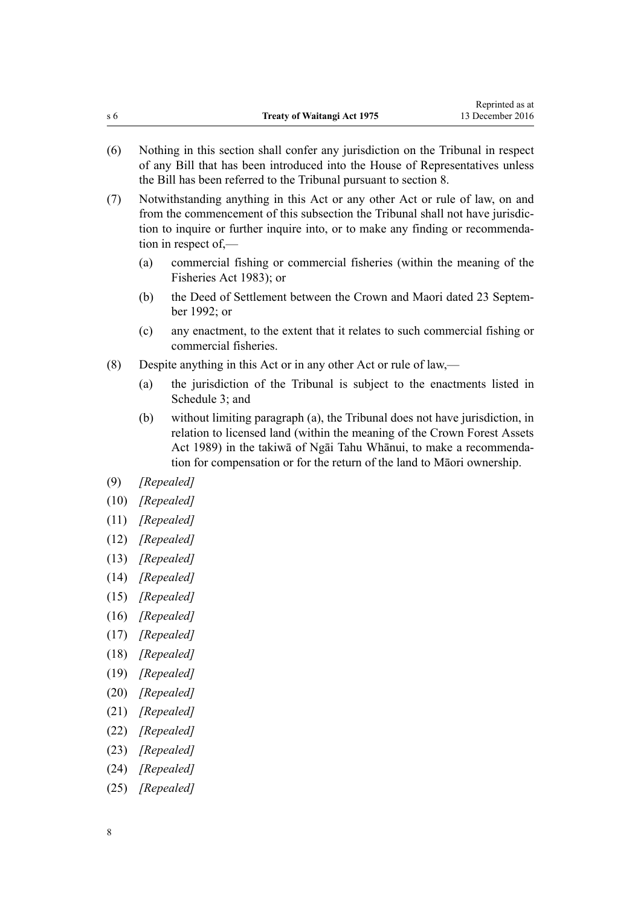- (6) Nothing in this section shall confer any jurisdiction on the Tribunal in respect of any Bill that has been introduced into the House of Representatives unless the Bill has been referred to the Tribunal pursuant to [section 8.](#page-11-0)
- (7) Notwithstanding anything in this Act or any other Act or rule of law, on and from the commencement of this subsection the Tribunal shall not have jurisdiction to inquire or further inquire into, or to make any finding or recommendation in respect of,—
	- (a) commercial fishing or commercial fisheries (within the meaning of the [Fisheries Act 1983](http://prd-lgnz-nlb.prd.pco.net.nz/pdflink.aspx?id=DLM66581)); or
	- (b) the Deed of Settlement between the Crown and Maori dated 23 September 1992; or
	- (c) any enactment, to the extent that it relates to such commercial fishing or commercial fisheries.
- (8) Despite anything in this Act or in any other Act or rule of law,—
	- (a) the jurisdiction of the Tribunal is subject to the enactments listed in [Schedule 3;](#page-40-0) and
	- (b) without limiting paragraph (a), the Tribunal does not have jurisdiction, in relation to licensed land (within the meaning of the [Crown Forest Assets](http://prd-lgnz-nlb.prd.pco.net.nz/pdflink.aspx?id=DLM191768) [Act 1989](http://prd-lgnz-nlb.prd.pco.net.nz/pdflink.aspx?id=DLM191768)) in the takiwā of Ngāi Tahu Whānui, to make a recommendation for compensation or for the return of the land to Māori ownership.
- (9) *[Repealed]*
- (10) *[Repealed]*
- (11) *[Repealed]*
- (12) *[Repealed]*
- (13) *[Repealed]*
- (14) *[Repealed]*
- (15) *[Repealed]*
- (16) *[Repealed]*
- (17) *[Repealed]*
- (18) *[Repealed]*
- (19) *[Repealed]*
- (20) *[Repealed]*
- (21) *[Repealed]*
- (22) *[Repealed]*
- (23) *[Repealed]*
- (24) *[Repealed]*
- (25) *[Repealed]*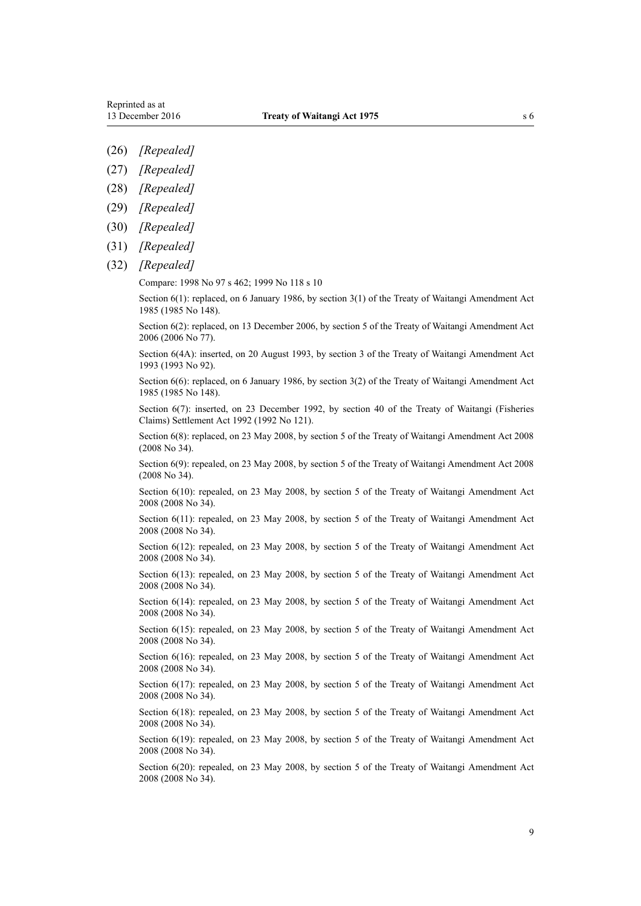- (26) *[Repealed]*
- (27) *[Repealed]*
- (28) *[Repealed]*
- (29) *[Repealed]*
- (30) *[Repealed]*
- (31) *[Repealed]*
- (32) *[Repealed]*

Compare: 1998 No 97 s 462; 1999 No 118 s 10

Section 6(1): replaced, on 6 January 1986, by section 3(1) of the Treaty of Waitangi Amendment Act 1985 (1985 No 148).

Section 6(2): replaced, on 13 December 2006, by [section 5](http://prd-lgnz-nlb.prd.pco.net.nz/pdflink.aspx?id=DLM398910) of the Treaty of Waitangi Amendment Act 2006 (2006 No 77).

Section 6(4A): inserted, on 20 August 1993, by section 3 of the Treaty of Waitangi Amendment Act 1993 (1993 No 92).

Section 6(6): replaced, on 6 January 1986, by section 3(2) of the Treaty of Waitangi Amendment Act 1985 (1985 No 148).

Section 6(7): inserted, on 23 December 1992, by [section 40](http://prd-lgnz-nlb.prd.pco.net.nz/pdflink.aspx?id=DLM281822) of the Treaty of Waitangi (Fisheries Claims) Settlement Act 1992 (1992 No 121).

Section 6(8): replaced, on 23 May 2008, by [section 5](http://prd-lgnz-nlb.prd.pco.net.nz/pdflink.aspx?id=DLM1297532) of the Treaty of Waitangi Amendment Act 2008 (2008 No 34).

Section 6(9): repealed, on 23 May 2008, by [section 5](http://prd-lgnz-nlb.prd.pco.net.nz/pdflink.aspx?id=DLM1297532) of the Treaty of Waitangi Amendment Act 2008 (2008 No 34).

Section 6(10): repealed, on 23 May 2008, by [section 5](http://prd-lgnz-nlb.prd.pco.net.nz/pdflink.aspx?id=DLM1297532) of the Treaty of Waitangi Amendment Act 2008 (2008 No 34).

Section 6(11): repealed, on 23 May 2008, by [section 5](http://prd-lgnz-nlb.prd.pco.net.nz/pdflink.aspx?id=DLM1297532) of the Treaty of Waitangi Amendment Act 2008 (2008 No 34).

Section 6(12): repealed, on 23 May 2008, by [section 5](http://prd-lgnz-nlb.prd.pco.net.nz/pdflink.aspx?id=DLM1297532) of the Treaty of Waitangi Amendment Act 2008 (2008 No 34).

Section 6(13): repealed, on 23 May 2008, by [section 5](http://prd-lgnz-nlb.prd.pco.net.nz/pdflink.aspx?id=DLM1297532) of the Treaty of Waitangi Amendment Act 2008 (2008 No 34).

Section 6(14): repealed, on 23 May 2008, by [section 5](http://prd-lgnz-nlb.prd.pco.net.nz/pdflink.aspx?id=DLM1297532) of the Treaty of Waitangi Amendment Act 2008 (2008 No 34).

Section 6(15): repealed, on 23 May 2008, by [section 5](http://prd-lgnz-nlb.prd.pco.net.nz/pdflink.aspx?id=DLM1297532) of the Treaty of Waitangi Amendment Act 2008 (2008 No 34).

Section 6(16): repealed, on 23 May 2008, by [section 5](http://prd-lgnz-nlb.prd.pco.net.nz/pdflink.aspx?id=DLM1297532) of the Treaty of Waitangi Amendment Act 2008 (2008 No 34).

Section 6(17): repealed, on 23 May 2008, by [section 5](http://prd-lgnz-nlb.prd.pco.net.nz/pdflink.aspx?id=DLM1297532) of the Treaty of Waitangi Amendment Act 2008 (2008 No 34).

Section 6(18): repealed, on 23 May 2008, by [section 5](http://prd-lgnz-nlb.prd.pco.net.nz/pdflink.aspx?id=DLM1297532) of the Treaty of Waitangi Amendment Act 2008 (2008 No 34).

Section 6(19): repealed, on 23 May 2008, by [section 5](http://prd-lgnz-nlb.prd.pco.net.nz/pdflink.aspx?id=DLM1297532) of the Treaty of Waitangi Amendment Act 2008 (2008 No 34).

Section 6(20): repealed, on 23 May 2008, by [section 5](http://prd-lgnz-nlb.prd.pco.net.nz/pdflink.aspx?id=DLM1297532) of the Treaty of Waitangi Amendment Act 2008 (2008 No 34).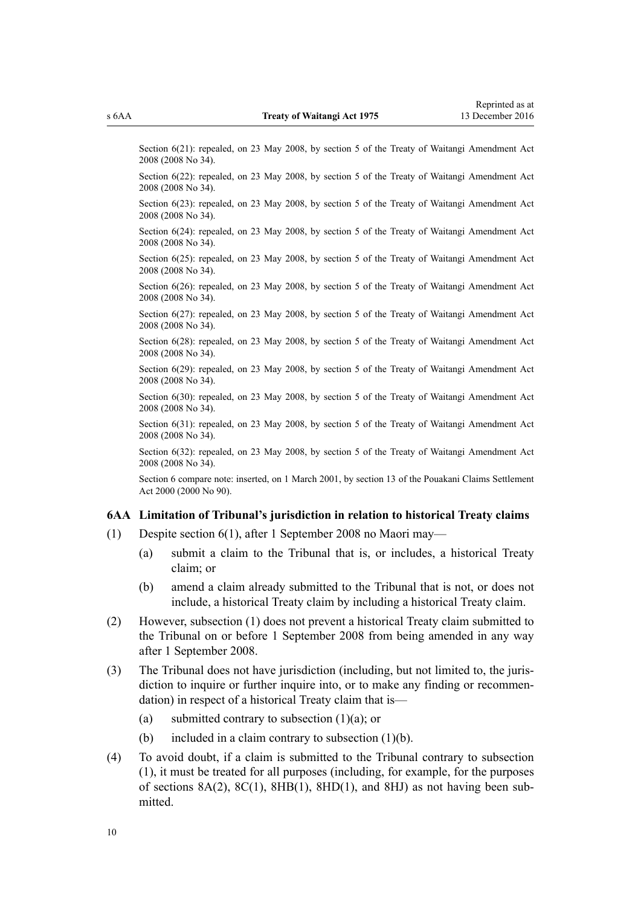<span id="page-9-0"></span>Section 6(21): repealed, on 23 May 2008, by [section 5](http://prd-lgnz-nlb.prd.pco.net.nz/pdflink.aspx?id=DLM1297532) of the Treaty of Waitangi Amendment Act 2008 (2008 No 34).

Section 6(22): repealed, on 23 May 2008, by [section 5](http://prd-lgnz-nlb.prd.pco.net.nz/pdflink.aspx?id=DLM1297532) of the Treaty of Waitangi Amendment Act 2008 (2008 No 34).

Section 6(23): repealed, on 23 May 2008, by [section 5](http://prd-lgnz-nlb.prd.pco.net.nz/pdflink.aspx?id=DLM1297532) of the Treaty of Waitangi Amendment Act 2008 (2008 No 34).

Section 6(24): repealed, on 23 May 2008, by [section 5](http://prd-lgnz-nlb.prd.pco.net.nz/pdflink.aspx?id=DLM1297532) of the Treaty of Waitangi Amendment Act 2008 (2008 No 34).

Section 6(25): repealed, on 23 May 2008, by [section 5](http://prd-lgnz-nlb.prd.pco.net.nz/pdflink.aspx?id=DLM1297532) of the Treaty of Waitangi Amendment Act 2008 (2008 No 34).

Section 6(26): repealed, on 23 May 2008, by [section 5](http://prd-lgnz-nlb.prd.pco.net.nz/pdflink.aspx?id=DLM1297532) of the Treaty of Waitangi Amendment Act 2008 (2008 No 34).

Section 6(27): repealed, on 23 May 2008, by [section 5](http://prd-lgnz-nlb.prd.pco.net.nz/pdflink.aspx?id=DLM1297532) of the Treaty of Waitangi Amendment Act 2008 (2008 No 34).

Section 6(28): repealed, on 23 May 2008, by [section 5](http://prd-lgnz-nlb.prd.pco.net.nz/pdflink.aspx?id=DLM1297532) of the Treaty of Waitangi Amendment Act 2008 (2008 No 34).

Section 6(29): repealed, on 23 May 2008, by [section 5](http://prd-lgnz-nlb.prd.pco.net.nz/pdflink.aspx?id=DLM1297532) of the Treaty of Waitangi Amendment Act 2008 (2008 No 34).

Section 6(30): repealed, on 23 May 2008, by [section 5](http://prd-lgnz-nlb.prd.pco.net.nz/pdflink.aspx?id=DLM1297532) of the Treaty of Waitangi Amendment Act 2008 (2008 No 34).

Section 6(31): repealed, on 23 May 2008, by [section 5](http://prd-lgnz-nlb.prd.pco.net.nz/pdflink.aspx?id=DLM1297532) of the Treaty of Waitangi Amendment Act 2008 (2008 No 34).

Section 6(32): repealed, on 23 May 2008, by [section 5](http://prd-lgnz-nlb.prd.pco.net.nz/pdflink.aspx?id=DLM1297532) of the Treaty of Waitangi Amendment Act 2008 (2008 No 34).

Section 6 compare note: inserted, on 1 March 2001, by [section 13](http://prd-lgnz-nlb.prd.pco.net.nz/pdflink.aspx?id=DLM79841) of the Pouakani Claims Settlement Act 2000 (2000 No 90).

# **6AA Limitation of Tribunal's jurisdiction in relation to historical Treaty claims**

- (1) Despite [section 6\(1\),](#page-5-0) after 1 September 2008 no Maori may—
	- (a) submit a claim to the Tribunal that is, or includes, a historical Treaty claim; or
	- (b) amend a claim already submitted to the Tribunal that is not, or does not include, a historical Treaty claim by including a historical Treaty claim.
- (2) However, subsection (1) does not prevent a historical Treaty claim submitted to the Tribunal on or before 1 September 2008 from being amended in any way after 1 September 2008.
- (3) The Tribunal does not have jurisdiction (including, but not limited to, the jurisdiction to inquire or further inquire into, or to make any finding or recommendation) in respect of a historical Treaty claim that is—
	- (a) submitted contrary to subsection  $(1)(a)$ ; or
	- (b) included in a claim contrary to subsection (1)(b).
- (4) To avoid doubt, if a claim is submitted to the Tribunal contrary to subsection (1), it must be treated for all purposes (including, for example, for the purposes of sections  $8A(2)$ ,  $8C(1)$ ,  $8HB(1)$ ,  $8HD(1)$ , and  $8HI$ ) as not having been submitted.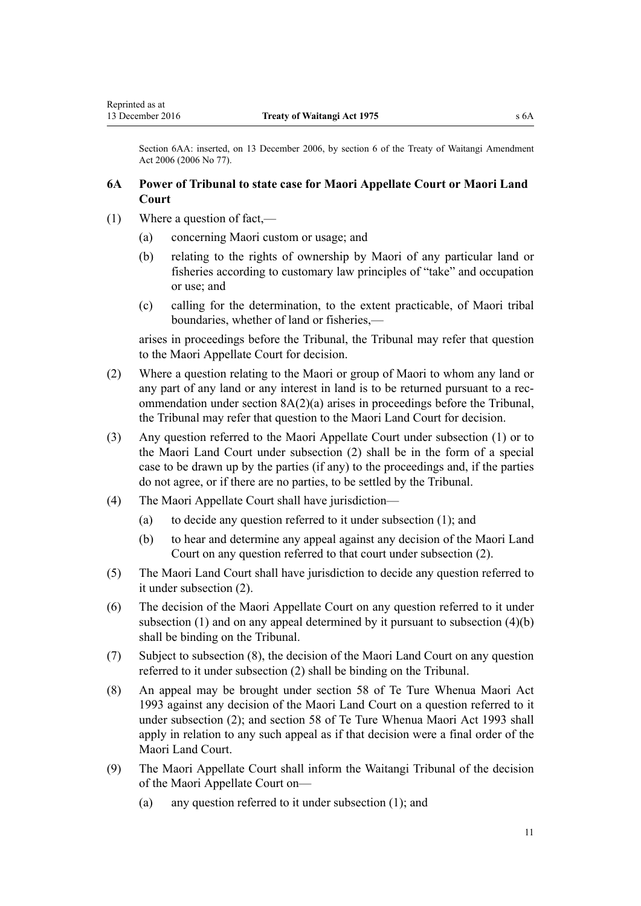<span id="page-10-0"></span>Section 6AA: inserted, on 13 December 2006, by [section 6](http://prd-lgnz-nlb.prd.pco.net.nz/pdflink.aspx?id=DLM398911) of the Treaty of Waitangi Amendment Act 2006 (2006 No 77).

# **6A Power of Tribunal to state case for Maori Appellate Court or Maori Land Court**

- (1) Where a question of fact,—
	- (a) concerning Maori custom or usage; and
	- (b) relating to the rights of ownership by Maori of any particular land or fisheries according to customary law principles of "take" and occupation or use; and
	- (c) calling for the determination, to the extent practicable, of Maori tribal boundaries, whether of land or fisheries,—

arises in proceedings before the Tribunal, the Tribunal may refer that question to the Maori Appellate Court for decision.

- (2) Where a question relating to the Maori or group of Maori to whom any land or any part of any land or any interest in land is to be returned pursuant to a recommendation under [section 8A\(2\)\(a\)](#page-12-0) arises in proceedings before the Tribunal, the Tribunal may refer that question to the Maori Land Court for decision.
- (3) Any question referred to the Maori Appellate Court under subsection (1) or to the Maori Land Court under subsection (2) shall be in the form of a special case to be drawn up by the parties (if any) to the proceedings and, if the parties do not agree, or if there are no parties, to be settled by the Tribunal.
- (4) The Maori Appellate Court shall have jurisdiction—
	- (a) to decide any question referred to it under subsection (1); and
	- (b) to hear and determine any appeal against any decision of the Maori Land Court on any question referred to that court under subsection (2).
- (5) The Maori Land Court shall have jurisdiction to decide any question referred to it under subsection (2).
- (6) The decision of the Maori Appellate Court on any question referred to it under subsection  $(1)$  and on any appeal determined by it pursuant to subsection  $(4)(b)$ shall be binding on the Tribunal.
- (7) Subject to subsection (8), the decision of the Maori Land Court on any question referred to it under subsection (2) shall be binding on the Tribunal.
- (8) An appeal may be brought under [section 58](http://prd-lgnz-nlb.prd.pco.net.nz/pdflink.aspx?id=DLM290939) of Te Ture Whenua Maori Act 1993 against any decision of the Maori Land Court on a question referred to it under subsection (2); and section 58 of Te Ture Whenua Maori Act 1993 shall apply in relation to any such appeal as if that decision were a final order of the Maori Land Court.
- (9) The Maori Appellate Court shall inform the Waitangi Tribunal of the decision of the Maori Appellate Court on—
	- (a) any question referred to it under subsection (1); and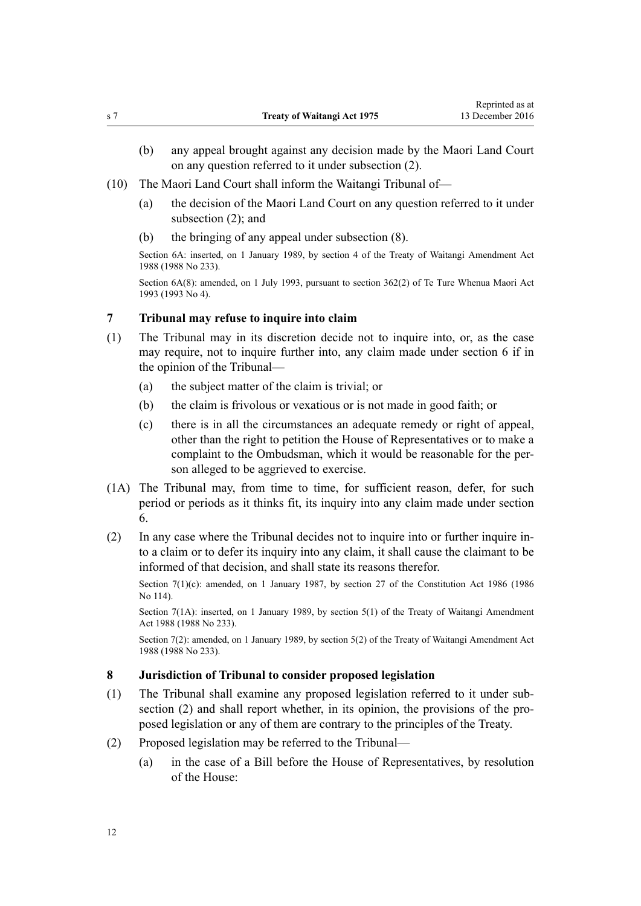- <span id="page-11-0"></span>(b) any appeal brought against any decision made by the Maori Land Court on any question referred to it under subsection (2).
- (10) The Maori Land Court shall inform the Waitangi Tribunal of—
	- (a) the decision of the Maori Land Court on any question referred to it under subsection  $(2)$ ; and
	- (b) the bringing of any appeal under subsection (8).

Section 6A: inserted, on 1 January 1989, by section 4 of the Treaty of Waitangi Amendment Act 1988 (1988 No 233).

Section 6A(8): amended, on 1 July 1993, pursuant to [section 362\(2\)](http://prd-lgnz-nlb.prd.pco.net.nz/pdflink.aspx?id=DLM293026) of Te Ture Whenua Maori Act 1993 (1993 No 4).

# **7 Tribunal may refuse to inquire into claim**

- (1) The Tribunal may in its discretion decide not to inquire into, or, as the case may require, not to inquire further into, any claim made under [section 6](#page-5-0) if in the opinion of the Tribunal—
	- (a) the subject matter of the claim is trivial; or
	- (b) the claim is frivolous or vexatious or is not made in good faith; or
	- (c) there is in all the circumstances an adequate remedy or right of appeal, other than the right to petition the House of Representatives or to make a complaint to the Ombudsman, which it would be reasonable for the person alleged to be aggrieved to exercise.
- (1A) The Tribunal may, from time to time, for sufficient reason, defer, for such period or periods as it thinks fit, its inquiry into any claim made under [section](#page-5-0) [6.](#page-5-0)
- (2) In any case where the Tribunal decides not to inquire into or further inquire into a claim or to defer its inquiry into any claim, it shall cause the claimant to be informed of that decision, and shall state its reasons therefor.

Section 7(1)(c): amended, on 1 January 1987, by [section 27](http://prd-lgnz-nlb.prd.pco.net.nz/pdflink.aspx?id=DLM94261) of the Constitution Act 1986 (1986) No 114).

Section 7(1A): inserted, on 1 January 1989, by section 5(1) of the Treaty of Waitangi Amendment Act 1988 (1988 No 233).

Section 7(2): amended, on 1 January 1989, by section 5(2) of the Treaty of Waitangi Amendment Act 1988 (1988 No 233).

### **8 Jurisdiction of Tribunal to consider proposed legislation**

- (1) The Tribunal shall examine any proposed legislation referred to it under subsection (2) and shall report whether, in its opinion, the provisions of the proposed legislation or any of them are contrary to the principles of the Treaty.
- (2) Proposed legislation may be referred to the Tribunal—
	- (a) in the case of a Bill before the House of Representatives, by resolution of the House: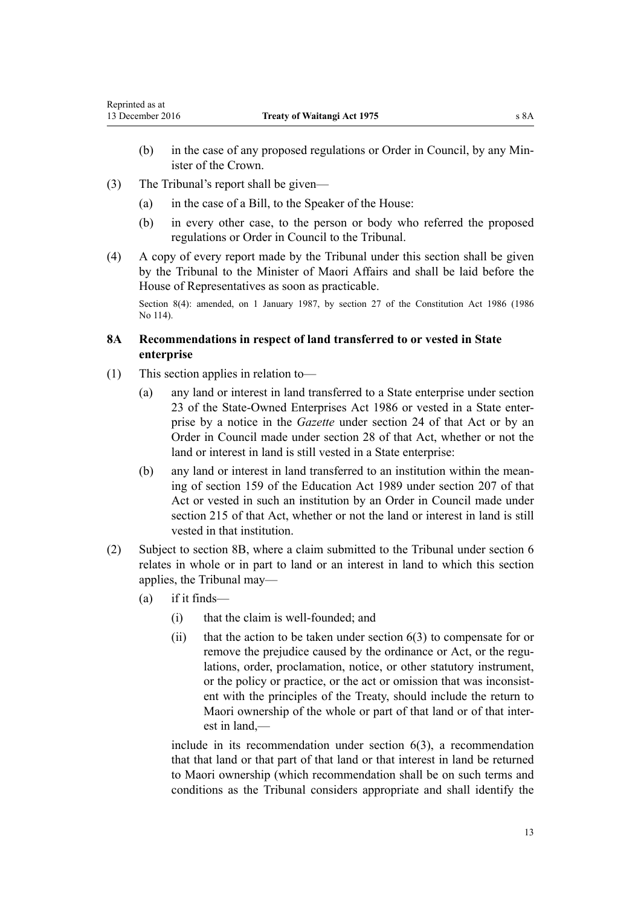- <span id="page-12-0"></span>(b) in the case of any proposed regulations or Order in Council, by any Minister of the Crown.
- (3) The Tribunal's report shall be given—
	- (a) in the case of a Bill, to the Speaker of the House:
	- (b) in every other case, to the person or body who referred the proposed regulations or Order in Council to the Tribunal.
- (4) A copy of every report made by the Tribunal under this section shall be given by the Tribunal to the Minister of Maori Affairs and shall be laid before the House of Representatives as soon as practicable.

Section 8(4): amended, on 1 January 1987, by [section 27](http://prd-lgnz-nlb.prd.pco.net.nz/pdflink.aspx?id=DLM94261) of the Constitution Act 1986 (1986 No 114).

# **8A Recommendations in respect of land transferred to or vested in State enterprise**

- (1) This section applies in relation to—
	- (a) any land or interest in land transferred to a State enterprise under [section](http://prd-lgnz-nlb.prd.pco.net.nz/pdflink.aspx?id=DLM98067) [23](http://prd-lgnz-nlb.prd.pco.net.nz/pdflink.aspx?id=DLM98067) of the State-Owned Enterprises Act 1986 or vested in a State enterprise by a notice in the *Gazette* under [section 24](http://prd-lgnz-nlb.prd.pco.net.nz/pdflink.aspx?id=DLM98075) of that Act or by an Order in Council made under [section 28](http://prd-lgnz-nlb.prd.pco.net.nz/pdflink.aspx?id=DLM98409) of that Act, whether or not the land or interest in land is still vested in a State enterprise:
	- (b) any land or interest in land transferred to an institution within the meaning of [section 159](http://prd-lgnz-nlb.prd.pco.net.nz/pdflink.aspx?id=DLM182904) of the Education Act 1989 under [section 207](http://prd-lgnz-nlb.prd.pco.net.nz/pdflink.aspx?id=DLM184649) of that Act or vested in such an institution by an Order in Council made under [section 215](http://prd-lgnz-nlb.prd.pco.net.nz/pdflink.aspx?id=DLM184667) of that Act, whether or not the land or interest in land is still vested in that institution.
- (2) Subject to [section 8B,](#page-14-0) where a claim submitted to the Tribunal under [section 6](#page-5-0) relates in whole or in part to land or an interest in land to which this section applies, the Tribunal may—
	- (a) if it finds—
		- (i) that the claim is well-founded; and
		- (ii) that the action to be taken under section  $6(3)$  to compensate for or remove the prejudice caused by the ordinance or Act, or the regulations, order, proclamation, notice, or other statutory instrument, or the policy or practice, or the act or omission that was inconsistent with the principles of the Treaty, should include the return to Maori ownership of the whole or part of that land or of that interest in land,—

include in its recommendation under [section 6\(3\)](#page-5-0), a recommendation that that land or that part of that land or that interest in land be returned to Maori ownership (which recommendation shall be on such terms and conditions as the Tribunal considers appropriate and shall identify the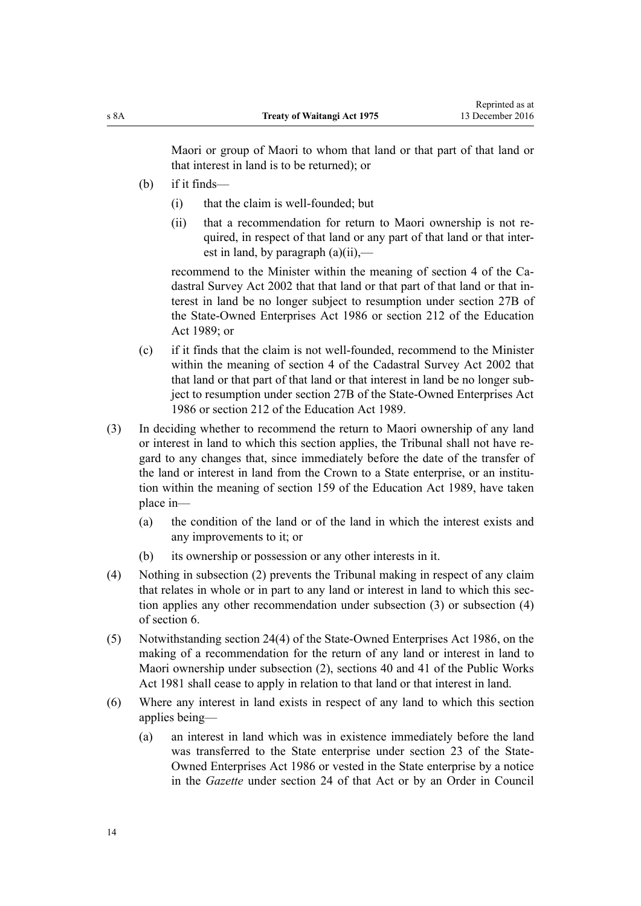Maori or group of Maori to whom that land or that part of that land or that interest in land is to be returned); or

- (b) if it finds—
	- (i) that the claim is well-founded; but
	- (ii) that a recommendation for return to Maori ownership is not required, in respect of that land or any part of that land or that interest in land, by paragraph (a)(ii),—

recommend to the Minister within the meaning of [section 4](http://prd-lgnz-nlb.prd.pco.net.nz/pdflink.aspx?id=DLM142402) of the Cadastral Survey Act 2002 that that land or that part of that land or that interest in land be no longer subject to resumption under [section 27B](http://prd-lgnz-nlb.prd.pco.net.nz/pdflink.aspx?id=DLM98400) of the State-Owned Enterprises Act 1986 or [section 212](http://prd-lgnz-nlb.prd.pco.net.nz/pdflink.aspx?id=DLM184660) of the Education Act 1989; or

- (c) if it finds that the claim is not well-founded, recommend to the Minister within the meaning of [section 4](http://prd-lgnz-nlb.prd.pco.net.nz/pdflink.aspx?id=DLM142402) of the Cadastral Survey Act 2002 that that land or that part of that land or that interest in land be no longer subject to resumption under [section 27B](http://prd-lgnz-nlb.prd.pco.net.nz/pdflink.aspx?id=DLM98400) of the State-Owned Enterprises Act 1986 or [section 212](http://prd-lgnz-nlb.prd.pco.net.nz/pdflink.aspx?id=DLM184660) of the Education Act 1989.
- (3) In deciding whether to recommend the return to Maori ownership of any land or interest in land to which this section applies, the Tribunal shall not have regard to any changes that, since immediately before the date of the transfer of the land or interest in land from the Crown to a State enterprise, or an institution within the meaning of [section 159](http://prd-lgnz-nlb.prd.pco.net.nz/pdflink.aspx?id=DLM182904) of the Education Act 1989, have taken place in—
	- (a) the condition of the land or of the land in which the interest exists and any improvements to it; or
	- (b) its ownership or possession or any other interests in it.
- (4) Nothing in subsection (2) prevents the Tribunal making in respect of any claim that relates in whole or in part to any land or interest in land to which this section applies any other recommendation under subsection (3) or subsection (4) of [section 6.](#page-5-0)
- (5) Notwithstanding [section 24\(4\)](http://prd-lgnz-nlb.prd.pco.net.nz/pdflink.aspx?id=DLM98075) of the State-Owned Enterprises Act 1986, on the making of a recommendation for the return of any land or interest in land to Maori ownership under subsection (2), [sections 40](http://prd-lgnz-nlb.prd.pco.net.nz/pdflink.aspx?id=DLM46055) and [41](http://prd-lgnz-nlb.prd.pco.net.nz/pdflink.aspx?id=DLM46068) of the Public Works Act 1981 shall cease to apply in relation to that land or that interest in land.
- (6) Where any interest in land exists in respect of any land to which this section applies being—
	- (a) an interest in land which was in existence immediately before the land was transferred to the State enterprise under [section 23](http://prd-lgnz-nlb.prd.pco.net.nz/pdflink.aspx?id=DLM98067) of the State-Owned Enterprises Act 1986 or vested in the State enterprise by a notice in the *Gazette* under [section 24](http://prd-lgnz-nlb.prd.pco.net.nz/pdflink.aspx?id=DLM98075) of that Act or by an Order in Council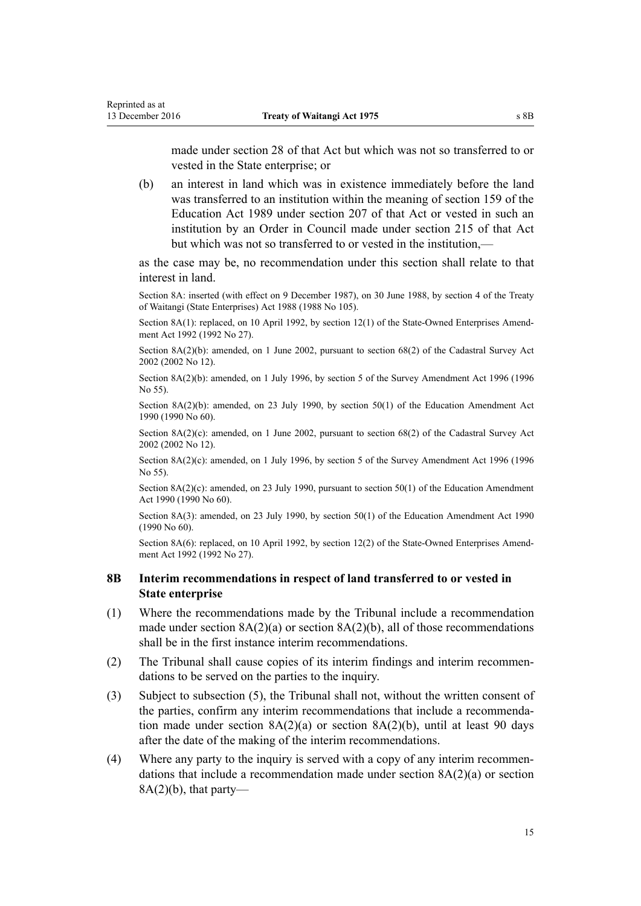<span id="page-14-0"></span>made under [section 28](http://prd-lgnz-nlb.prd.pco.net.nz/pdflink.aspx?id=DLM98409) of that Act but which was not so transferred to or vested in the State enterprise; or

(b) an interest in land which was in existence immediately before the land was transferred to an institution within the meaning of [section 159](http://prd-lgnz-nlb.prd.pco.net.nz/pdflink.aspx?id=DLM182904) of the Education Act 1989 under [section 207](http://prd-lgnz-nlb.prd.pco.net.nz/pdflink.aspx?id=DLM184649) of that Act or vested in such an institution by an Order in Council made under [section 215](http://prd-lgnz-nlb.prd.pco.net.nz/pdflink.aspx?id=DLM184667) of that Act but which was not so transferred to or vested in the institution,—

as the case may be, no recommendation under this section shall relate to that interest in land.

Section 8A: inserted (with effect on 9 December 1987), on 30 June 1988, by [section 4](http://prd-lgnz-nlb.prd.pco.net.nz/pdflink.aspx?id=DLM132571) of the Treaty of Waitangi (State Enterprises) Act 1988 (1988 No 105).

Section 8A(1): replaced, on 10 April 1992, by [section 12\(1\)](http://prd-lgnz-nlb.prd.pco.net.nz/pdflink.aspx?id=DLM261076) of the State-Owned Enterprises Amendment Act 1992 (1992 No 27).

Section 8A(2)(b): amended, on 1 June 2002, pursuant to [section 68\(2\)](http://prd-lgnz-nlb.prd.pco.net.nz/pdflink.aspx?id=DLM142638) of the Cadastral Survey Act 2002 (2002 No 12).

Section 8A(2)(b): amended, on 1 July 1996, by section 5 of the Survey Amendment Act 1996 (1996 No 55).

Section 8A(2)(b): amended, on 23 July 1990, by [section 50\(1\)](http://prd-lgnz-nlb.prd.pco.net.nz/pdflink.aspx?id=DLM212679) of the Education Amendment Act 1990 (1990 No 60).

Section 8A(2)(c): amended, on 1 June 2002, pursuant to [section 68\(2\)](http://prd-lgnz-nlb.prd.pco.net.nz/pdflink.aspx?id=DLM142638) of the Cadastral Survey Act 2002 (2002 No 12).

Section 8A(2)(c): amended, on 1 July 1996, by section 5 of the Survey Amendment Act 1996 (1996) No 55).

Section 8A(2)(c): amended, on 23 July 1990, pursuant to [section 50\(1\)](http://prd-lgnz-nlb.prd.pco.net.nz/pdflink.aspx?id=DLM212679) of the Education Amendment Act 1990 (1990 No 60).

Section 8A(3): amended, on 23 July 1990, by [section 50\(1\)](http://prd-lgnz-nlb.prd.pco.net.nz/pdflink.aspx?id=DLM212679) of the Education Amendment Act 1990 (1990 No 60).

Section 8A(6): replaced, on 10 April 1992, by [section 12\(2\)](http://prd-lgnz-nlb.prd.pco.net.nz/pdflink.aspx?id=DLM261076) of the State-Owned Enterprises Amendment Act 1992 (1992 No 27).

# **8B Interim recommendations in respect of land transferred to or vested in State enterprise**

- (1) Where the recommendations made by the Tribunal include a recommendation made under section  $8A(2)(a)$  or section  $8A(2)(b)$ , all of those recommendations shall be in the first instance interim recommendations.
- (2) The Tribunal shall cause copies of its interim findings and interim recommendations to be served on the parties to the inquiry.
- (3) Subject to subsection (5), the Tribunal shall not, without the written consent of the parties, confirm any interim recommendations that include a recommendation made under section  $8A(2)(a)$  or section  $8A(2)(b)$ , until at least 90 days after the date of the making of the interim recommendations.
- (4) Where any party to the inquiry is served with a copy of any interim recommendations that include a recommendation made under [section 8A\(2\)\(a\)](#page-12-0) or section  $8A(2)(b)$ , that party—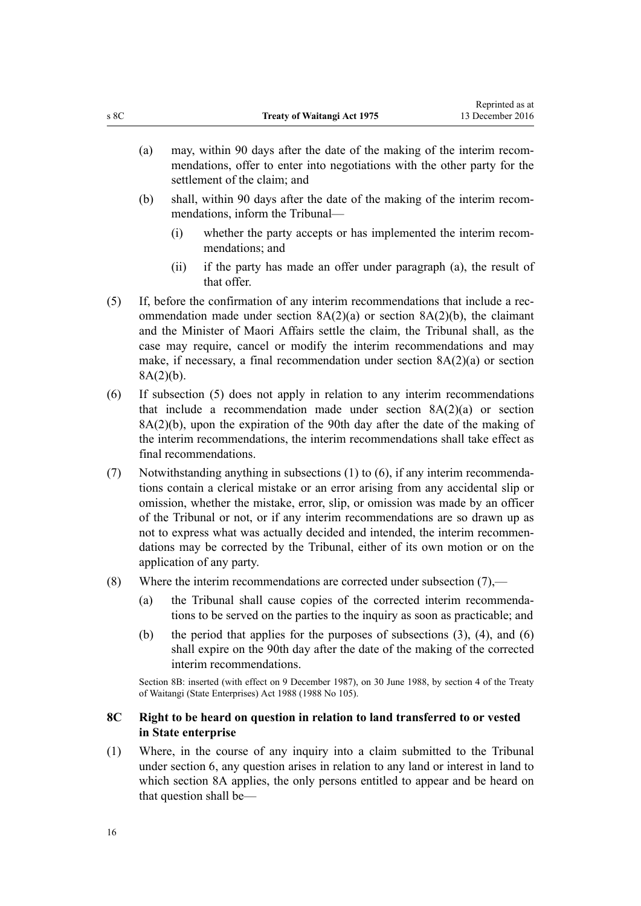- <span id="page-15-0"></span>(a) may, within 90 days after the date of the making of the interim recommendations, offer to enter into negotiations with the other party for the settlement of the claim; and
- (b) shall, within 90 days after the date of the making of the interim recommendations, inform the Tribunal—
	- (i) whether the party accepts or has implemented the interim recommendations; and
	- (ii) if the party has made an offer under paragraph (a), the result of that offer.
- (5) If, before the confirmation of any interim recommendations that include a recommendation made under section  $8A(2)(a)$  or section  $8A(2)(b)$ , the claimant and the Minister of Maori Affairs settle the claim, the Tribunal shall, as the case may require, cancel or modify the interim recommendations and may make, if necessary, a final recommendation under section 8A(2)(a) or section 8A(2)(b).
- (6) If subsection (5) does not apply in relation to any interim recommendations that include a recommendation made under [section 8A\(2\)\(a\)](#page-12-0) or section 8A(2)(b), upon the expiration of the 90th day after the date of the making of the interim recommendations, the interim recommendations shall take effect as final recommendations.
- (7) Notwithstanding anything in subsections (1) to (6), if any interim recommendations contain a clerical mistake or an error arising from any accidental slip or omission, whether the mistake, error, slip, or omission was made by an officer of the Tribunal or not, or if any interim recommendations are so drawn up as not to express what was actually decided and intended, the interim recommendations may be corrected by the Tribunal, either of its own motion or on the application of any party.
- (8) Where the interim recommendations are corrected under subsection  $(7)$ ,—
	- (a) the Tribunal shall cause copies of the corrected interim recommendations to be served on the parties to the inquiry as soon as practicable; and
	- (b) the period that applies for the purposes of subsections (3), (4), and (6) shall expire on the 90th day after the date of the making of the corrected interim recommendations.

Section 8B: inserted (with effect on 9 December 1987), on 30 June 1988, by [section 4](http://prd-lgnz-nlb.prd.pco.net.nz/pdflink.aspx?id=DLM132571) of the Treaty of Waitangi (State Enterprises) Act 1988 (1988 No 105).

# **8C Right to be heard on question in relation to land transferred to or vested in State enterprise**

(1) Where, in the course of any inquiry into a claim submitted to the Tribunal under [section 6](#page-5-0), any question arises in relation to any land or interest in land to which [section 8A](#page-12-0) applies, the only persons entitled to appear and be heard on that question shall be—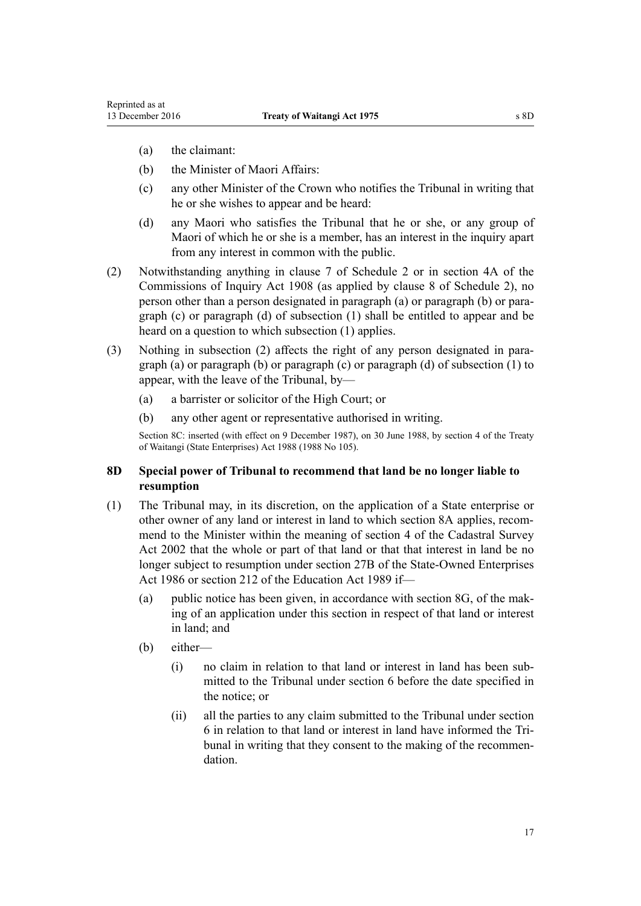- <span id="page-16-0"></span>(a) the claimant:
- (b) the Minister of Maori Affairs:
- (c) any other Minister of the Crown who notifies the Tribunal in writing that he or she wishes to appear and be heard:
- (d) any Maori who satisfies the Tribunal that he or she, or any group of Maori of which he or she is a member, has an interest in the inquiry apart from any interest in common with the public.
- (2) Notwithstanding anything in [clause 7](#page-37-0) of Schedule 2 or in [section 4A](http://prd-lgnz-nlb.prd.pco.net.nz/pdflink.aspx?id=DLM139150) of the Commissions of Inquiry Act 1908 (as applied by [clause 8](#page-37-0) of Schedule 2), no person other than a person designated in paragraph (a) or paragraph (b) or paragraph (c) or paragraph (d) of subsection (1) shall be entitled to appear and be heard on a question to which subsection (1) applies.
- (3) Nothing in subsection (2) affects the right of any person designated in paragraph (a) or paragraph (b) or paragraph (c) or paragraph (d) of subsection (1) to appear, with the leave of the Tribunal, by—
	- (a) a barrister or solicitor of the High Court; or
	- (b) any other agent or representative authorised in writing.

Section 8C: inserted (with effect on 9 December 1987), on 30 June 1988, by [section 4](http://prd-lgnz-nlb.prd.pco.net.nz/pdflink.aspx?id=DLM132571) of the Treaty of Waitangi (State Enterprises) Act 1988 (1988 No 105).

### **8D Special power of Tribunal to recommend that land be no longer liable to resumption**

- (1) The Tribunal may, in its discretion, on the application of a State enterprise or other owner of any land or interest in land to which [section 8A](#page-12-0) applies, recommend to the Minister within the meaning of [section 4](http://prd-lgnz-nlb.prd.pco.net.nz/pdflink.aspx?id=DLM142402) of the Cadastral Survey Act 2002 that the whole or part of that land or that that interest in land be no longer subject to resumption under [section 27B](http://prd-lgnz-nlb.prd.pco.net.nz/pdflink.aspx?id=DLM98400) of the State-Owned Enterprises Act 1986 or [section 212](http://prd-lgnz-nlb.prd.pco.net.nz/pdflink.aspx?id=DLM184660) of the Education Act 1989 if—
	- (a) public notice has been given, in accordance with [section 8G,](#page-19-0) of the making of an application under this section in respect of that land or interest in land; and
	- (b) either—
		- (i) no claim in relation to that land or interest in land has been submitted to the Tribunal under [section 6](#page-5-0) before the date specified in the notice; or
		- (ii) all the parties to any claim submitted to the Tribunal under [section](#page-5-0) [6](#page-5-0) in relation to that land or interest in land have informed the Tribunal in writing that they consent to the making of the recommendation.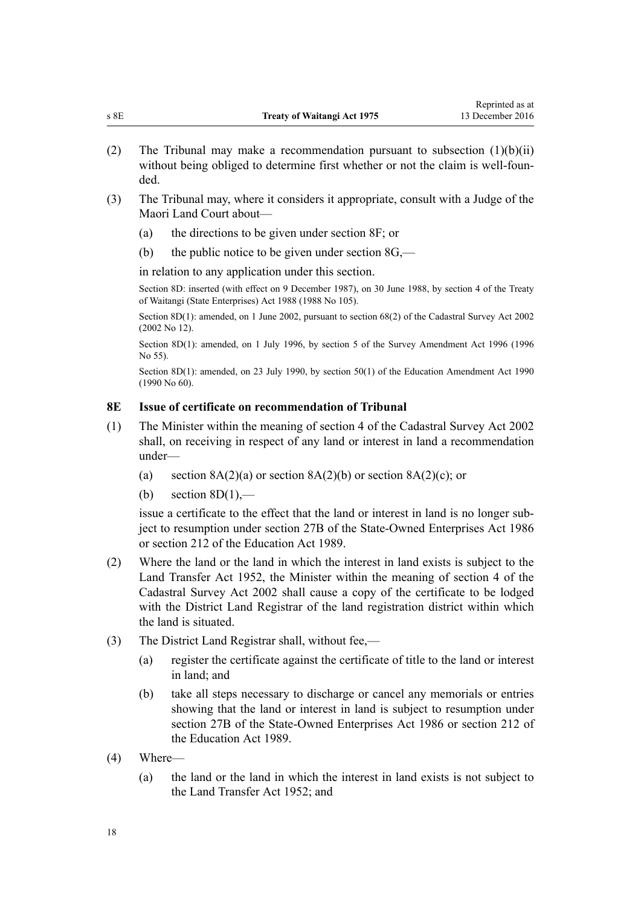- <span id="page-17-0"></span>(2) The Tribunal may make a recommendation pursuant to subsection (1)(b)(ii) without being obliged to determine first whether or not the claim is well-founded.
- (3) The Tribunal may, where it considers it appropriate, consult with a Judge of the Maori Land Court about—
	- (a) the directions to be given under [section 8F;](#page-18-0) or
	- (b) the public notice to be given under section  $8G$ ,—

in relation to any application under this section.

Section 8D: inserted (with effect on 9 December 1987), on 30 June 1988, by [section 4](http://prd-lgnz-nlb.prd.pco.net.nz/pdflink.aspx?id=DLM132571) of the Treaty of Waitangi (State Enterprises) Act 1988 (1988 No 105).

Section 8D(1): amended, on 1 June 2002, pursuant to [section 68\(2\)](http://prd-lgnz-nlb.prd.pco.net.nz/pdflink.aspx?id=DLM142638) of the Cadastral Survey Act 2002 (2002 No 12).

Section 8D(1): amended, on 1 July 1996, by section 5 of the Survey Amendment Act 1996 (1996 No 55).

Section 8D(1): amended, on 23 July 1990, by [section 50\(1\)](http://prd-lgnz-nlb.prd.pco.net.nz/pdflink.aspx?id=DLM212679) of the Education Amendment Act 1990 (1990 No 60).

# **8E Issue of certificate on recommendation of Tribunal**

- (1) The Minister within the meaning of [section 4](http://prd-lgnz-nlb.prd.pco.net.nz/pdflink.aspx?id=DLM142402) of the Cadastral Survey Act 2002 shall, on receiving in respect of any land or interest in land a recommendation under—
	- (a) section  $8A(2)(a)$  or section  $8A(2)(b)$  or section  $8A(2)(c)$ ; or
	- (b) section  $8D(1)$ ,—

issue a certificate to the effect that the land or interest in land is no longer subject to resumption under [section 27B](http://prd-lgnz-nlb.prd.pco.net.nz/pdflink.aspx?id=DLM98400) of the State-Owned Enterprises Act 1986 or [section 212](http://prd-lgnz-nlb.prd.pco.net.nz/pdflink.aspx?id=DLM184660) of the Education Act 1989.

- (2) Where the land or the land in which the interest in land exists is subject to the [Land Transfer Act 1952,](http://prd-lgnz-nlb.prd.pco.net.nz/pdflink.aspx?id=DLM269031) the Minister within the meaning of [section 4](http://prd-lgnz-nlb.prd.pco.net.nz/pdflink.aspx?id=DLM142402) of the Cadastral Survey Act 2002 shall cause a copy of the certificate to be lodged with the District Land Registrar of the land registration district within which the land is situated.
- (3) The District Land Registrar shall, without fee,—
	- (a) register the certificate against the certificate of title to the land or interest in land; and
	- (b) take all steps necessary to discharge or cancel any memorials or entries showing that the land or interest in land is subject to resumption under [section 27B](http://prd-lgnz-nlb.prd.pco.net.nz/pdflink.aspx?id=DLM98400) of the State-Owned Enterprises Act 1986 or [section 212](http://prd-lgnz-nlb.prd.pco.net.nz/pdflink.aspx?id=DLM184660) of the Education Act 1989.
- (4) Where—
	- (a) the land or the land in which the interest in land exists is not subject to the [Land Transfer Act 1952;](http://prd-lgnz-nlb.prd.pco.net.nz/pdflink.aspx?id=DLM269031) and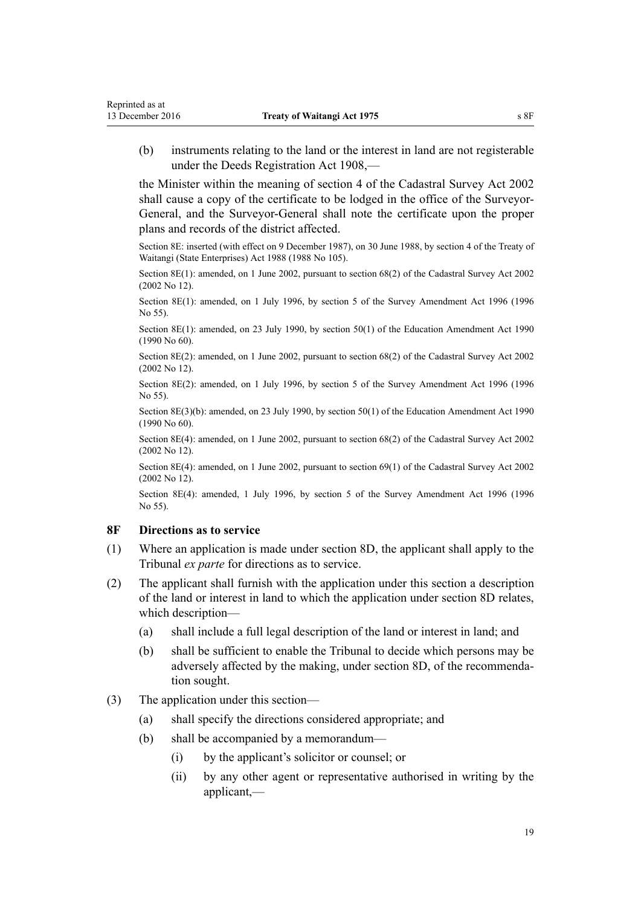<span id="page-18-0"></span>(b) instruments relating to the land or the interest in land are not registerable under the [Deeds Registration Act 1908](http://prd-lgnz-nlb.prd.pco.net.nz/pdflink.aspx?id=DLM141134),—

the Minister within the meaning of [section 4](http://prd-lgnz-nlb.prd.pco.net.nz/pdflink.aspx?id=DLM142402) of the Cadastral Survey Act 2002 shall cause a copy of the certificate to be lodged in the office of the Surveyor-General, and the Surveyor-General shall note the certificate upon the proper plans and records of the district affected.

Section 8E: inserted (with effect on 9 December 1987), on 30 June 1988, by [section 4](http://prd-lgnz-nlb.prd.pco.net.nz/pdflink.aspx?id=DLM132571) of the Treaty of Waitangi (State Enterprises) Act 1988 (1988 No 105).

Section 8E(1): amended, on 1 June 2002, pursuant to [section 68\(2\)](http://prd-lgnz-nlb.prd.pco.net.nz/pdflink.aspx?id=DLM142638) of the Cadastral Survey Act 2002 (2002 No 12).

Section 8E(1): amended, on 1 July 1996, by section 5 of the Survey Amendment Act 1996 (1996 No 55).

Section 8E(1): amended, on 23 July 1990, by [section 50\(1\)](http://prd-lgnz-nlb.prd.pco.net.nz/pdflink.aspx?id=DLM212679) of the Education Amendment Act 1990 (1990 No 60).

Section 8E(2): amended, on 1 June 2002, pursuant to [section 68\(2\)](http://prd-lgnz-nlb.prd.pco.net.nz/pdflink.aspx?id=DLM142638) of the Cadastral Survey Act 2002 (2002 No 12).

Section 8E(2): amended, on 1 July 1996, by section 5 of the Survey Amendment Act 1996 (1996 No 55).

Section 8E(3)(b): amended, on 23 July 1990, by [section 50\(1\)](http://prd-lgnz-nlb.prd.pco.net.nz/pdflink.aspx?id=DLM212679) of the Education Amendment Act 1990 (1990 No 60).

Section 8E(4): amended, on 1 June 2002, pursuant to [section 68\(2\)](http://prd-lgnz-nlb.prd.pco.net.nz/pdflink.aspx?id=DLM142638) of the Cadastral Survey Act 2002 (2002 No 12).

Section 8E(4): amended, on 1 June 2002, pursuant to [section 69\(1\)](http://prd-lgnz-nlb.prd.pco.net.nz/pdflink.aspx?id=DLM142639) of the Cadastral Survey Act 2002 (2002 No 12).

Section 8E(4): amended, 1 July 1996, by section 5 of the Survey Amendment Act 1996 (1996 No 55).

# **8F Directions as to service**

- (1) Where an application is made under [section 8D](#page-16-0), the applicant shall apply to the Tribunal *ex parte* for directions as to service.
- (2) The applicant shall furnish with the application under this section a description of the land or interest in land to which the application under [section 8D](#page-16-0) relates, which description—
	- (a) shall include a full legal description of the land or interest in land; and
	- (b) shall be sufficient to enable the Tribunal to decide which persons may be adversely affected by the making, under [section 8D](#page-16-0), of the recommendation sought.
- (3) The application under this section—
	- (a) shall specify the directions considered appropriate; and
	- (b) shall be accompanied by a memorandum—
		- (i) by the applicant's solicitor or counsel; or
		- (ii) by any other agent or representative authorised in writing by the applicant,—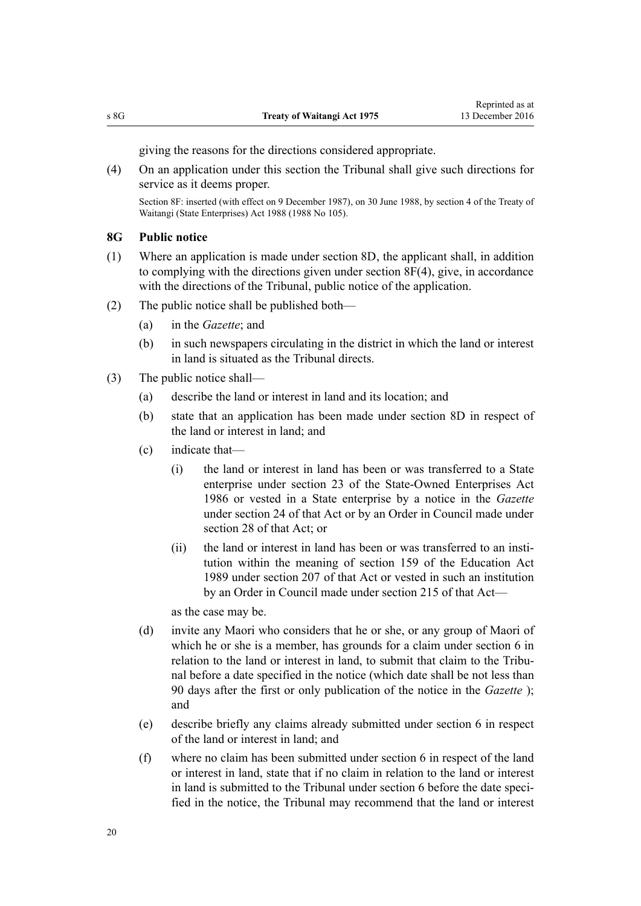giving the reasons for the directions considered appropriate.

<span id="page-19-0"></span>(4) On an application under this section the Tribunal shall give such directions for service as it deems proper.

Section 8F: inserted (with effect on 9 December 1987), on 30 June 1988, by [section 4](http://prd-lgnz-nlb.prd.pco.net.nz/pdflink.aspx?id=DLM132571) of the Treaty of Waitangi (State Enterprises) Act 1988 (1988 No 105).

# **8G Public notice**

- (1) Where an application is made under [section 8D,](#page-16-0) the applicant shall, in addition to complying with the directions given under [section 8F\(4\),](#page-18-0) give, in accordance with the directions of the Tribunal, public notice of the application.
- (2) The public notice shall be published both—
	- (a) in the *Gazette*; and
	- (b) in such newspapers circulating in the district in which the land or interest in land is situated as the Tribunal directs.
- (3) The public notice shall—
	- (a) describe the land or interest in land and its location; and
	- (b) state that an application has been made under [section 8D](#page-16-0) in respect of the land or interest in land; and
	- (c) indicate that—
		- (i) the land or interest in land has been or was transferred to a State enterprise under [section 23](http://prd-lgnz-nlb.prd.pco.net.nz/pdflink.aspx?id=DLM98067) of the State-Owned Enterprises Act 1986 or vested in a State enterprise by a notice in the *Gazette* under [section 24](http://prd-lgnz-nlb.prd.pco.net.nz/pdflink.aspx?id=DLM98075) of that Act or by an Order in Council made under [section 28](http://prd-lgnz-nlb.prd.pco.net.nz/pdflink.aspx?id=DLM98409) of that Act: or
		- (ii) the land or interest in land has been or was transferred to an institution within the meaning of [section 159](http://prd-lgnz-nlb.prd.pco.net.nz/pdflink.aspx?id=DLM182904) of the Education Act 1989 under [section 207](http://prd-lgnz-nlb.prd.pco.net.nz/pdflink.aspx?id=DLM184649) of that Act or vested in such an institution by an Order in Council made under [section 215](http://prd-lgnz-nlb.prd.pco.net.nz/pdflink.aspx?id=DLM184667) of that Act—

as the case may be.

- (d) invite any Maori who considers that he or she, or any group of Maori of which he or she is a member, has grounds for a claim under [section 6](#page-5-0) in relation to the land or interest in land, to submit that claim to the Tribunal before a date specified in the notice (which date shall be not less than 90 days after the first or only publication of the notice in the *Gazette* ); and
- (e) describe briefly any claims already submitted under [section 6](#page-5-0) in respect of the land or interest in land; and
- (f) where no claim has been submitted under [section 6](#page-5-0) in respect of the land or interest in land, state that if no claim in relation to the land or interest in land is submitted to the Tribunal under section 6 before the date specified in the notice, the Tribunal may recommend that the land or interest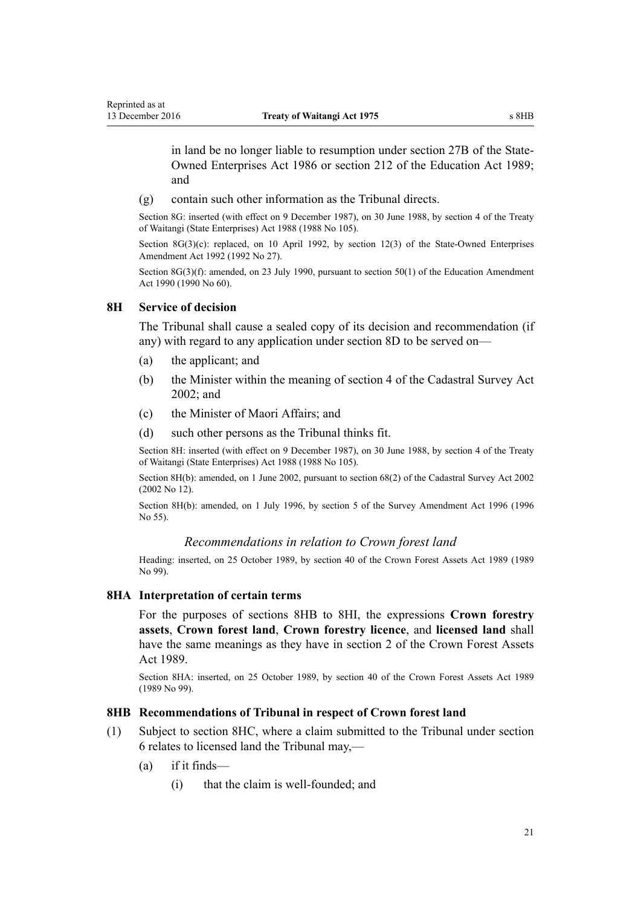<span id="page-20-0"></span>in land be no longer liable to resumption under [section 27B](http://prd-lgnz-nlb.prd.pco.net.nz/pdflink.aspx?id=DLM98400) of the State-Owned Enterprises Act 1986 or [section 212](http://prd-lgnz-nlb.prd.pco.net.nz/pdflink.aspx?id=DLM184660) of the Education Act 1989; and

(g) contain such other information as the Tribunal directs.

Section 8G: inserted (with effect on 9 December 1987), on 30 June 1988, by [section 4](http://prd-lgnz-nlb.prd.pco.net.nz/pdflink.aspx?id=DLM132571) of the Treaty of Waitangi (State Enterprises) Act 1988 (1988 No 105).

Section 8G(3)(c): replaced, on 10 April 1992, by [section 12\(3\)](http://prd-lgnz-nlb.prd.pco.net.nz/pdflink.aspx?id=DLM261076) of the State-Owned Enterprises Amendment Act 1992 (1992 No 27).

Section 8G(3)(f): amended, on 23 July 1990, pursuant to [section 50\(1\)](http://prd-lgnz-nlb.prd.pco.net.nz/pdflink.aspx?id=DLM212679) of the Education Amendment Act 1990 (1990 No 60).

### **8H Service of decision**

The Tribunal shall cause a sealed copy of its decision and recommendation (if any) with regard to any application under [section 8D](#page-16-0) to be served on—

- (a) the applicant; and
- (b) the Minister within the meaning of [section 4](http://prd-lgnz-nlb.prd.pco.net.nz/pdflink.aspx?id=DLM142402) of the Cadastral Survey Act 2002; and
- (c) the Minister of Maori Affairs; and
- (d) such other persons as the Tribunal thinks fit.

Section 8H: inserted (with effect on 9 December 1987), on 30 June 1988, by [section 4](http://prd-lgnz-nlb.prd.pco.net.nz/pdflink.aspx?id=DLM132571) of the Treaty of Waitangi (State Enterprises) Act 1988 (1988 No 105).

Section 8H(b): amended, on 1 June 2002, pursuant to [section 68\(2\)](http://prd-lgnz-nlb.prd.pco.net.nz/pdflink.aspx?id=DLM142638) of the Cadastral Survey Act 2002 (2002 No 12).

Section 8H(b): amended, on 1 July 1996, by section 5 of the Survey Amendment Act 1996 (1996 No 55).

#### *Recommendations in relation to Crown forest land*

Heading: inserted, on 25 October 1989, by [section 40](http://prd-lgnz-nlb.prd.pco.net.nz/pdflink.aspx?id=DLM192363) of the Crown Forest Assets Act 1989 (1989 No 99).

### **8HA Interpretation of certain terms**

For the purposes of sections 8HB to 8HI, the expressions **Crown forestry assets**, **Crown forest land**, **Crown forestry licence**, and **licensed land** shall have the same meanings as they have in [section 2](http://prd-lgnz-nlb.prd.pco.net.nz/pdflink.aspx?id=DLM191774) of the Crown Forest Assets Act 1989.

Section 8HA: inserted, on 25 October 1989, by [section 40](http://prd-lgnz-nlb.prd.pco.net.nz/pdflink.aspx?id=DLM192363) of the Crown Forest Assets Act 1989 (1989 No 99).

#### **8HB Recommendations of Tribunal in respect of Crown forest land**

- (1) Subject to [section 8HC](#page-22-0), where a claim submitted to the Tribunal under [section](#page-5-0) [6](#page-5-0) relates to licensed land the Tribunal may,—
	- (a) if it finds—
		- (i) that the claim is well-founded; and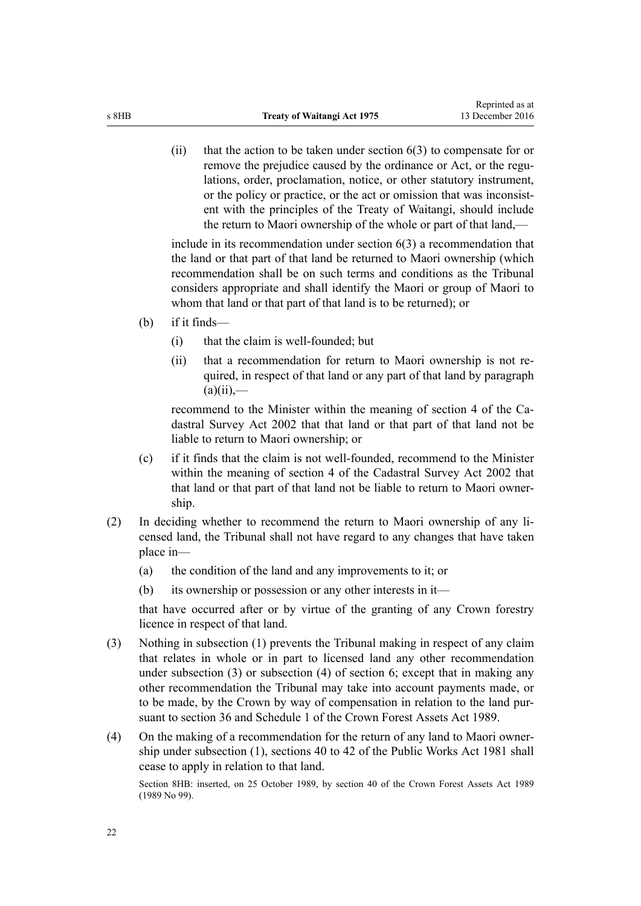(ii) that the action to be taken under [section 6\(3\)](#page-5-0) to compensate for or remove the prejudice caused by the ordinance or Act, or the regulations, order, proclamation, notice, or other statutory instrument, or the policy or practice, or the act or omission that was inconsistent with the principles of the [Treaty of Waitangi](#page-29-0), should include the return to Maori ownership of the whole or part of that land,—

include in its recommendation under [section 6\(3\)](#page-5-0) a recommendation that the land or that part of that land be returned to Maori ownership (which recommendation shall be on such terms and conditions as the Tribunal considers appropriate and shall identify the Maori or group of Maori to whom that land or that part of that land is to be returned); or

- (b) if it finds—
	- (i) that the claim is well-founded; but
	- (ii) that a recommendation for return to Maori ownership is not required, in respect of that land or any part of that land by paragraph  $(a)(ii)$ ,—

recommend to the Minister within the meaning of [section 4](http://prd-lgnz-nlb.prd.pco.net.nz/pdflink.aspx?id=DLM142402) of the Cadastral Survey Act 2002 that that land or that part of that land not be liable to return to Maori ownership; or

- (c) if it finds that the claim is not well-founded, recommend to the Minister within the meaning of [section 4](http://prd-lgnz-nlb.prd.pco.net.nz/pdflink.aspx?id=DLM142402) of the Cadastral Survey Act 2002 that that land or that part of that land not be liable to return to Maori ownership.
- (2) In deciding whether to recommend the return to Maori ownership of any licensed land, the Tribunal shall not have regard to any changes that have taken place in—
	- (a) the condition of the land and any improvements to it; or
	- (b) its ownership or possession or any other interests in it—

that have occurred after or by virtue of the granting of any Crown forestry licence in respect of that land.

- (3) Nothing in subsection (1) prevents the Tribunal making in respect of any claim that relates in whole or in part to licensed land any other recommendation under subsection (3) or subsection (4) of [section 6;](#page-5-0) except that in making any other recommendation the Tribunal may take into account payments made, or to be made, by the Crown by way of compensation in relation to the land pursuant to [section 36](http://prd-lgnz-nlb.prd.pco.net.nz/pdflink.aspx?id=DLM192358) and [Schedule 1](http://prd-lgnz-nlb.prd.pco.net.nz/pdflink.aspx?id=DLM192381) of the Crown Forest Assets Act 1989.
- (4) On the making of a recommendation for the return of any land to Maori ownership under subsection (1), [sections 40 to 42](http://prd-lgnz-nlb.prd.pco.net.nz/pdflink.aspx?id=DLM46055) of the Public Works Act 1981 shall cease to apply in relation to that land.

Section 8HB: inserted, on 25 October 1989, by [section 40](http://prd-lgnz-nlb.prd.pco.net.nz/pdflink.aspx?id=DLM192363) of the Crown Forest Assets Act 1989 (1989 No 99).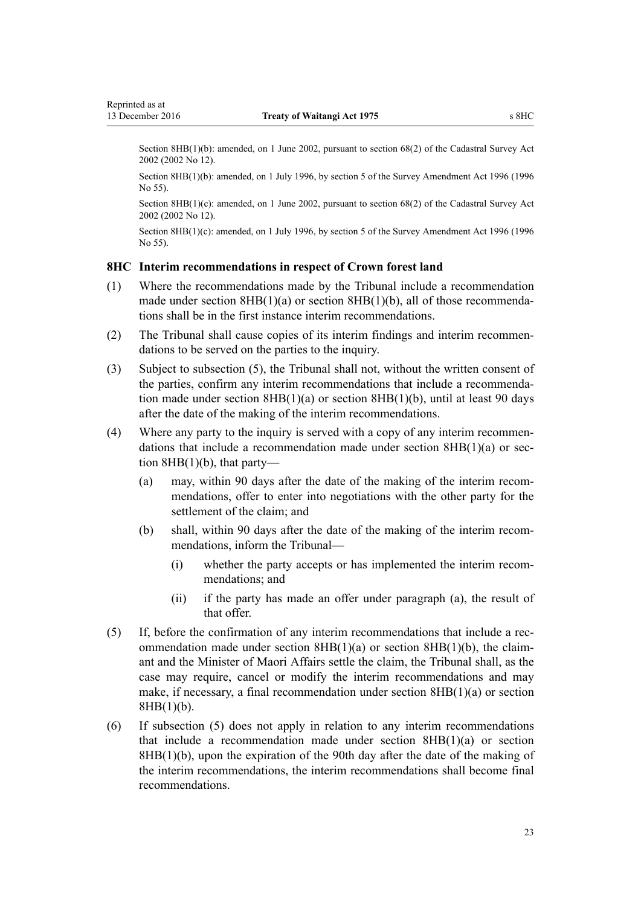<span id="page-22-0"></span>Section 8HB(1)(b): amended, on 1 June 2002, pursuant to [section 68\(2\)](http://prd-lgnz-nlb.prd.pco.net.nz/pdflink.aspx?id=DLM142638) of the Cadastral Survey Act 2002 (2002 No 12).

Section 8HB(1)(b): amended, on 1 July 1996, by section 5 of the Survey Amendment Act 1996 (1996 No 55).

Section 8HB(1)(c): amended, on 1 June 2002, pursuant to [section 68\(2\)](http://prd-lgnz-nlb.prd.pco.net.nz/pdflink.aspx?id=DLM142638) of the Cadastral Survey Act 2002 (2002 No 12).

Section 8HB(1)(c): amended, on 1 July 1996, by section 5 of the Survey Amendment Act 1996 (1996) No 55).

#### **8HC Interim recommendations in respect of Crown forest land**

- (1) Where the recommendations made by the Tribunal include a recommendation made under section  $8HB(1)(a)$  or section  $8HB(1)(b)$ , all of those recommendations shall be in the first instance interim recommendations.
- (2) The Tribunal shall cause copies of its interim findings and interim recommendations to be served on the parties to the inquiry.
- (3) Subject to subsection (5), the Tribunal shall not, without the written consent of the parties, confirm any interim recommendations that include a recommendation made under [section 8HB\(1\)\(a\)](#page-20-0) or section 8HB(1)(b), until at least 90 days after the date of the making of the interim recommendations.
- (4) Where any party to the inquiry is served with a copy of any interim recommendations that include a recommendation made under [section 8HB\(1\)\(a\)](#page-20-0) or section  $8HB(1)(b)$ , that party—
	- (a) may, within 90 days after the date of the making of the interim recommendations, offer to enter into negotiations with the other party for the settlement of the claim; and
	- (b) shall, within 90 days after the date of the making of the interim recommendations, inform the Tribunal—
		- (i) whether the party accepts or has implemented the interim recommendations; and
		- (ii) if the party has made an offer under paragraph (a), the result of that offer.
- (5) If, before the confirmation of any interim recommendations that include a recommendation made under section  $8HB(1)(a)$  or section  $8HB(1)(b)$ , the claimant and the Minister of Maori Affairs settle the claim, the Tribunal shall, as the case may require, cancel or modify the interim recommendations and may make, if necessary, a final recommendation under section 8HB(1)(a) or section 8HB(1)(b).
- (6) If subsection (5) does not apply in relation to any interim recommendations that include a recommendation made under [section 8HB\(1\)\(a\)](#page-20-0) or section  $8HB(1)(b)$ , upon the expiration of the 90th day after the date of the making of the interim recommendations, the interim recommendations shall become final recommendations.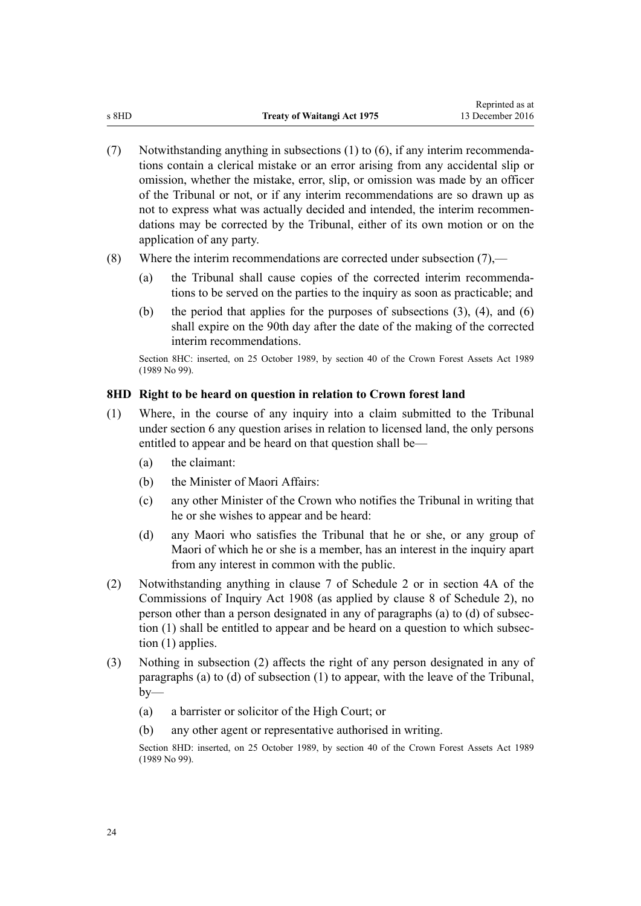- <span id="page-23-0"></span>(7) Notwithstanding anything in subsections (1) to (6), if any interim recommendations contain a clerical mistake or an error arising from any accidental slip or omission, whether the mistake, error, slip, or omission was made by an officer of the Tribunal or not, or if any interim recommendations are so drawn up as not to express what was actually decided and intended, the interim recommendations may be corrected by the Tribunal, either of its own motion or on the application of any party.
- (8) Where the interim recommendations are corrected under subsection (7),—
	- (a) the Tribunal shall cause copies of the corrected interim recommendations to be served on the parties to the inquiry as soon as practicable; and
	- (b) the period that applies for the purposes of subsections  $(3)$ ,  $(4)$ , and  $(6)$ shall expire on the 90th day after the date of the making of the corrected interim recommendations.

Section 8HC: inserted, on 25 October 1989, by [section 40](http://prd-lgnz-nlb.prd.pco.net.nz/pdflink.aspx?id=DLM192363) of the Crown Forest Assets Act 1989 (1989 No 99).

# **8HD Right to be heard on question in relation to Crown forest land**

- (1) Where, in the course of any inquiry into a claim submitted to the Tribunal under [section 6](#page-5-0) any question arises in relation to licensed land, the only persons entitled to appear and be heard on that question shall be—
	- (a) the claimant:
	- (b) the Minister of Maori Affairs:
	- (c) any other Minister of the Crown who notifies the Tribunal in writing that he or she wishes to appear and be heard:
	- (d) any Maori who satisfies the Tribunal that he or she, or any group of Maori of which he or she is a member, has an interest in the inquiry apart from any interest in common with the public.
- (2) Notwithstanding anything in [clause 7](#page-37-0) of Schedule 2 or in [section 4A](http://prd-lgnz-nlb.prd.pco.net.nz/pdflink.aspx?id=DLM139150) of the Commissions of Inquiry Act 1908 (as applied by [clause 8](#page-37-0) of Schedule 2), no person other than a person designated in any of paragraphs (a) to (d) of subsection (1) shall be entitled to appear and be heard on a question to which subsection (1) applies.
- (3) Nothing in subsection (2) affects the right of any person designated in any of paragraphs (a) to (d) of subsection (1) to appear, with the leave of the Tribunal,  $by-$ 
	- (a) a barrister or solicitor of the High Court; or
	- (b) any other agent or representative authorised in writing.

Section 8HD: inserted, on 25 October 1989, by [section 40](http://prd-lgnz-nlb.prd.pco.net.nz/pdflink.aspx?id=DLM192363) of the Crown Forest Assets Act 1989 (1989 No 99).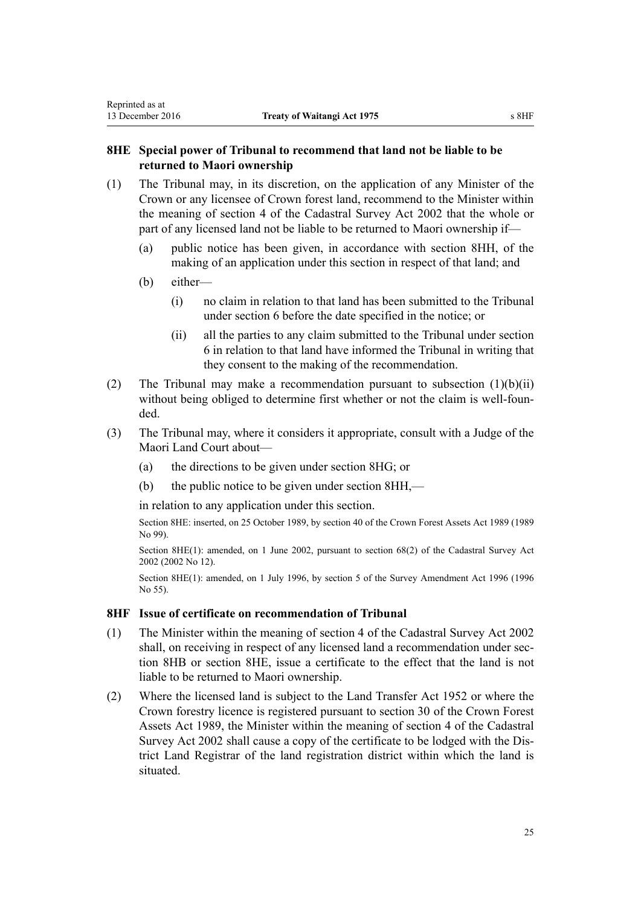# <span id="page-24-0"></span>**8HE Special power of Tribunal to recommend that land not be liable to be returned to Maori ownership**

- (1) The Tribunal may, in its discretion, on the application of any Minister of the Crown or any licensee of Crown forest land, recommend to the Minister within the meaning of [section 4](http://prd-lgnz-nlb.prd.pco.net.nz/pdflink.aspx?id=DLM142402) of the Cadastral Survey Act 2002 that the whole or part of any licensed land not be liable to be returned to Maori ownership if—
	- (a) public notice has been given, in accordance with [section 8HH](#page-26-0), of the making of an application under this section in respect of that land; and
	- (b) either—
		- (i) no claim in relation to that land has been submitted to the Tribunal under [section 6](#page-5-0) before the date specified in the notice; or
		- (ii) all the parties to any claim submitted to the Tribunal under [section](#page-5-0) [6](#page-5-0) in relation to that land have informed the Tribunal in writing that they consent to the making of the recommendation.
- (2) The Tribunal may make a recommendation pursuant to subsection  $(1)(b)(ii)$ without being obliged to determine first whether or not the claim is well-founded.
- (3) The Tribunal may, where it considers it appropriate, consult with a Judge of the Maori Land Court about—
	- (a) the directions to be given under [section 8HG](#page-25-0); or
	- (b) the public notice to be given under [section 8HH,](#page-26-0)—

in relation to any application under this section.

Section 8HE: inserted, on 25 October 1989, by [section 40](http://prd-lgnz-nlb.prd.pco.net.nz/pdflink.aspx?id=DLM192363) of the Crown Forest Assets Act 1989 (1989 No 99).

Section 8HE(1): amended, on 1 June 2002, pursuant to [section 68\(2\)](http://prd-lgnz-nlb.prd.pco.net.nz/pdflink.aspx?id=DLM142638) of the Cadastral Survey Act 2002 (2002 No 12).

Section 8HE(1): amended, on 1 July 1996, by section 5 of the Survey Amendment Act 1996 (1996 No 55).

#### **8HF Issue of certificate on recommendation of Tribunal**

- (1) The Minister within the meaning of [section 4](http://prd-lgnz-nlb.prd.pco.net.nz/pdflink.aspx?id=DLM142402) of the Cadastral Survey Act 2002 shall, on receiving in respect of any licensed land a recommendation under [sec](#page-20-0)[tion 8HB](#page-20-0) or section 8HE, issue a certificate to the effect that the land is not liable to be returned to Maori ownership.
- (2) Where the licensed land is subject to the [Land Transfer Act 1952](http://prd-lgnz-nlb.prd.pco.net.nz/pdflink.aspx?id=DLM269031) or where the Crown forestry licence is registered pursuant to [section 30](http://prd-lgnz-nlb.prd.pco.net.nz/pdflink.aspx?id=DLM192349) of the Crown Forest Assets Act 1989, the Minister within the meaning of [section 4](http://prd-lgnz-nlb.prd.pco.net.nz/pdflink.aspx?id=DLM142402) of the Cadastral Survey Act 2002 shall cause a copy of the certificate to be lodged with the District Land Registrar of the land registration district within which the land is situated.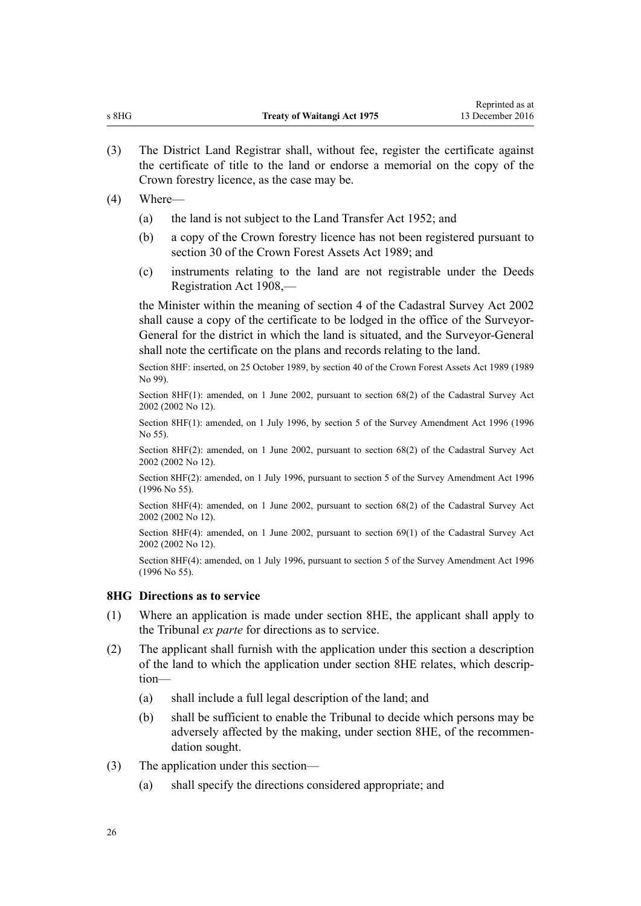<span id="page-25-0"></span>(3) The District Land Registrar shall, without fee, register the certificate against the certificate of title to the land or endorse a memorial on the copy of the Crown forestry licence, as the case may be.

#### (4) Where—

- (a) the land is not subject to the [Land Transfer Act 1952;](http://prd-lgnz-nlb.prd.pco.net.nz/pdflink.aspx?id=DLM269031) and
- (b) a copy of the Crown forestry licence has not been registered pursuant to [section 30](http://prd-lgnz-nlb.prd.pco.net.nz/pdflink.aspx?id=DLM192349) of the Crown Forest Assets Act 1989; and
- (c) instruments relating to the land are not registrable under the [Deeds](http://prd-lgnz-nlb.prd.pco.net.nz/pdflink.aspx?id=DLM141134) [Registration Act 1908,](http://prd-lgnz-nlb.prd.pco.net.nz/pdflink.aspx?id=DLM141134)—

the Minister within the meaning of [section 4](http://prd-lgnz-nlb.prd.pco.net.nz/pdflink.aspx?id=DLM142402) of the Cadastral Survey Act 2002 shall cause a copy of the certificate to be lodged in the office of the Surveyor-General for the district in which the land is situated, and the Surveyor-General shall note the certificate on the plans and records relating to the land.

Section 8HF: inserted, on 25 October 1989, by [section 40](http://prd-lgnz-nlb.prd.pco.net.nz/pdflink.aspx?id=DLM192363) of the Crown Forest Assets Act 1989 (1989 No 99).

Section 8HF(1): amended, on 1 June 2002, pursuant to [section 68\(2\)](http://prd-lgnz-nlb.prd.pco.net.nz/pdflink.aspx?id=DLM142638) of the Cadastral Survey Act 2002 (2002 No 12).

Section 8HF(1): amended, on 1 July 1996, by section 5 of the Survey Amendment Act 1996 (1996 No 55).

Section 8HF(2): amended, on 1 June 2002, pursuant to [section 68\(2\)](http://prd-lgnz-nlb.prd.pco.net.nz/pdflink.aspx?id=DLM142638) of the Cadastral Survey Act 2002 (2002 No 12).

Section 8HF(2): amended, on 1 July 1996, pursuant to section 5 of the Survey Amendment Act 1996 (1996 No 55).

Section 8HF(4): amended, on 1 June 2002, pursuant to [section 68\(2\)](http://prd-lgnz-nlb.prd.pco.net.nz/pdflink.aspx?id=DLM142638) of the Cadastral Survey Act 2002 (2002 No 12).

Section 8HF(4): amended, on 1 June 2002, pursuant to [section 69\(1\)](http://prd-lgnz-nlb.prd.pco.net.nz/pdflink.aspx?id=DLM142639) of the Cadastral Survey Act 2002 (2002 No 12).

Section 8HF(4): amended, on 1 July 1996, pursuant to section 5 of the Survey Amendment Act 1996 (1996 No 55).

#### **8HG Directions as to service**

- (1) Where an application is made under [section 8HE](#page-24-0), the applicant shall apply to the Tribunal *ex parte* for directions as to service.
- (2) The applicant shall furnish with the application under this section a description of the land to which the application under [section 8HE](#page-24-0) relates, which description—
	- (a) shall include a full legal description of the land; and
	- (b) shall be sufficient to enable the Tribunal to decide which persons may be adversely affected by the making, under [section 8HE,](#page-24-0) of the recommendation sought.
- (3) The application under this section—
	- (a) shall specify the directions considered appropriate; and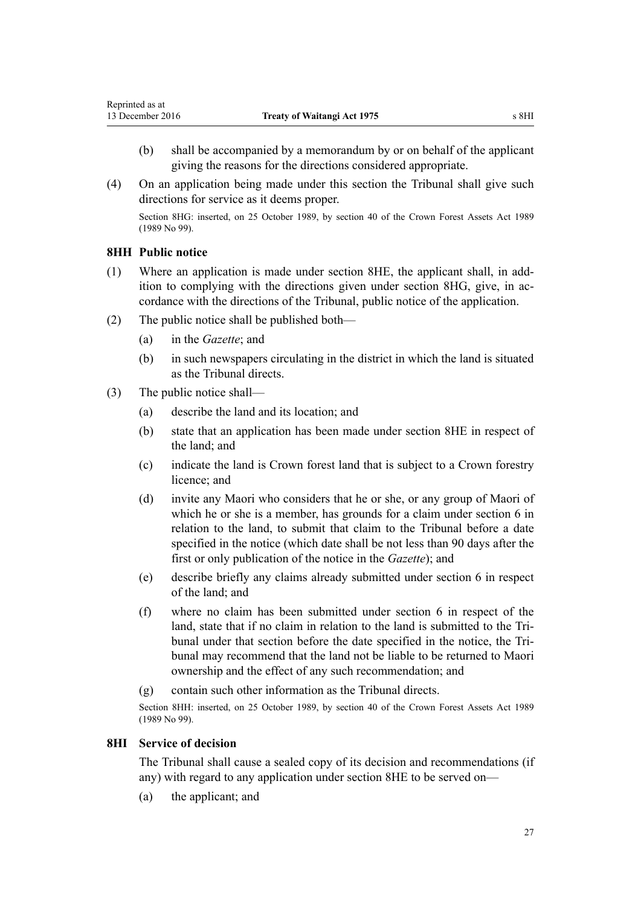- <span id="page-26-0"></span>(b) shall be accompanied by a memorandum by or on behalf of the applicant giving the reasons for the directions considered appropriate.
- (4) On an application being made under this section the Tribunal shall give such directions for service as it deems proper.

Section 8HG: inserted, on 25 October 1989, by [section 40](http://prd-lgnz-nlb.prd.pco.net.nz/pdflink.aspx?id=DLM192363) of the Crown Forest Assets Act 1989 (1989 No 99).

# **8HH Public notice**

- (1) Where an application is made under [section 8HE,](#page-24-0) the applicant shall, in addition to complying with the directions given under [section 8HG](#page-25-0), give, in accordance with the directions of the Tribunal, public notice of the application.
- (2) The public notice shall be published both—
	- (a) in the *Gazette*; and
	- (b) in such newspapers circulating in the district in which the land is situated as the Tribunal directs.
- (3) The public notice shall—
	- (a) describe the land and its location; and
	- (b) state that an application has been made under [section 8HE](#page-24-0) in respect of the land; and
	- (c) indicate the land is Crown forest land that is subject to a Crown forestry licence; and
	- (d) invite any Maori who considers that he or she, or any group of Maori of which he or she is a member, has grounds for a claim under [section 6](#page-5-0) in relation to the land, to submit that claim to the Tribunal before a date specified in the notice (which date shall be not less than 90 days after the first or only publication of the notice in the *Gazette*); and
	- (e) describe briefly any claims already submitted under [section 6](#page-5-0) in respect of the land; and
	- (f) where no claim has been submitted under [section 6](#page-5-0) in respect of the land, state that if no claim in relation to the land is submitted to the Tribunal under that section before the date specified in the notice, the Tribunal may recommend that the land not be liable to be returned to Maori ownership and the effect of any such recommendation; and
	- (g) contain such other information as the Tribunal directs.

Section 8HH: inserted, on 25 October 1989, by [section 40](http://prd-lgnz-nlb.prd.pco.net.nz/pdflink.aspx?id=DLM192363) of the Crown Forest Assets Act 1989 (1989 No 99).

### **8HI Service of decision**

The Tribunal shall cause a sealed copy of its decision and recommendations (if any) with regard to any application under [section 8HE](#page-24-0) to be served on—

(a) the applicant; and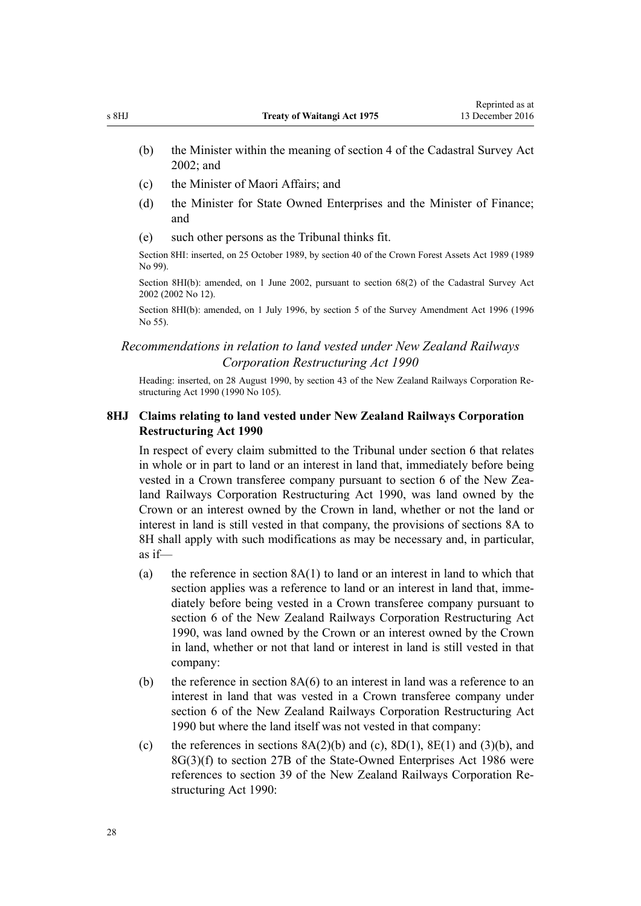- <span id="page-27-0"></span>(b) the Minister within the meaning of [section 4](http://prd-lgnz-nlb.prd.pco.net.nz/pdflink.aspx?id=DLM142402) of the Cadastral Survey Act 2002; and
- (c) the Minister of Maori Affairs; and
- (d) the Minister for State Owned Enterprises and the Minister of Finance; and
- (e) such other persons as the Tribunal thinks fit.

Section 8HI: inserted, on 25 October 1989, by [section 40](http://prd-lgnz-nlb.prd.pco.net.nz/pdflink.aspx?id=DLM192363) of the Crown Forest Assets Act 1989 (1989 No 99).

Section 8HI(b): amended, on 1 June 2002, pursuant to [section 68\(2\)](http://prd-lgnz-nlb.prd.pco.net.nz/pdflink.aspx?id=DLM142638) of the Cadastral Survey Act 2002 (2002 No 12).

Section 8HI(b): amended, on 1 July 1996, by section 5 of the Survey Amendment Act 1996 (1996 No 55).

# *Recommendations in relation to land vested under New Zealand Railways Corporation Restructuring Act 1990*

Heading: inserted, on 28 August 1990, by [section 43](http://prd-lgnz-nlb.prd.pco.net.nz/pdflink.aspx?id=DLM223151) of the New Zealand Railways Corporation Restructuring Act 1990 (1990 No 105).

# **8HJ Claims relating to land vested under New Zealand Railways Corporation Restructuring Act 1990**

In respect of every claim submitted to the Tribunal under [section 6](#page-5-0) that relates in whole or in part to land or an interest in land that, immediately before being vested in a Crown transferee company pursuant to [section 6](http://prd-lgnz-nlb.prd.pco.net.nz/pdflink.aspx?id=DLM222671) of the New Zealand Railways Corporation Restructuring Act 1990, was land owned by the Crown or an interest owned by the Crown in land, whether or not the land or interest in land is still vested in that company, the provisions of [sections 8A to](#page-12-0) [8H](#page-12-0) shall apply with such modifications as may be necessary and, in particular, as if—

- (a) the reference in section  $8A(1)$  to land or an interest in land to which that section applies was a reference to land or an interest in land that, immediately before being vested in a Crown transferee company pursuant to [section 6](http://prd-lgnz-nlb.prd.pco.net.nz/pdflink.aspx?id=DLM222671) of the New Zealand Railways Corporation Restructuring Act 1990, was land owned by the Crown or an interest owned by the Crown in land, whether or not that land or interest in land is still vested in that company:
- (b) the reference in section  $8A(6)$  to an interest in land was a reference to an interest in land that was vested in a Crown transferee company under [section 6](http://prd-lgnz-nlb.prd.pco.net.nz/pdflink.aspx?id=DLM222671) of the New Zealand Railways Corporation Restructuring Act 1990 but where the land itself was not vested in that company:
- (c) the references in sections  $8A(2)(b)$  and (c),  $8D(1)$ ,  $8E(1)$  and  $(3)(b)$ , and [8G\(3\)\(f\)](#page-19-0) to [section 27B](http://prd-lgnz-nlb.prd.pco.net.nz/pdflink.aspx?id=DLM98400) of the State-Owned Enterprises Act 1986 were references to [section 39](http://prd-lgnz-nlb.prd.pco.net.nz/pdflink.aspx?id=DLM223146) of the New Zealand Railways Corporation Restructuring Act 1990: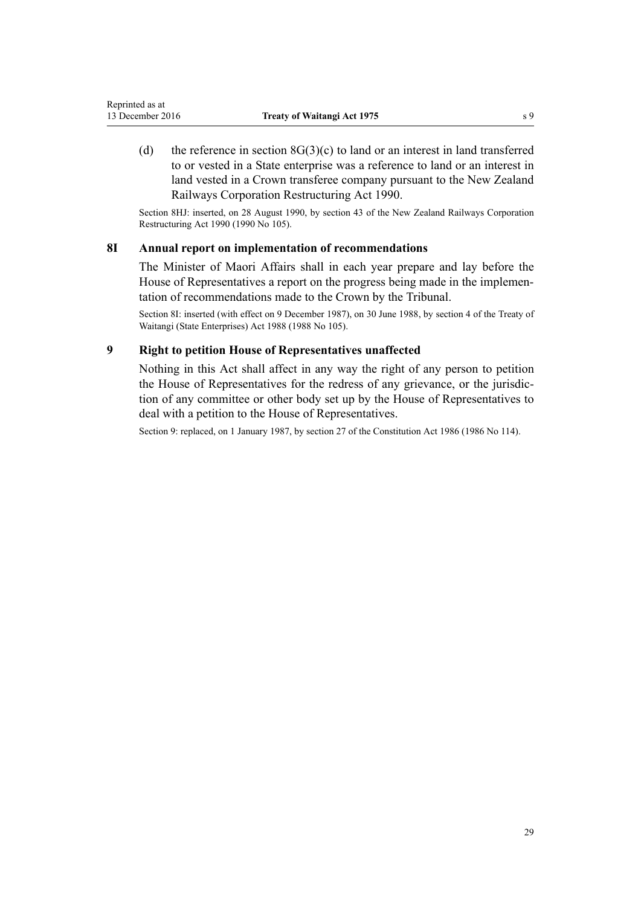<span id="page-28-0"></span>(d) the reference in section  $8G(3)(c)$  to land or an interest in land transferred to or vested in a State enterprise was a reference to land or an interest in land vested in a Crown transferee company pursuant to the [New Zealand](http://prd-lgnz-nlb.prd.pco.net.nz/pdflink.aspx?id=DLM222630) [Railways Corporation Restructuring Act 1990](http://prd-lgnz-nlb.prd.pco.net.nz/pdflink.aspx?id=DLM222630).

Section 8HJ: inserted, on 28 August 1990, by [section 43](http://prd-lgnz-nlb.prd.pco.net.nz/pdflink.aspx?id=DLM223151) of the New Zealand Railways Corporation Restructuring Act 1990 (1990 No 105).

### **8I Annual report on implementation of recommendations**

The Minister of Maori Affairs shall in each year prepare and lay before the House of Representatives a report on the progress being made in the implementation of recommendations made to the Crown by the Tribunal.

Section 8I: inserted (with effect on 9 December 1987), on 30 June 1988, by [section 4](http://prd-lgnz-nlb.prd.pco.net.nz/pdflink.aspx?id=DLM132571) of the Treaty of Waitangi (State Enterprises) Act 1988 (1988 No 105).

# **9 Right to petition House of Representatives unaffected**

Nothing in this Act shall affect in any way the right of any person to petition the House of Representatives for the redress of any grievance, or the jurisdiction of any committee or other body set up by the House of Representatives to deal with a petition to the House of Representatives.

Section 9: replaced, on 1 January 1987, by [section 27](http://prd-lgnz-nlb.prd.pco.net.nz/pdflink.aspx?id=DLM94261) of the Constitution Act 1986 (1986 No 114).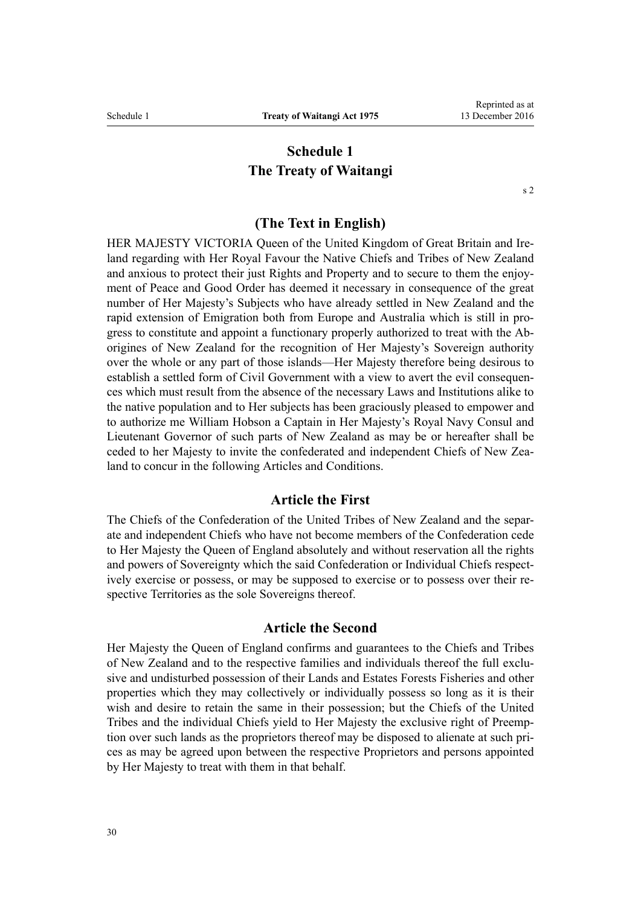# **Schedule 1 The Treaty of Waitangi**

[s 2](#page-2-0)

# **(The Text in English)**

<span id="page-29-0"></span>HER MAJESTY VICTORIA Queen of the United Kingdom of Great Britain and Ireland regarding with Her Royal Favour the Native Chiefs and Tribes of New Zealand and anxious to protect their just Rights and Property and to secure to them the enjoyment of Peace and Good Order has deemed it necessary in consequence of the great number of Her Majesty's Subjects who have already settled in New Zealand and the rapid extension of Emigration both from Europe and Australia which is still in progress to constitute and appoint a functionary properly authorized to treat with the Aborigines of New Zealand for the recognition of Her Majesty's Sovereign authority over the whole or any part of those islands—Her Majesty therefore being desirous to establish a settled form of Civil Government with a view to avert the evil consequences which must result from the absence of the necessary Laws and Institutions alike to the native population and to Her subjects has been graciously pleased to empower and to authorize me William Hobson a Captain in Her Majesty's Royal Navy Consul and Lieutenant Governor of such parts of New Zealand as may be or hereafter shall be ceded to her Majesty to invite the confederated and independent Chiefs of New Zealand to concur in the following Articles and Conditions.

# **Article the First**

The Chiefs of the Confederation of the United Tribes of New Zealand and the separate and independent Chiefs who have not become members of the Confederation cede to Her Majesty the Queen of England absolutely and without reservation all the rights and powers of Sovereignty which the said Confederation or Individual Chiefs respectively exercise or possess, or may be supposed to exercise or to possess over their respective Territories as the sole Sovereigns thereof.

#### **Article the Second**

Her Majesty the Queen of England confirms and guarantees to the Chiefs and Tribes of New Zealand and to the respective families and individuals thereof the full exclusive and undisturbed possession of their Lands and Estates Forests Fisheries and other properties which they may collectively or individually possess so long as it is their wish and desire to retain the same in their possession; but the Chiefs of the United Tribes and the individual Chiefs yield to Her Majesty the exclusive right of Preemption over such lands as the proprietors thereof may be disposed to alienate at such prices as may be agreed upon between the respective Proprietors and persons appointed by Her Majesty to treat with them in that behalf.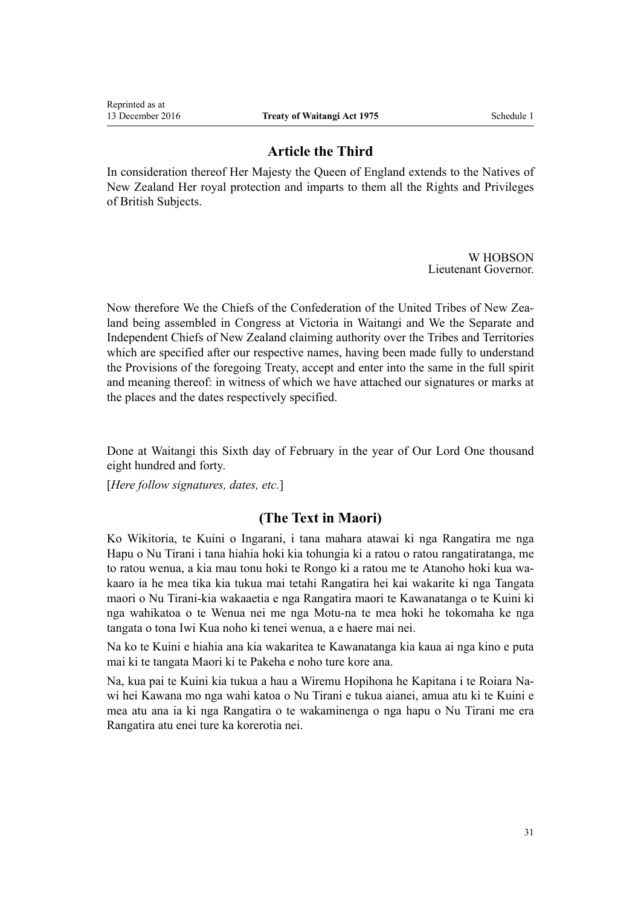# **Article the Third**

In consideration thereof Her Majesty the Queen of England extends to the Natives of New Zealand Her royal protection and imparts to them all the Rights and Privileges of British Subjects.

> W HOBSON Lieutenant Governor.

Now therefore We the Chiefs of the Confederation of the United Tribes of New Zealand being assembled in Congress at Victoria in Waitangi and We the Separate and Independent Chiefs of New Zealand claiming authority over the Tribes and Territories which are specified after our respective names, having been made fully to understand the Provisions of the foregoing Treaty, accept and enter into the same in the full spirit and meaning thereof: in witness of which we have attached our signatures or marks at the places and the dates respectively specified.

Done at Waitangi this Sixth day of February in the year of Our Lord One thousand eight hundred and forty.

[*Here follow signatures, dates, etc.*]

# **(The Text in Maori)**

Ko Wikitoria, te Kuini o Ingarani, i tana mahara atawai ki nga Rangatira me nga Hapu o Nu Tirani i tana hiahia hoki kia tohungia ki a ratou o ratou rangatiratanga, me to ratou wenua, a kia mau tonu hoki te Rongo ki a ratou me te Atanoho hoki kua wakaaro ia he mea tika kia tukua mai tetahi Rangatira hei kai wakarite ki nga Tangata maori o Nu Tirani-kia wakaaetia e nga Rangatira maori te Kawanatanga o te Kuini ki nga wahikatoa o te Wenua nei me nga Motu-na te mea hoki he tokomaha ke nga tangata o tona Iwi Kua noho ki tenei wenua, a e haere mai nei.

Na ko te Kuini e hiahia ana kia wakaritea te Kawanatanga kia kaua ai nga kino e puta mai ki te tangata Maori ki te Pakeha e noho ture kore ana.

Na, kua pai te Kuini kia tukua a hau a Wiremu Hopihona he Kapitana i te Roiara Nawi hei Kawana mo nga wahi katoa o Nu Tirani e tukua aianei, amua atu ki te Kuini e mea atu ana ia ki nga Rangatira o te wakaminenga o nga hapu o Nu Tirani me era Rangatira atu enei ture ka korerotia nei.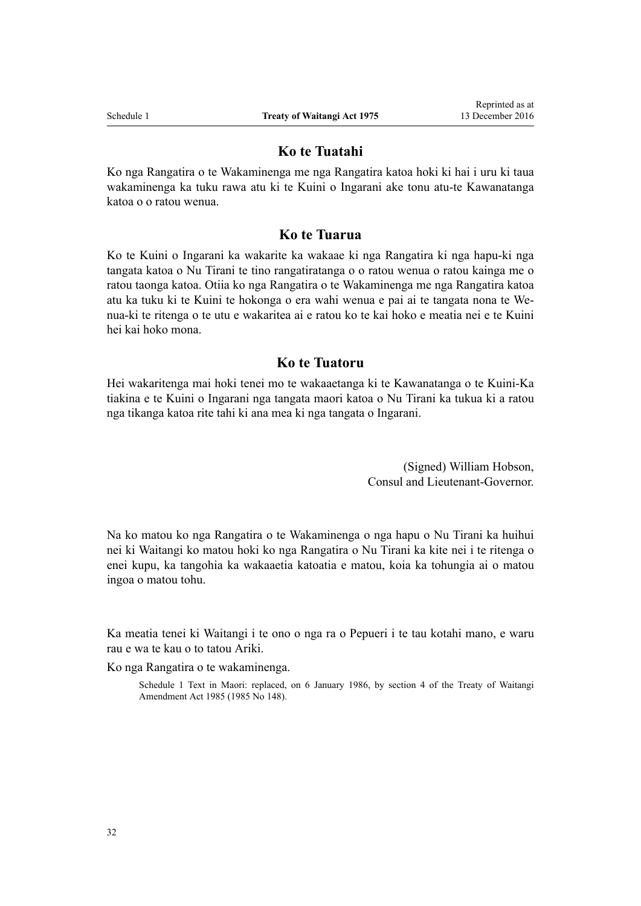### **Ko te Tuatahi**

Ko nga Rangatira o te Wakaminenga me nga Rangatira katoa hoki ki hai i uru ki taua wakaminenga ka tuku rawa atu ki te Kuini o Ingarani ake tonu atu-te Kawanatanga katoa o o ratou wenua.

# **Ko te Tuarua**

Ko te Kuini o Ingarani ka wakarite ka wakaae ki nga Rangatira ki nga hapu-ki nga tangata katoa o Nu Tirani te tino rangatiratanga o o ratou wenua o ratou kainga me o ratou taonga katoa. Otiia ko nga Rangatira o te Wakaminenga me nga Rangatira katoa atu ka tuku ki te Kuini te hokonga o era wahi wenua e pai ai te tangata nona te Wenua-ki te ritenga o te utu e wakaritea ai e ratou ko te kai hoko e meatia nei e te Kuini hei kai hoko mona.

# **Ko te Tuatoru**

Hei wakaritenga mai hoki tenei mo te wakaaetanga ki te Kawanatanga o te Kuini-Ka tiakina e te Kuini o Ingarani nga tangata maori katoa o Nu Tirani ka tukua ki a ratou nga tikanga katoa rite tahi ki ana mea ki nga tangata o Ingarani.

> (Signed) William Hobson, Consul and Lieutenant-Governor.

Na ko matou ko nga Rangatira o te Wakaminenga o nga hapu o Nu Tirani ka huihui nei ki Waitangi ko matou hoki ko nga Rangatira o Nu Tirani ka kite nei i te ritenga o enei kupu, ka tangohia ka wakaaetia katoatia e matou, koia ka tohungia ai o matou ingoa o matou tohu.

Ka meatia tenei ki Waitangi i te ono o nga ra o Pepueri i te tau kotahi mano, e waru rau e wa te kau o to tatou Ariki.

Ko nga Rangatira o te wakaminenga.

Schedule 1 Text in Maori: replaced, on 6 January 1986, by section 4 of the Treaty of Waitangi Amendment Act 1985 (1985 No 148).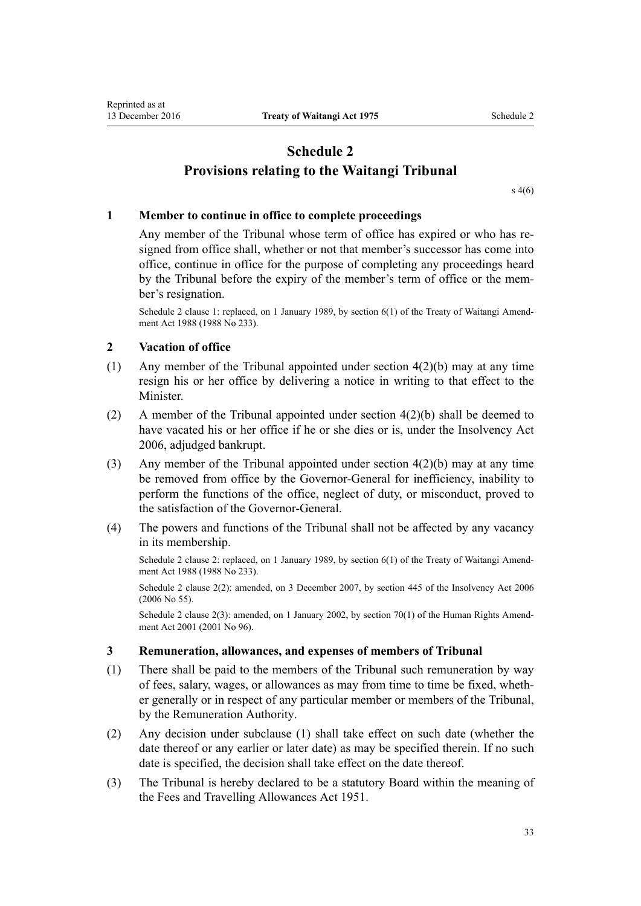# <span id="page-32-0"></span>**Schedule 2 Provisions relating to the Waitangi Tribunal**

[s 4\(6\)](#page-2-0)

# **1 Member to continue in office to complete proceedings**

Any member of the Tribunal whose term of office has expired or who has resigned from office shall, whether or not that member's successor has come into office, continue in office for the purpose of completing any proceedings heard by the Tribunal before the expiry of the member's term of office or the member's resignation.

Schedule 2 clause 1: replaced, on 1 January 1989, by section 6(1) of the Treaty of Waitangi Amendment Act 1988 (1988 No 233).

# **2 Vacation of office**

- (1) Any member of the Tribunal appointed under [section 4\(2\)\(b\)](#page-2-0) may at any time resign his or her office by delivering a notice in writing to that effect to the **Minister**
- (2) A member of the Tribunal appointed under [section 4\(2\)\(b\)](#page-2-0) shall be deemed to have vacated his or her office if he or she dies or is, under the Insolvency Act 2006, adjudged bankrupt.
- (3) Any member of the Tribunal appointed under [section 4\(2\)\(b\)](#page-2-0) may at any time be removed from office by the Governor-General for inefficiency, inability to perform the functions of the office, neglect of duty, or misconduct, proved to the satisfaction of the Governor-General.
- (4) The powers and functions of the Tribunal shall not be affected by any vacancy in its membership.

Schedule 2 clause 2: replaced, on 1 January 1989, by section 6(1) of the Treaty of Waitangi Amendment Act 1988 (1988 No 233).

Schedule 2 clause 2(2): amended, on 3 December 2007, by [section 445](http://prd-lgnz-nlb.prd.pco.net.nz/pdflink.aspx?id=DLM387857) of the Insolvency Act 2006 (2006 No 55).

Schedule 2 clause 2(3): amended, on 1 January 2002, by [section 70\(1\)](http://prd-lgnz-nlb.prd.pco.net.nz/pdflink.aspx?id=DLM122579) of the Human Rights Amendment Act 2001 (2001 No 96).

### **3 Remuneration, allowances, and expenses of members of Tribunal**

- (1) There shall be paid to the members of the Tribunal such remuneration by way of fees, salary, wages, or allowances as may from time to time be fixed, whether generally or in respect of any particular member or members of the Tribunal, by the Remuneration Authority.
- (2) Any decision under subclause (1) shall take effect on such date (whether the date thereof or any earlier or later date) as may be specified therein. If no such date is specified, the decision shall take effect on the date thereof.
- (3) The Tribunal is hereby declared to be a statutory Board within the meaning of the [Fees and Travelling Allowances Act 1951.](http://prd-lgnz-nlb.prd.pco.net.nz/pdflink.aspx?id=DLM264952)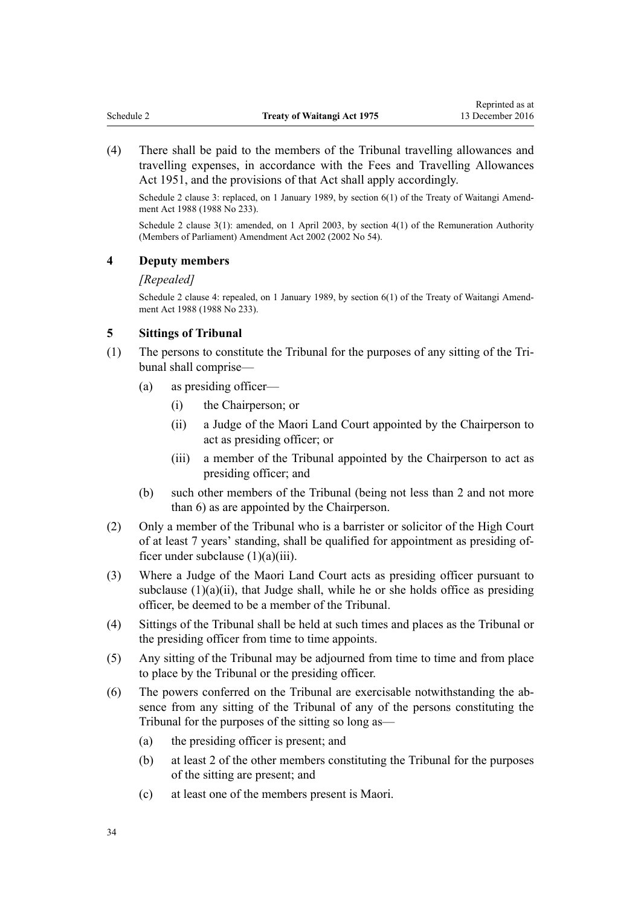<span id="page-33-0"></span>(4) There shall be paid to the members of the Tribunal travelling allowances and travelling expenses, in accordance with the [Fees and Travelling Allowances](http://prd-lgnz-nlb.prd.pco.net.nz/pdflink.aspx?id=DLM264952) [Act 1951,](http://prd-lgnz-nlb.prd.pco.net.nz/pdflink.aspx?id=DLM264952) and the provisions of that Act shall apply accordingly.

Schedule 2 clause 3: replaced, on 1 January 1989, by section 6(1) of the Treaty of Waitangi Amendment Act 1988 (1988 No 233).

Schedule 2 clause 3(1): amended, on 1 April 2003, by [section 4\(1\)](http://prd-lgnz-nlb.prd.pco.net.nz/pdflink.aspx?id=DLM167443) of the Remuneration Authority (Members of Parliament) Amendment Act 2002 (2002 No 54).

#### **4 Deputy members**

#### *[Repealed]*

Schedule 2 clause 4: repealed, on 1 January 1989, by section 6(1) of the Treaty of Waitangi Amendment Act 1988 (1988 No 233).

#### **5 Sittings of Tribunal**

- (1) The persons to constitute the Tribunal for the purposes of any sitting of the Tribunal shall comprise—
	- (a) as presiding officer—
		- (i) the Chairperson; or
		- (ii) a Judge of the Maori Land Court appointed by the Chairperson to act as presiding officer; or
		- (iii) a member of the Tribunal appointed by the Chairperson to act as presiding officer; and
	- (b) such other members of the Tribunal (being not less than 2 and not more than 6) as are appointed by the Chairperson.
- (2) Only a member of the Tribunal who is a barrister or solicitor of the High Court of at least 7 years' standing, shall be qualified for appointment as presiding officer under subclause (1)(a)(iii).
- (3) Where a Judge of the Maori Land Court acts as presiding officer pursuant to subclause  $(1)(a)(ii)$ , that Judge shall, while he or she holds office as presiding officer, be deemed to be a member of the Tribunal.
- (4) Sittings of the Tribunal shall be held at such times and places as the Tribunal or the presiding officer from time to time appoints.
- (5) Any sitting of the Tribunal may be adjourned from time to time and from place to place by the Tribunal or the presiding officer.
- (6) The powers conferred on the Tribunal are exercisable notwithstanding the absence from any sitting of the Tribunal of any of the persons constituting the Tribunal for the purposes of the sitting so long as—
	- (a) the presiding officer is present; and
	- (b) at least 2 of the other members constituting the Tribunal for the purposes of the sitting are present; and
	- (c) at least one of the members present is Maori.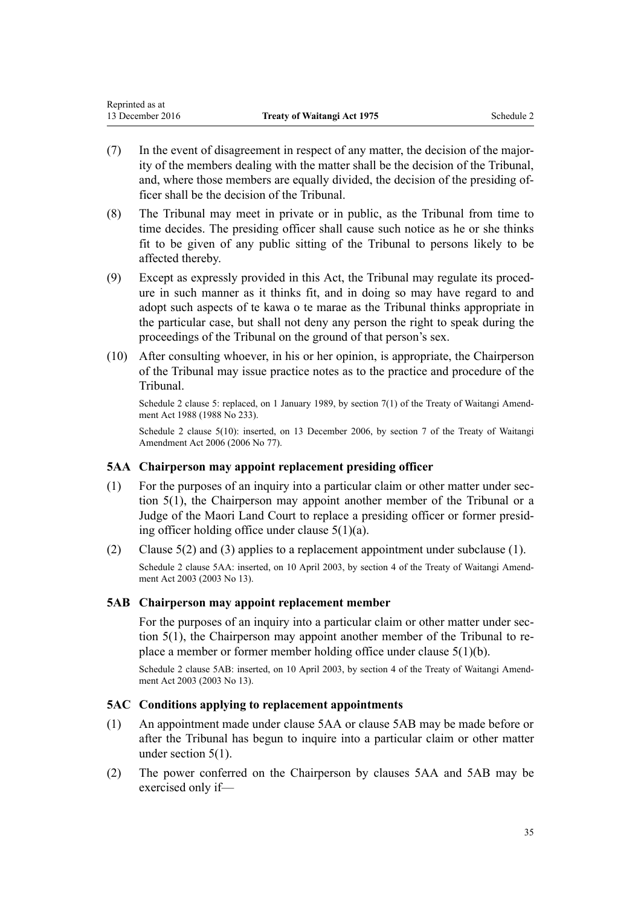- <span id="page-34-0"></span>(7) In the event of disagreement in respect of any matter, the decision of the majority of the members dealing with the matter shall be the decision of the Tribunal, and, where those members are equally divided, the decision of the presiding officer shall be the decision of the Tribunal.
- (8) The Tribunal may meet in private or in public, as the Tribunal from time to time decides. The presiding officer shall cause such notice as he or she thinks fit to be given of any public sitting of the Tribunal to persons likely to be affected thereby.
- (9) Except as expressly provided in this Act, the Tribunal may regulate its procedure in such manner as it thinks fit, and in doing so may have regard to and adopt such aspects of te kawa o te marae as the Tribunal thinks appropriate in the particular case, but shall not deny any person the right to speak during the proceedings of the Tribunal on the ground of that person's sex.
- (10) After consulting whoever, in his or her opinion, is appropriate, the Chairperson of the Tribunal may issue practice notes as to the practice and procedure of the Tribunal.

Schedule 2 clause 5: replaced, on 1 January 1989, by section 7(1) of the Treaty of Waitangi Amendment Act 1988 (1988 No 233).

Schedule 2 clause 5(10): inserted, on 13 December 2006, by [section 7](http://prd-lgnz-nlb.prd.pco.net.nz/pdflink.aspx?id=DLM398913) of the Treaty of Waitangi Amendment Act 2006 (2006 No 77).

# **5AA Chairperson may appoint replacement presiding officer**

- (1) For the purposes of an inquiry into a particular claim or other matter under [sec](#page-4-0)[tion 5\(1\),](#page-4-0) the Chairperson may appoint another member of the Tribunal or a Judge of the Maori Land Court to replace a presiding officer or former presiding officer holding office under [clause 5\(1\)\(a\)](#page-33-0).
- (2) [Clause 5\(2\) and \(3\)](#page-33-0) applies to a replacement appointment under subclause (1).

Schedule 2 clause 5AA: inserted, on 10 April 2003, by [section 4](http://prd-lgnz-nlb.prd.pco.net.nz/pdflink.aspx?id=DLM189237) of the Treaty of Waitangi Amendment Act 2003 (2003 No 13).

# **5AB Chairperson may appoint replacement member**

For the purposes of an inquiry into a particular claim or other matter under [sec](#page-4-0)[tion 5\(1\)](#page-4-0), the Chairperson may appoint another member of the Tribunal to replace a member or former member holding office under [clause 5\(1\)\(b\).](#page-33-0)

Schedule 2 clause 5AB: inserted, on 10 April 2003, by [section 4](http://prd-lgnz-nlb.prd.pco.net.nz/pdflink.aspx?id=DLM189237) of the Treaty of Waitangi Amendment Act 2003 (2003 No 13).

# **5AC Conditions applying to replacement appointments**

- (1) An appointment made under clause 5AA or clause 5AB may be made before or after the Tribunal has begun to inquire into a particular claim or other matter under [section 5\(1\).](#page-4-0)
- (2) The power conferred on the Chairperson by clauses 5AA and 5AB may be exercised only if—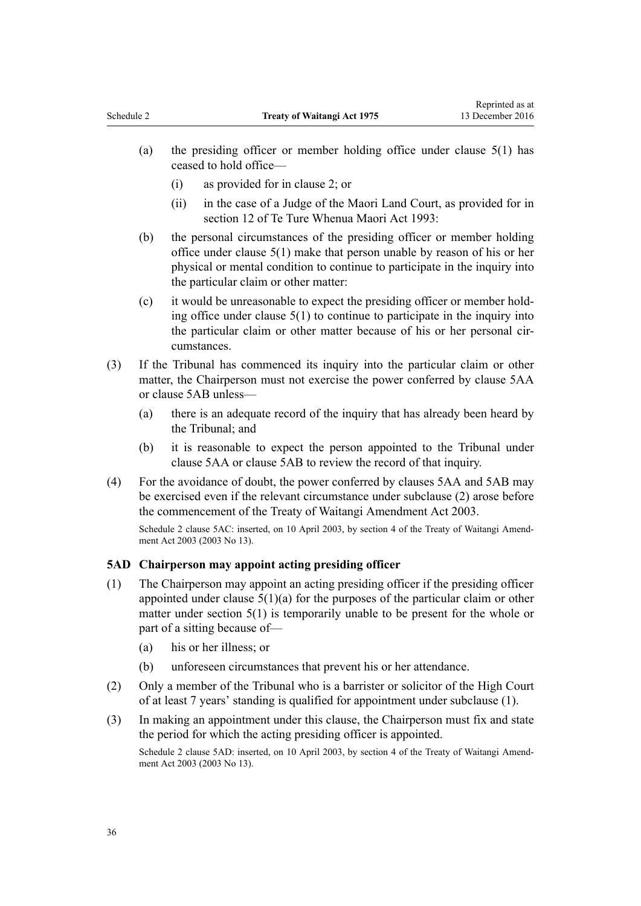- <span id="page-35-0"></span>(a) the presiding officer or member holding office under [clause 5\(1\)](#page-33-0) has ceased to hold office—
	- (i) as provided for in [clause 2;](#page-32-0) or
	- (ii) in the case of a Judge of the Maori Land Court, as provided for in [section 12](http://prd-lgnz-nlb.prd.pco.net.nz/pdflink.aspx?id=DLM290535) of Te Ture Whenua Maori Act 1993:
- (b) the personal circumstances of the presiding officer or member holding office under [clause 5\(1\)](#page-33-0) make that person unable by reason of his or her physical or mental condition to continue to participate in the inquiry into the particular claim or other matter:
- (c) it would be unreasonable to expect the presiding officer or member holding office under [clause 5\(1\)](#page-33-0) to continue to participate in the inquiry into the particular claim or other matter because of his or her personal circumstances.
- (3) If the Tribunal has commenced its inquiry into the particular claim or other matter, the Chairperson must not exercise the power conferred by [clause 5AA](#page-34-0) or [clause 5AB](#page-34-0) unless—
	- (a) there is an adequate record of the inquiry that has already been heard by the Tribunal; and
	- (b) it is reasonable to expect the person appointed to the Tribunal under [clause 5AA](#page-34-0) or [clause 5AB](#page-34-0) to review the record of that inquiry.
- (4) For the avoidance of doubt, the power conferred by [clauses 5AA](#page-34-0) and [5AB](#page-34-0) may be exercised even if the relevant circumstance under subclause (2) arose before the commencement of the [Treaty of Waitangi Amendment Act 2003](http://prd-lgnz-nlb.prd.pco.net.nz/pdflink.aspx?id=DLM189230).

Schedule 2 clause 5AC: inserted, on 10 April 2003, by [section 4](http://prd-lgnz-nlb.prd.pco.net.nz/pdflink.aspx?id=DLM189237) of the Treaty of Waitangi Amendment Act 2003 (2003 No 13).

### **5AD Chairperson may appoint acting presiding officer**

- (1) The Chairperson may appoint an acting presiding officer if the presiding officer appointed under clause  $5(1)(a)$  for the purposes of the particular claim or other matter under [section 5\(1\)](#page-4-0) is temporarily unable to be present for the whole or part of a sitting because of—
	- (a) his or her illness; or
	- (b) unforeseen circumstances that prevent his or her attendance.
- (2) Only a member of the Tribunal who is a barrister or solicitor of the High Court of at least 7 years' standing is qualified for appointment under subclause (1).
- (3) In making an appointment under this clause, the Chairperson must fix and state the period for which the acting presiding officer is appointed. Schedule 2 clause 5AD: inserted, on 10 April 2003, by [section 4](http://prd-lgnz-nlb.prd.pco.net.nz/pdflink.aspx?id=DLM189237) of the Treaty of Waitangi Amendment Act 2003 (2003 No 13).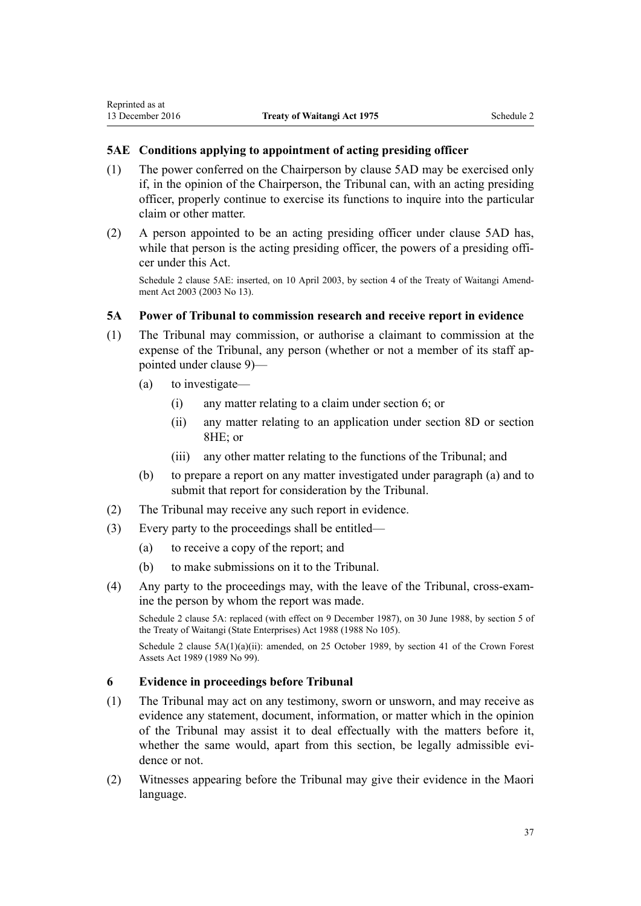# **5AE Conditions applying to appointment of acting presiding officer**

- (1) The power conferred on the Chairperson by [clause 5AD](#page-35-0) may be exercised only if, in the opinion of the Chairperson, the Tribunal can, with an acting presiding officer, properly continue to exercise its functions to inquire into the particular claim or other matter.
- (2) A person appointed to be an acting presiding officer under [clause 5AD](#page-35-0) has, while that person is the acting presiding officer, the powers of a presiding officer under this Act.

Schedule 2 clause 5AE: inserted, on 10 April 2003, by [section 4](http://prd-lgnz-nlb.prd.pco.net.nz/pdflink.aspx?id=DLM189237) of the Treaty of Waitangi Amendment Act 2003 (2003 No 13).

# **5A Power of Tribunal to commission research and receive report in evidence**

- (1) The Tribunal may commission, or authorise a claimant to commission at the expense of the Tribunal, any person (whether or not a member of its staff appointed under [clause 9\)](#page-38-0)—
	- (a) to investigate—
		- (i) any matter relating to a claim under [section 6](#page-5-0); or
		- (ii) any matter relating to an application under [section 8D](#page-16-0) or [section](#page-24-0) [8HE](#page-24-0); or
		- (iii) any other matter relating to the functions of the Tribunal; and
	- (b) to prepare a report on any matter investigated under paragraph (a) and to submit that report for consideration by the Tribunal.
- (2) The Tribunal may receive any such report in evidence.
- (3) Every party to the proceedings shall be entitled—
	- (a) to receive a copy of the report; and
	- (b) to make submissions on it to the Tribunal.
- (4) Any party to the proceedings may, with the leave of the Tribunal, cross-examine the person by whom the report was made.

Schedule 2 clause 5A: replaced (with effect on 9 December 1987), on 30 June 1988, by [section 5](http://prd-lgnz-nlb.prd.pco.net.nz/pdflink.aspx?id=DLM132581) of the Treaty of Waitangi (State Enterprises) Act 1988 (1988 No 105).

Schedule 2 clause 5A(1)(a)(ii): amended, on 25 October 1989, by [section 41](http://prd-lgnz-nlb.prd.pco.net.nz/pdflink.aspx?id=DLM192374) of the Crown Forest Assets Act 1989 (1989 No 99).

# **6 Evidence in proceedings before Tribunal**

- (1) The Tribunal may act on any testimony, sworn or unsworn, and may receive as evidence any statement, document, information, or matter which in the opinion of the Tribunal may assist it to deal effectually with the matters before it, whether the same would, apart from this section, be legally admissible evidence or not.
- (2) Witnesses appearing before the Tribunal may give their evidence in the Maori language.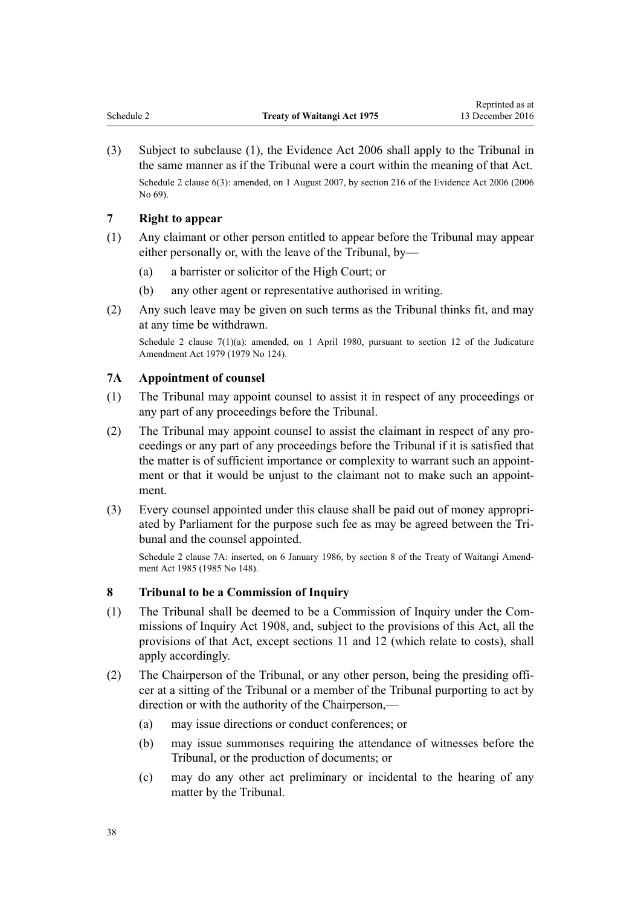<span id="page-37-0"></span>(3) Subject to subclause (1), the [Evidence Act 2006](http://prd-lgnz-nlb.prd.pco.net.nz/pdflink.aspx?id=DLM142512) shall apply to the Tribunal in the same manner as if the Tribunal were a court within the meaning of that Act. Schedule 2 clause 6(3): amended, on 1 August 2007, by [section 216](http://prd-lgnz-nlb.prd.pco.net.nz/pdflink.aspx?id=DLM394552) of the Evidence Act 2006 (2006) No 69).

# **7 Right to appear**

- (1) Any claimant or other person entitled to appear before the Tribunal may appear either personally or, with the leave of the Tribunal, by—
	- (a) a barrister or solicitor of the High Court; or
	- (b) any other agent or representative authorised in writing.
- (2) Any such leave may be given on such terms as the Tribunal thinks fit, and may at any time be withdrawn.

Schedule 2 clause 7(1)(a): amended, on 1 April 1980, pursuant to [section 12](http://prd-lgnz-nlb.prd.pco.net.nz/pdflink.aspx?id=DLM35049) of the Judicature Amendment Act 1979 (1979 No 124).

### **7A Appointment of counsel**

- (1) The Tribunal may appoint counsel to assist it in respect of any proceedings or any part of any proceedings before the Tribunal.
- (2) The Tribunal may appoint counsel to assist the claimant in respect of any proceedings or any part of any proceedings before the Tribunal if it is satisfied that the matter is of sufficient importance or complexity to warrant such an appointment or that it would be unjust to the claimant not to make such an appointment.
- (3) Every counsel appointed under this clause shall be paid out of money appropriated by Parliament for the purpose such fee as may be agreed between the Tribunal and the counsel appointed.

Schedule 2 clause 7A: inserted, on 6 January 1986, by section 8 of the Treaty of Waitangi Amendment Act 1985 (1985 No 148).

### **8 Tribunal to be a Commission of Inquiry**

- (1) The Tribunal shall be deemed to be a Commission of Inquiry under the [Com](http://prd-lgnz-nlb.prd.pco.net.nz/pdflink.aspx?id=DLM139130)[missions of Inquiry Act 1908,](http://prd-lgnz-nlb.prd.pco.net.nz/pdflink.aspx?id=DLM139130) and, subject to the provisions of this Act, all the provisions of that Act, except [sections 11](http://prd-lgnz-nlb.prd.pco.net.nz/pdflink.aspx?id=DLM139172) and [12](http://prd-lgnz-nlb.prd.pco.net.nz/pdflink.aspx?id=DLM139174) (which relate to costs), shall apply accordingly.
- (2) The Chairperson of the Tribunal, or any other person, being the presiding officer at a sitting of the Tribunal or a member of the Tribunal purporting to act by direction or with the authority of the Chairperson,—
	- (a) may issue directions or conduct conferences; or
	- (b) may issue summonses requiring the attendance of witnesses before the Tribunal, or the production of documents; or
	- (c) may do any other act preliminary or incidental to the hearing of any matter by the Tribunal.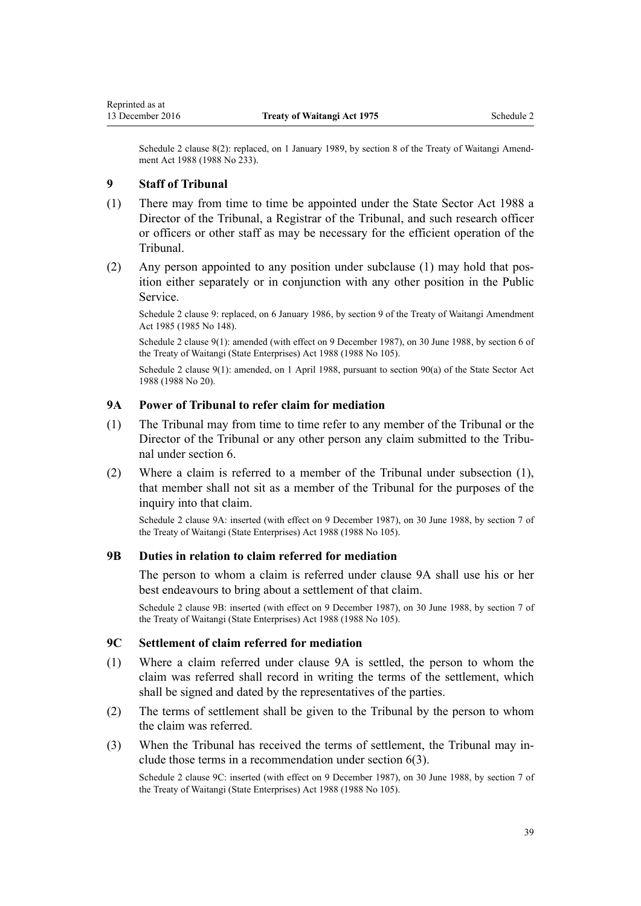<span id="page-38-0"></span>Schedule 2 clause 8(2): replaced, on 1 January 1989, by section 8 of the Treaty of Waitangi Amendment Act 1988 (1988 No 233).

#### **9 Staff of Tribunal**

- (1) There may from time to time be appointed under the [State Sector Act 1988](http://prd-lgnz-nlb.prd.pco.net.nz/pdflink.aspx?id=DLM129109) a Director of the Tribunal, a Registrar of the Tribunal, and such research officer or officers or other staff as may be necessary for the efficient operation of the Tribunal.
- (2) Any person appointed to any position under subclause (1) may hold that position either separately or in conjunction with any other position in the Public Service.

Schedule 2 clause 9: replaced, on 6 January 1986, by section 9 of the Treaty of Waitangi Amendment Act 1985 (1985 No 148).

Schedule 2 clause 9(1): amended (with effect on 9 December 1987), on 30 June 1988, by [section 6](http://prd-lgnz-nlb.prd.pco.net.nz/pdflink.aspx?id=DLM132583) of the Treaty of Waitangi (State Enterprises) Act 1988 (1988 No 105).

Schedule 2 clause 9(1): amended, on 1 April 1988, pursuant to [section 90\(a\)](http://prd-lgnz-nlb.prd.pco.net.nz/pdflink.aspx?id=DLM130377) of the State Sector Act 1988 (1988 No 20).

# **9A Power of Tribunal to refer claim for mediation**

- (1) The Tribunal may from time to time refer to any member of the Tribunal or the Director of the Tribunal or any other person any claim submitted to the Tribunal under [section 6](#page-5-0).
- (2) Where a claim is referred to a member of the Tribunal under subsection (1), that member shall not sit as a member of the Tribunal for the purposes of the inquiry into that claim.

Schedule 2 clause 9A: inserted (with effect on 9 December 1987), on 30 June 1988, by [section 7](http://prd-lgnz-nlb.prd.pco.net.nz/pdflink.aspx?id=DLM132584) of the Treaty of Waitangi (State Enterprises) Act 1988 (1988 No 105).

#### **9B Duties in relation to claim referred for mediation**

The person to whom a claim is referred under clause 9A shall use his or her best endeavours to bring about a settlement of that claim.

Schedule 2 clause 9B: inserted (with effect on 9 December 1987), on 30 June 1988, by [section 7](http://prd-lgnz-nlb.prd.pco.net.nz/pdflink.aspx?id=DLM132584) of the Treaty of Waitangi (State Enterprises) Act 1988 (1988 No 105).

#### **9C Settlement of claim referred for mediation**

- (1) Where a claim referred under clause 9A is settled, the person to whom the claim was referred shall record in writing the terms of the settlement, which shall be signed and dated by the representatives of the parties.
- (2) The terms of settlement shall be given to the Tribunal by the person to whom the claim was referred.
- (3) When the Tribunal has received the terms of settlement, the Tribunal may include those terms in a recommendation under [section 6\(3\)](#page-5-0).

Schedule 2 clause 9C: inserted (with effect on 9 December 1987), on 30 June 1988, by [section 7](http://prd-lgnz-nlb.prd.pco.net.nz/pdflink.aspx?id=DLM132584) of the Treaty of Waitangi (State Enterprises) Act 1988 (1988 No 105).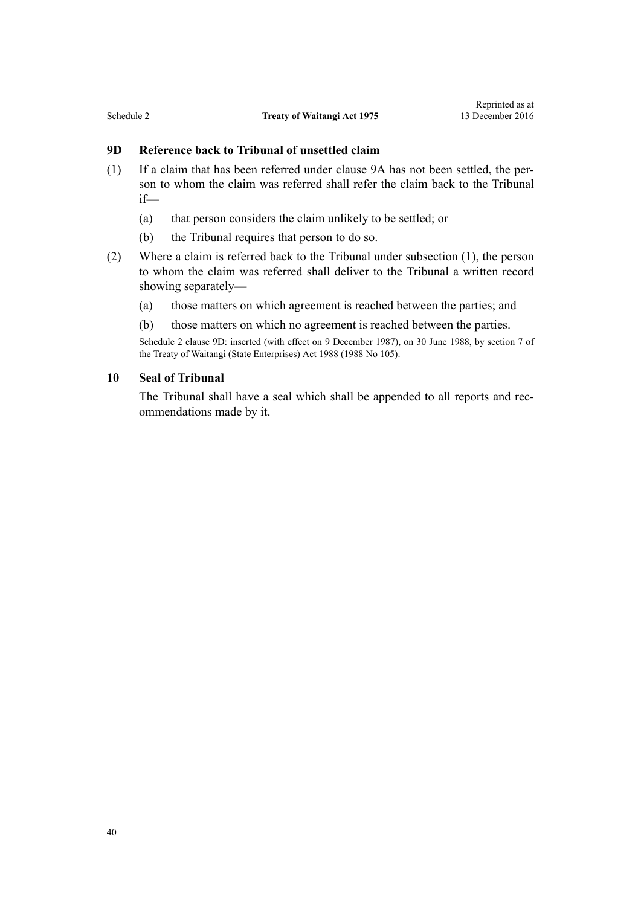# **9D Reference back to Tribunal of unsettled claim**

- (1) If a claim that has been referred under [clause 9A](#page-38-0) has not been settled, the person to whom the claim was referred shall refer the claim back to the Tribunal if—
	- (a) that person considers the claim unlikely to be settled; or
	- (b) the Tribunal requires that person to do so.
- (2) Where a claim is referred back to the Tribunal under subsection (1), the person to whom the claim was referred shall deliver to the Tribunal a written record showing separately—
	- (a) those matters on which agreement is reached between the parties; and
	- (b) those matters on which no agreement is reached between the parties.

Schedule 2 clause 9D: inserted (with effect on 9 December 1987), on 30 June 1988, by [section 7](http://prd-lgnz-nlb.prd.pco.net.nz/pdflink.aspx?id=DLM132584) of the Treaty of Waitangi (State Enterprises) Act 1988 (1988 No 105).

#### **10 Seal of Tribunal**

The Tribunal shall have a seal which shall be appended to all reports and recommendations made by it.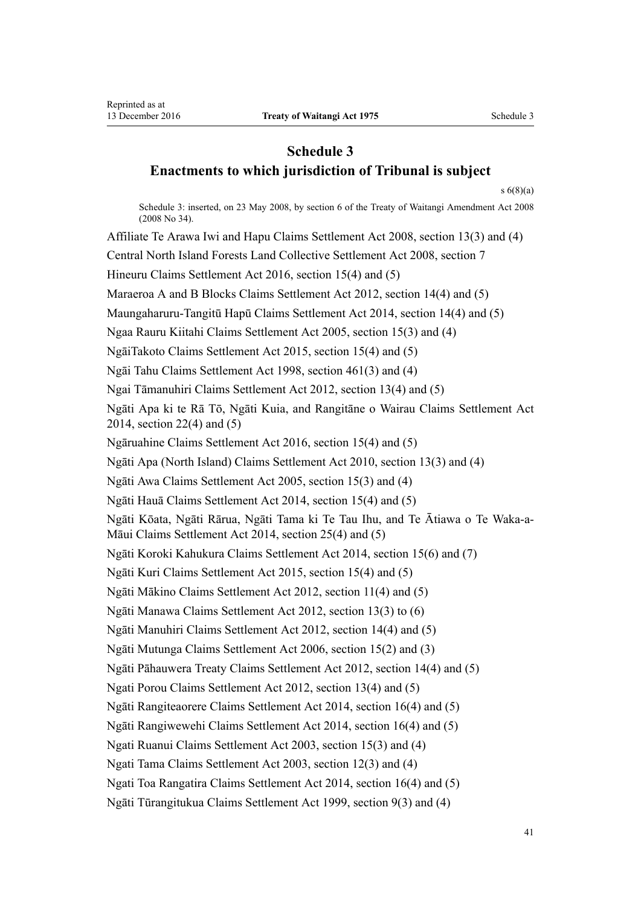# <span id="page-40-0"></span>**Schedule 3 Enactments to which jurisdiction of Tribunal is subject**

[s 6\(8\)\(a\)](#page-5-0)

Schedule 3: inserted, on 23 May 2008, by [section 6](http://prd-lgnz-nlb.prd.pco.net.nz/pdflink.aspx?id=DLM1297533) of the Treaty of Waitangi Amendment Act 2008 (2008 No 34). Affiliate Te Arawa Iwi and Hapu Claims Settlement Act 2008, [section 13\(3\) and \(4\)](http://prd-lgnz-nlb.prd.pco.net.nz/pdflink.aspx?id=DLM1375727) Central North Island Forests Land Collective Settlement Act 2008, [section 7](http://prd-lgnz-nlb.prd.pco.net.nz/pdflink.aspx?id=DLM1378482) Hineuru Claims Settlement Act 2016, [section 15\(4\) and \(5\)](http://prd-lgnz-nlb.prd.pco.net.nz/pdflink.aspx?id=DLM6491731) Maraeroa A and B Blocks Claims Settlement Act 2012, [section 14\(4\) and \(5\)](http://prd-lgnz-nlb.prd.pco.net.nz/pdflink.aspx?id=DLM4329058) Maungaharuru-Tangitū Hapū Claims Settlement Act 2014, [section 14\(4\) and \(5\)](http://prd-lgnz-nlb.prd.pco.net.nz/pdflink.aspx?id=DLM5323040) Ngaa Rauru Kiitahi Claims Settlement Act 2005, [section 15\(3\) and \(4\)](http://prd-lgnz-nlb.prd.pco.net.nz/pdflink.aspx?id=DLM359568) NgāiTakoto Claims Settlement Act 2015, [section 15\(4\) and \(5\)](http://prd-lgnz-nlb.prd.pco.net.nz/pdflink.aspx?id=DLM6578449) Ngāi Tahu Claims Settlement Act 1998, [section 461\(3\) and \(4\)](http://prd-lgnz-nlb.prd.pco.net.nz/pdflink.aspx?id=DLM430672) Ngai Tāmanuhiri Claims Settlement Act 2012, [section 13\(4\) and \(5\)](http://prd-lgnz-nlb.prd.pco.net.nz/pdflink.aspx?id=DLM3947196) Ngāti Apa ki te Rā Tō, Ngāti Kuia, and Rangitāne o Wairau Claims Settlement Act 2014, [section 22\(4\) and \(5\)](http://prd-lgnz-nlb.prd.pco.net.nz/pdflink.aspx?id=DLM5214601) Ngāruahine Claims Settlement Act 2016, [section 15\(4\) and \(5\)](http://prd-lgnz-nlb.prd.pco.net.nz/pdflink.aspx?id=DLM6536843) Ngāti Apa (North Island) Claims Settlement Act 2010, [section 13\(3\) and \(4\)](http://prd-lgnz-nlb.prd.pco.net.nz/pdflink.aspx?id=DLM2274872) Ngāti Awa Claims Settlement Act 2005, [section 15\(3\) and \(4\)](http://prd-lgnz-nlb.prd.pco.net.nz/pdflink.aspx?id=DLM339353) Ngāti Hauā Claims Settlement Act 2014, [section 15\(4\) and \(5\)](http://prd-lgnz-nlb.prd.pco.net.nz/pdflink.aspx?id=DLM5658034) Ngāti Kōata, Ngāti Rārua, Ngāti Tama ki Te Tau Ihu, and Te Ātiawa o Te Waka-a-Māui Claims Settlement Act 2014, [section 25\(4\) and \(5\)](http://prd-lgnz-nlb.prd.pco.net.nz/pdflink.aspx?id=DLM5954834) Ngāti Koroki Kahukura Claims Settlement Act 2014, [section 15\(6\) and \(7\)](http://prd-lgnz-nlb.prd.pco.net.nz/pdflink.aspx?id=DLM5541024) Ngāti Kuri Claims Settlement Act 2015, [section 15\(4\) and \(5\)](http://prd-lgnz-nlb.prd.pco.net.nz/pdflink.aspx?id=DLM6056024) Ngāti Mākino Claims Settlement Act 2012, [section 11\(4\) and \(5\)](http://prd-lgnz-nlb.prd.pco.net.nz/pdflink.aspx?id=DLM4062785) Ngāti Manawa Claims Settlement Act 2012, [section 13\(3\) to \(6\)](http://prd-lgnz-nlb.prd.pco.net.nz/pdflink.aspx?id=DLM4339800) Ngāti Manuhiri Claims Settlement Act 2012, [section 14\(4\) and \(5\)](http://prd-lgnz-nlb.prd.pco.net.nz/pdflink.aspx?id=DLM4326768) Ngāti Mutunga Claims Settlement Act 2006, [section 15\(2\) and \(3\)](http://prd-lgnz-nlb.prd.pco.net.nz/pdflink.aspx?id=DLM391599) Ngāti Pāhauwera Treaty Claims Settlement Act 2012, [section 14\(4\) and \(5\)](http://prd-lgnz-nlb.prd.pco.net.nz/pdflink.aspx?id=DLM3562645) Ngati Porou Claims Settlement Act 2012, [section 13\(4\) and \(5\)](http://prd-lgnz-nlb.prd.pco.net.nz/pdflink.aspx?id=DLM3548914) Ngāti Rangiteaorere Claims Settlement Act 2014, [section 16\(4\) and \(5\)](http://prd-lgnz-nlb.prd.pco.net.nz/pdflink.aspx?id=DLM5324242) Ngāti Rangiwewehi Claims Settlement Act 2014, [section 16\(4\) and \(5\)](http://prd-lgnz-nlb.prd.pco.net.nz/pdflink.aspx?id=DLM5992527) Ngati Ruanui Claims Settlement Act 2003, [section 15\(3\) and \(4\)](http://prd-lgnz-nlb.prd.pco.net.nz/pdflink.aspx?id=DLM193042) Ngati Tama Claims Settlement Act 2003, [section 12\(3\) and \(4\)](http://prd-lgnz-nlb.prd.pco.net.nz/pdflink.aspx?id=DLM233958) Ngati Toa Rangatira Claims Settlement Act 2014, [section 16\(4\) and \(5\)](http://prd-lgnz-nlb.prd.pco.net.nz/pdflink.aspx?id=DLM5953786) Ngāti Tūrangitukua Claims Settlement Act 1999, [section 9\(3\) and \(4\)](http://prd-lgnz-nlb.prd.pco.net.nz/pdflink.aspx?id=DLM44475)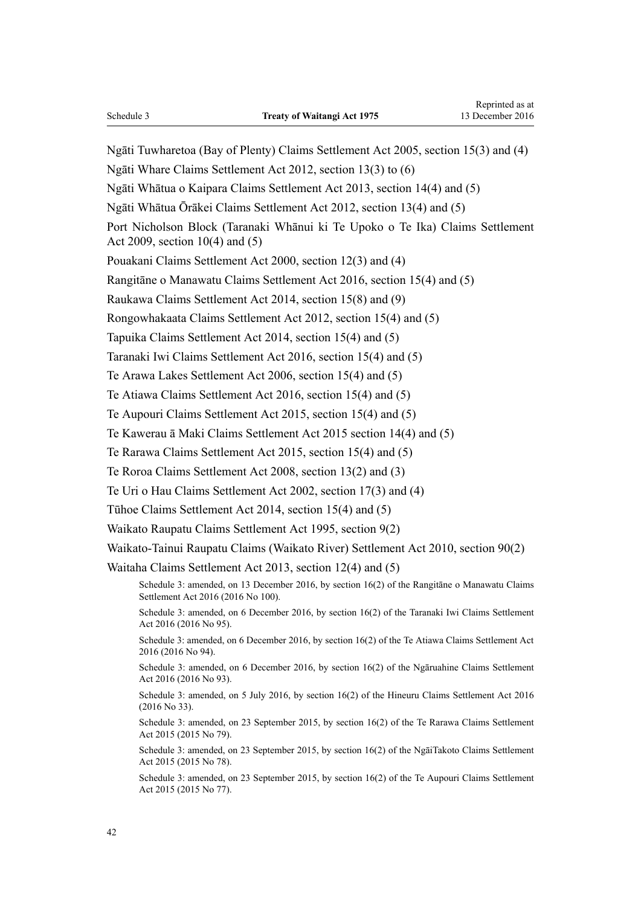Ngāti Tuwharetoa (Bay of Plenty) Claims Settlement Act 2005, [section 15\(3\) and \(4\)](http://prd-lgnz-nlb.prd.pco.net.nz/pdflink.aspx?id=DLM350064) Ngāti Whare Claims Settlement Act 2012, [section 13\(3\) to \(6\)](http://prd-lgnz-nlb.prd.pco.net.nz/pdflink.aspx?id=DLM4339900) Ngāti Whātua o Kaipara Claims Settlement Act 2013, [section 14\(4\) and \(5\)](http://prd-lgnz-nlb.prd.pco.net.nz/pdflink.aspx?id=DLM4653152) Ngāti Whātua Ōrākei Claims Settlement Act 2012, [section 13\(4\) and \(5\)](http://prd-lgnz-nlb.prd.pco.net.nz/pdflink.aspx?id=DLM4326111) Port Nicholson Block (Taranaki Whānui ki Te Upoko o Te Ika) Claims Settlement Act 2009, [section 10\(4\) and \(5\)](http://prd-lgnz-nlb.prd.pco.net.nz/pdflink.aspx?id=DLM1525860) Pouakani Claims Settlement Act 2000, [section 12\(3\) and \(4\)](http://prd-lgnz-nlb.prd.pco.net.nz/pdflink.aspx?id=DLM79840) Rangitāne o Manawatu Claims Settlement Act 2016, [section 15\(4\) and \(5\)](http://prd-lgnz-nlb.prd.pco.net.nz/pdflink.aspx?id=DLM6680029) Raukawa Claims Settlement Act 2014, [section 15\(8\) and \(9\)](http://prd-lgnz-nlb.prd.pco.net.nz/pdflink.aspx?id=DLM5323525) Rongowhakaata Claims Settlement Act 2012, [section 15\(4\) and \(5\)](http://prd-lgnz-nlb.prd.pco.net.nz/pdflink.aspx?id=DLM4321797) Tapuika Claims Settlement Act 2014, [section 15\(4\) and \(5\)](http://prd-lgnz-nlb.prd.pco.net.nz/pdflink.aspx?id=DLM5993534) Taranaki Iwi Claims Settlement Act 2016, [section 15\(4\) and \(5\)](http://prd-lgnz-nlb.prd.pco.net.nz/pdflink.aspx?id=DLM6684948) Te Arawa Lakes Settlement Act 2006, [section 15\(4\) and \(5\)](http://prd-lgnz-nlb.prd.pco.net.nz/pdflink.aspx?id=DLM381863) Te Atiawa Claims Settlement Act 2016, [section 15\(4\) and \(5\)](http://prd-lgnz-nlb.prd.pco.net.nz/pdflink.aspx?id=DLM6460125) Te Aupouri Claims Settlement Act 2015, [section 15\(4\) and \(5\)](http://prd-lgnz-nlb.prd.pco.net.nz/pdflink.aspx?id=DLM6576449) Te Kawerau ā Maki Claims Settlement Act 2015 [section 14\(4\) and \(5\)](http://prd-lgnz-nlb.prd.pco.net.nz/pdflink.aspx?id=DLM6055330) Te Rarawa Claims Settlement Act 2015, [section 15\(4\) and \(5\)](http://prd-lgnz-nlb.prd.pco.net.nz/pdflink.aspx?id=DLM6577551) Te Roroa Claims Settlement Act 2008, [section 13\(2\) and \(3\)](http://prd-lgnz-nlb.prd.pco.net.nz/pdflink.aspx?id=DLM1132448) Te Uri o Hau Claims Settlement Act 2002, [section 17\(3\) and \(4\)](http://prd-lgnz-nlb.prd.pco.net.nz/pdflink.aspx?id=DLM155545) Tūhoe Claims Settlement Act 2014, [section 15\(4\) and \(5\)](http://prd-lgnz-nlb.prd.pco.net.nz/pdflink.aspx?id=DLM5481332) Waikato Raupatu Claims Settlement Act 1995, [section 9\(2\)](http://prd-lgnz-nlb.prd.pco.net.nz/pdflink.aspx?id=DLM370556) Waikato-Tainui Raupatu Claims (Waikato River) Settlement Act 2010, [section 90\(2\)](http://prd-lgnz-nlb.prd.pco.net.nz/pdflink.aspx?id=DLM1630166) Waitaha Claims Settlement Act 2013, [section 12\(4\) and \(5\)](http://prd-lgnz-nlb.prd.pco.net.nz/pdflink.aspx?id=DLM4732469) Schedule 3: amended, on 13 December 2016, by [section 16\(2\)](http://prd-lgnz-nlb.prd.pco.net.nz/pdflink.aspx?id=DLM6680031) of the Rangitāne o Manawatu Claims Settlement Act 2016 (2016 No 100). Schedule 3: amended, on 6 December 2016, by [section 16\(2\)](http://prd-lgnz-nlb.prd.pco.net.nz/pdflink.aspx?id=DLM6684950) of the Taranaki Iwi Claims Settlement Act 2016 (2016 No 95). Schedule 3: amended, on 6 December 2016, by [section 16\(2\)](http://prd-lgnz-nlb.prd.pco.net.nz/pdflink.aspx?id=DLM6460127) of the Te Atiawa Claims Settlement Act 2016 (2016 No 94). Schedule 3: amended, on 6 December 2016, by [section 16\(2\)](http://prd-lgnz-nlb.prd.pco.net.nz/pdflink.aspx?id=DLM6536845) of the Ngāruahine Claims Settlement Act 2016 (2016 No 93). Schedule 3: amended, on 5 July 2016, by [section 16\(2\)](http://prd-lgnz-nlb.prd.pco.net.nz/pdflink.aspx?id=DLM6491733) of the Hineuru Claims Settlement Act 2016 (2016 No 33). Schedule 3: amended, on 23 September 2015, by [section 16\(2\)](http://prd-lgnz-nlb.prd.pco.net.nz/pdflink.aspx?id=DLM6577553) of the Te Rarawa Claims Settlement Act 2015 (2015 No 79). Schedule 3: amended, on 23 September 2015, by [section 16\(2\)](http://prd-lgnz-nlb.prd.pco.net.nz/pdflink.aspx?id=DLM6578451) of the NgāiTakoto Claims Settlement Act 2015 (2015 No 78).

Schedule 3: amended, on 23 September 2015, by [section 16\(2\)](http://prd-lgnz-nlb.prd.pco.net.nz/pdflink.aspx?id=DLM6576451) of the Te Aupouri Claims Settlement Act 2015 (2015 No 77).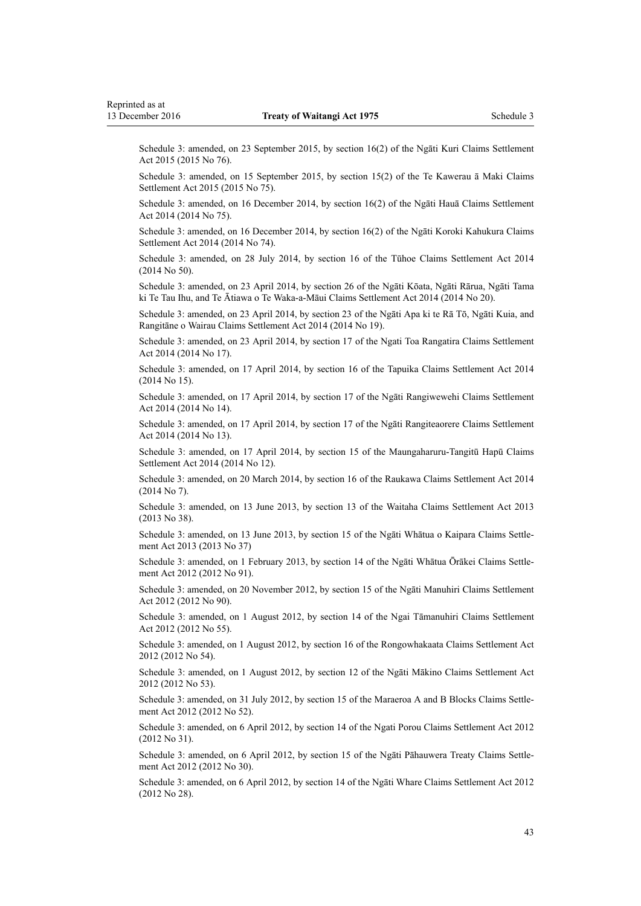Schedule 3: amended, on 23 September 2015, by [section 16\(2\)](http://prd-lgnz-nlb.prd.pco.net.nz/pdflink.aspx?id=DLM6056026) of the Ngāti Kuri Claims Settlement Act 2015 (2015 No 76).

Schedule 3: amended, on 15 September 2015, by [section 15\(2\)](http://prd-lgnz-nlb.prd.pco.net.nz/pdflink.aspx?id=DLM6055332) of the Te Kawerau ā Maki Claims Settlement Act 2015 (2015 No 75).

Schedule 3: amended, on 16 December 2014, by [section 16\(2\)](http://prd-lgnz-nlb.prd.pco.net.nz/pdflink.aspx?id=DLM5658036) of the Ngāti Hauā Claims Settlement Act 2014 (2014 No 75).

Schedule 3: amended, on 16 December 2014, by [section 16\(2\)](http://prd-lgnz-nlb.prd.pco.net.nz/pdflink.aspx?id=DLM5541026) of the Ngāti Koroki Kahukura Claims Settlement Act 2014 (2014 No 74).

Schedule 3: amended, on 28 July 2014, by [section 16](http://prd-lgnz-nlb.prd.pco.net.nz/pdflink.aspx?id=DLM5481334) of the Tūhoe Claims Settlement Act 2014 (2014 No 50).

Schedule 3: amended, on 23 April 2014, by [section 26](http://prd-lgnz-nlb.prd.pco.net.nz/pdflink.aspx?id=DLM5954840) of the Ngāti Kōata, Ngāti Rārua, Ngāti Tama ki Te Tau Ihu, and Te Ātiawa o Te Waka-a-Māui Claims Settlement Act 2014 (2014 No 20).

Schedule 3: amended, on 23 April 2014, by [section 23](http://prd-lgnz-nlb.prd.pco.net.nz/pdflink.aspx?id=DLM5214603) of the Ngāti Apa ki te Rā Tō, Ngāti Kuia, and Rangitāne o Wairau Claims Settlement Act 2014 (2014 No 19).

Schedule 3: amended, on 23 April 2014, by [section 17](http://prd-lgnz-nlb.prd.pco.net.nz/pdflink.aspx?id=DLM5953788) of the Ngati Toa Rangatira Claims Settlement Act 2014 (2014 No 17).

Schedule 3: amended, on 17 April 2014, by [section 16](http://prd-lgnz-nlb.prd.pco.net.nz/pdflink.aspx?id=DLM5993536) of the Tapuika Claims Settlement Act 2014 (2014 No 15).

Schedule 3: amended, on 17 April 2014, by [section 17](http://prd-lgnz-nlb.prd.pco.net.nz/pdflink.aspx?id=DLM5992529) of the Ngāti Rangiwewehi Claims Settlement Act 2014 (2014 No 14).

Schedule 3: amended, on 17 April 2014, by [section 17](http://prd-lgnz-nlb.prd.pco.net.nz/pdflink.aspx?id=DLM5324244) of the Ngāti Rangiteaorere Claims Settlement Act 2014 (2014 No 13).

Schedule 3: amended, on 17 April 2014, by [section 15](http://prd-lgnz-nlb.prd.pco.net.nz/pdflink.aspx?id=DLM5323042) of the Maungaharuru-Tangitū Hapū Claims Settlement Act 2014 (2014 No 12).

Schedule 3: amended, on 20 March 2014, by [section 16](http://prd-lgnz-nlb.prd.pco.net.nz/pdflink.aspx?id=DLM5323527) of the Raukawa Claims Settlement Act 2014 (2014 No 7).

Schedule 3: amended, on 13 June 2013, by [section 13](http://prd-lgnz-nlb.prd.pco.net.nz/pdflink.aspx?id=DLM4732471) of the Waitaha Claims Settlement Act 2013 (2013 No 38).

Schedule 3: amended, on 13 June 2013, by [section 15](http://prd-lgnz-nlb.prd.pco.net.nz/pdflink.aspx?id=DLM4653154) of the Ngāti Whātua o Kaipara Claims Settlement Act 2013 (2013 No 37)

Schedule 3: amended, on 1 February 2013, by [section 14](http://prd-lgnz-nlb.prd.pco.net.nz/pdflink.aspx?id=DLM4326112) of the Ngāti Whātua Ōrākei Claims Settlement Act 2012 (2012 No 91).

Schedule 3: amended, on 20 November 2012, by [section 15](http://prd-lgnz-nlb.prd.pco.net.nz/pdflink.aspx?id=DLM4326769) of the Ngāti Manuhiri Claims Settlement Act 2012 (2012 No 90).

Schedule 3: amended, on 1 August 2012, by [section 14](http://prd-lgnz-nlb.prd.pco.net.nz/pdflink.aspx?id=DLM3947198) of the Ngai Tāmanuhiri Claims Settlement Act 2012 (2012 No 55).

Schedule 3: amended, on 1 August 2012, by [section 16](http://prd-lgnz-nlb.prd.pco.net.nz/pdflink.aspx?id=DLM4321799) of the Rongowhakaata Claims Settlement Act 2012 (2012 No 54).

Schedule 3: amended, on 1 August 2012, by [section 12](http://prd-lgnz-nlb.prd.pco.net.nz/pdflink.aspx?id=DLM4062787) of the Ngāti Mākino Claims Settlement Act 2012 (2012 No 53).

Schedule 3: amended, on 31 July 2012, by [section 15](http://prd-lgnz-nlb.prd.pco.net.nz/pdflink.aspx?id=DLM4329060) of the Maraeroa A and B Blocks Claims Settlement Act 2012 (2012 No 52).

Schedule 3: amended, on 6 April 2012, by [section 14](http://prd-lgnz-nlb.prd.pco.net.nz/pdflink.aspx?id=DLM3548916) of the Ngati Porou Claims Settlement Act 2012 (2012 No 31).

Schedule 3: amended, on 6 April 2012, by [section 15](http://prd-lgnz-nlb.prd.pco.net.nz/pdflink.aspx?id=DLM3562647) of the Ngāti Pāhauwera Treaty Claims Settlement Act 2012 (2012 No 30).

Schedule 3: amended, on 6 April 2012, by [section 14](http://prd-lgnz-nlb.prd.pco.net.nz/pdflink.aspx?id=DLM4340066) of the Ngāti Whare Claims Settlement Act 2012 (2012 No 28).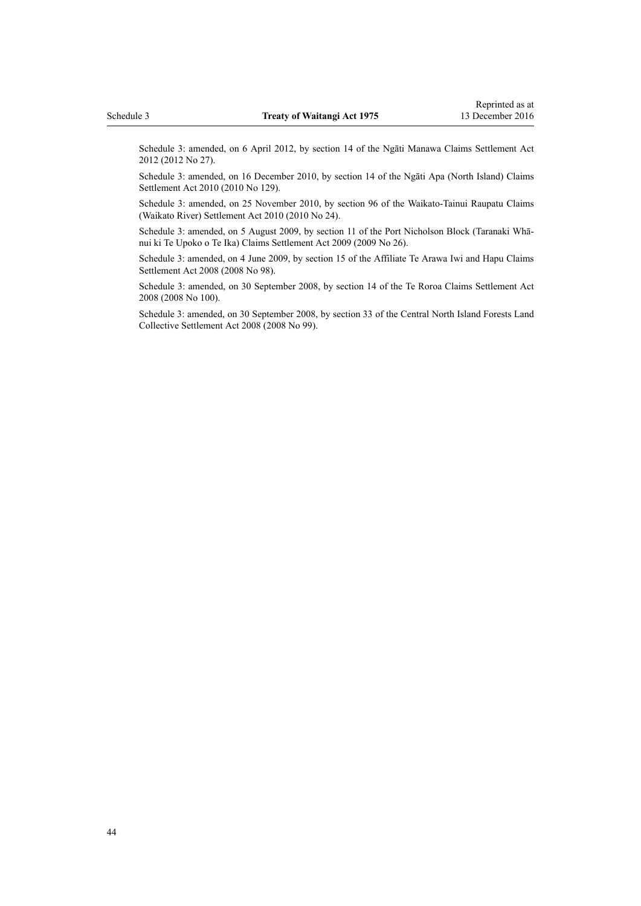Schedule 3: amended, on 6 April 2012, by [section 14](http://prd-lgnz-nlb.prd.pco.net.nz/pdflink.aspx?id=DLM3276964) of the Ngāti Manawa Claims Settlement Act 2012 (2012 No 27).

Schedule 3: amended, on 16 December 2010, by [section 14](http://prd-lgnz-nlb.prd.pco.net.nz/pdflink.aspx?id=DLM2274874) of the Ngāti Apa (North Island) Claims Settlement Act 2010 (2010 No 129).

Schedule 3: amended, on 25 November 2010, by [section 96](http://prd-lgnz-nlb.prd.pco.net.nz/pdflink.aspx?id=DLM1630172) of the Waikato-Tainui Raupatu Claims (Waikato River) Settlement Act 2010 (2010 No 24).

Schedule 3: amended, on 5 August 2009, by [section 11](http://prd-lgnz-nlb.prd.pco.net.nz/pdflink.aspx?id=DLM1525862) of the Port Nicholson Block (Taranaki Whānui ki Te Upoko o Te Ika) Claims Settlement Act 2009 (2009 No 26).

Schedule 3: amended, on 4 June 2009, by [section 15](http://prd-lgnz-nlb.prd.pco.net.nz/pdflink.aspx?id=DLM1375730) of the Affiliate Te Arawa Iwi and Hapu Claims Settlement Act 2008 (2008 No 98).

Schedule 3: amended, on 30 September 2008, by [section 14](http://prd-lgnz-nlb.prd.pco.net.nz/pdflink.aspx?id=DLM1580100) of the Te Roroa Claims Settlement Act 2008 (2008 No 100).

Schedule 3: amended, on 30 September 2008, by [section 33](http://prd-lgnz-nlb.prd.pco.net.nz/pdflink.aspx?id=DLM1378541) of the Central North Island Forests Land Collective Settlement Act 2008 (2008 No 99).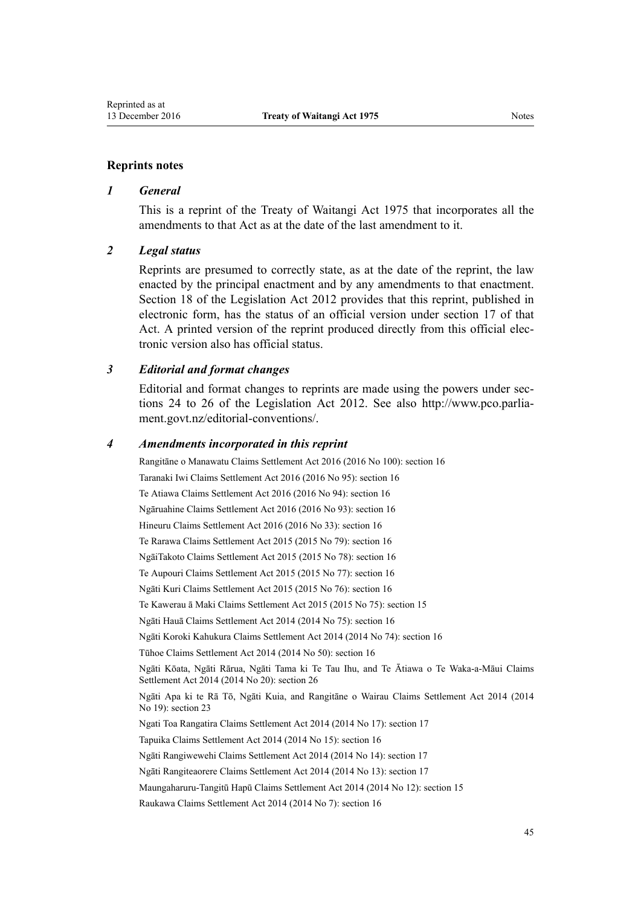#### **Reprints notes**

#### *1 General*

This is a reprint of the Treaty of Waitangi Act 1975 that incorporates all the amendments to that Act as at the date of the last amendment to it.

#### *2 Legal status*

Reprints are presumed to correctly state, as at the date of the reprint, the law enacted by the principal enactment and by any amendments to that enactment. [Section 18](http://prd-lgnz-nlb.prd.pco.net.nz/pdflink.aspx?id=DLM2998516) of the Legislation Act 2012 provides that this reprint, published in electronic form, has the status of an official version under [section 17](http://prd-lgnz-nlb.prd.pco.net.nz/pdflink.aspx?id=DLM2998515) of that Act. A printed version of the reprint produced directly from this official electronic version also has official status.

#### *3 Editorial and format changes*

Editorial and format changes to reprints are made using the powers under [sec](http://prd-lgnz-nlb.prd.pco.net.nz/pdflink.aspx?id=DLM2998532)[tions 24 to 26](http://prd-lgnz-nlb.prd.pco.net.nz/pdflink.aspx?id=DLM2998532) of the Legislation Act 2012. See also [http://www.pco.parlia](http://www.pco.parliament.govt.nz/editorial-conventions/)[ment.govt.nz/editorial-conventions/](http://www.pco.parliament.govt.nz/editorial-conventions/).

#### *4 Amendments incorporated in this reprint*

Rangitāne o Manawatu Claims Settlement Act 2016 (2016 No 100): [section 16](http://prd-lgnz-nlb.prd.pco.net.nz/pdflink.aspx?id=DLM6680031) Taranaki Iwi Claims Settlement Act 2016 (2016 No 95): [section 16](http://prd-lgnz-nlb.prd.pco.net.nz/pdflink.aspx?id=DLM6684950) Te Atiawa Claims Settlement Act 2016 (2016 No 94): [section 16](http://prd-lgnz-nlb.prd.pco.net.nz/pdflink.aspx?id=DLM6460127) Ngāruahine Claims Settlement Act 2016 (2016 No 93): [section 16](http://prd-lgnz-nlb.prd.pco.net.nz/pdflink.aspx?id=DLM6536845) Hineuru Claims Settlement Act 2016 (2016 No 33): [section 16](http://prd-lgnz-nlb.prd.pco.net.nz/pdflink.aspx?id=DLM6491733) Te Rarawa Claims Settlement Act 2015 (2015 No 79): [section 16](http://prd-lgnz-nlb.prd.pco.net.nz/pdflink.aspx?id=DLM6577553) NgāiTakoto Claims Settlement Act 2015 (2015 No 78): [section 16](http://prd-lgnz-nlb.prd.pco.net.nz/pdflink.aspx?id=DLM6578451) Te Aupouri Claims Settlement Act 2015 (2015 No 77): [section 16](http://prd-lgnz-nlb.prd.pco.net.nz/pdflink.aspx?id=DLM6576451) Ngāti Kuri Claims Settlement Act 2015 (2015 No 76): [section 16](http://prd-lgnz-nlb.prd.pco.net.nz/pdflink.aspx?id=DLM6056026) Te Kawerau ā Maki Claims Settlement Act 2015 (2015 No 75): [section 15](http://prd-lgnz-nlb.prd.pco.net.nz/pdflink.aspx?id=DLM6055332) Ngāti Hauā Claims Settlement Act 2014 (2014 No 75): [section 16](http://prd-lgnz-nlb.prd.pco.net.nz/pdflink.aspx?id=DLM5658036) Ngāti Koroki Kahukura Claims Settlement Act 2014 (2014 No 74): [section 16](http://prd-lgnz-nlb.prd.pco.net.nz/pdflink.aspx?id=DLM5541026) Tūhoe Claims Settlement Act 2014 (2014 No 50): [section 16](http://prd-lgnz-nlb.prd.pco.net.nz/pdflink.aspx?id=DLM5481334) Ngāti Kōata, Ngāti Rārua, Ngāti Tama ki Te Tau Ihu, and Te Ātiawa o Te Waka-a-Māui Claims Settlement Act 2014 (2014 No 20): [section 26](http://prd-lgnz-nlb.prd.pco.net.nz/pdflink.aspx?id=DLM5954840) Ngāti Apa ki te Rā Tō, Ngāti Kuia, and Rangitāne o Wairau Claims Settlement Act 2014 (2014 No 19): [section 23](http://prd-lgnz-nlb.prd.pco.net.nz/pdflink.aspx?id=DLM5214603) Ngati Toa Rangatira Claims Settlement Act 2014 (2014 No 17): [section 17](http://prd-lgnz-nlb.prd.pco.net.nz/pdflink.aspx?id=DLM5953788) Tapuika Claims Settlement Act 2014 (2014 No 15): [section 16](http://prd-lgnz-nlb.prd.pco.net.nz/pdflink.aspx?id=DLM5993536) Ngāti Rangiwewehi Claims Settlement Act 2014 (2014 No 14): [section 17](http://prd-lgnz-nlb.prd.pco.net.nz/pdflink.aspx?id=DLM5992529) Ngāti Rangiteaorere Claims Settlement Act 2014 (2014 No 13): [section 17](http://prd-lgnz-nlb.prd.pco.net.nz/pdflink.aspx?id=DLM5324244) Maungaharuru-Tangitū Hapū Claims Settlement Act 2014 (2014 No 12): [section 15](http://prd-lgnz-nlb.prd.pco.net.nz/pdflink.aspx?id=DLM5323042) Raukawa Claims Settlement Act 2014 (2014 No 7): [section 16](http://prd-lgnz-nlb.prd.pco.net.nz/pdflink.aspx?id=DLM5323527)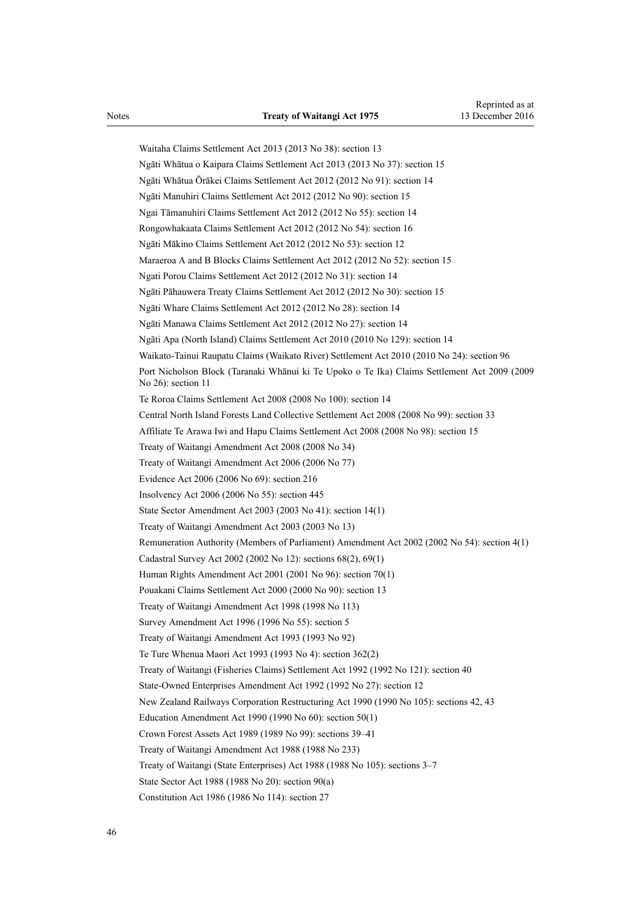Waitaha Claims Settlement Act 2013 (2013 No 38): [section 13](http://prd-lgnz-nlb.prd.pco.net.nz/pdflink.aspx?id=DLM4732471) Ngāti Whātua o Kaipara Claims Settlement Act 2013 (2013 No 37): [section 15](http://prd-lgnz-nlb.prd.pco.net.nz/pdflink.aspx?id=DLM4653154) Ngāti Whātua Ōrākei Claims Settlement Act 2012 (2012 No 91): [section 14](http://prd-lgnz-nlb.prd.pco.net.nz/pdflink.aspx?id=DLM4326112) Ngāti Manuhiri Claims Settlement Act 2012 (2012 No 90): [section 15](http://prd-lgnz-nlb.prd.pco.net.nz/pdflink.aspx?id=DLM4326769) Ngai Tāmanuhiri Claims Settlement Act 2012 (2012 No 55): [section 14](http://prd-lgnz-nlb.prd.pco.net.nz/pdflink.aspx?id=DLM3947198) Rongowhakaata Claims Settlement Act 2012 (2012 No 54): [section 16](http://prd-lgnz-nlb.prd.pco.net.nz/pdflink.aspx?id=DLM4321799) Ngāti Mākino Claims Settlement Act 2012 (2012 No 53): [section 12](http://prd-lgnz-nlb.prd.pco.net.nz/pdflink.aspx?id=DLM4062787) Maraeroa A and B Blocks Claims Settlement Act 2012 (2012 No 52): [section 15](http://prd-lgnz-nlb.prd.pco.net.nz/pdflink.aspx?id=DLM4329060) Ngati Porou Claims Settlement Act 2012 (2012 No 31): [section 14](http://prd-lgnz-nlb.prd.pco.net.nz/pdflink.aspx?id=DLM3548916) Ngāti Pāhauwera Treaty Claims Settlement Act 2012 (2012 No 30): [section 15](http://prd-lgnz-nlb.prd.pco.net.nz/pdflink.aspx?id=DLM3562647) Ngāti Whare Claims Settlement Act 2012 (2012 No 28): [section 14](http://prd-lgnz-nlb.prd.pco.net.nz/pdflink.aspx?id=DLM4340066) Ngāti Manawa Claims Settlement Act 2012 (2012 No 27): [section 14](http://prd-lgnz-nlb.prd.pco.net.nz/pdflink.aspx?id=DLM3276964) Ngāti Apa (North Island) Claims Settlement Act 2010 (2010 No 129): [section 14](http://prd-lgnz-nlb.prd.pco.net.nz/pdflink.aspx?id=DLM2274874) Waikato-Tainui Raupatu Claims (Waikato River) Settlement Act 2010 (2010 No 24): [section 96](http://prd-lgnz-nlb.prd.pco.net.nz/pdflink.aspx?id=DLM1630172) Port Nicholson Block (Taranaki Whānui ki Te Upoko o Te Ika) Claims Settlement Act 2009 (2009 No 26): [section 11](http://prd-lgnz-nlb.prd.pco.net.nz/pdflink.aspx?id=DLM1525862) Te Roroa Claims Settlement Act 2008 (2008 No 100): [section 14](http://prd-lgnz-nlb.prd.pco.net.nz/pdflink.aspx?id=DLM1580100) Central North Island Forests Land Collective Settlement Act 2008 (2008 No 99): [section 33](http://prd-lgnz-nlb.prd.pco.net.nz/pdflink.aspx?id=DLM1378541) Affiliate Te Arawa Iwi and Hapu Claims Settlement Act 2008 (2008 No 98): [section 15](http://prd-lgnz-nlb.prd.pco.net.nz/pdflink.aspx?id=DLM1375730) [Treaty of Waitangi Amendment Act 2008](http://prd-lgnz-nlb.prd.pco.net.nz/pdflink.aspx?id=DLM1297524) (2008 No 34) [Treaty of Waitangi Amendment Act 2006](http://prd-lgnz-nlb.prd.pco.net.nz/pdflink.aspx?id=DLM398298) (2006 No 77) Evidence Act 2006 (2006 No 69): [section 216](http://prd-lgnz-nlb.prd.pco.net.nz/pdflink.aspx?id=DLM394552) Insolvency Act 2006 (2006 No 55): [section 445](http://prd-lgnz-nlb.prd.pco.net.nz/pdflink.aspx?id=DLM387857) State Sector Amendment Act 2003 (2003 No 41): [section 14\(1\)](http://prd-lgnz-nlb.prd.pco.net.nz/pdflink.aspx?id=DLM201378) [Treaty of Waitangi Amendment Act 2003](http://prd-lgnz-nlb.prd.pco.net.nz/pdflink.aspx?id=DLM189230) (2003 No 13) Remuneration Authority (Members of Parliament) Amendment Act 2002 (2002 No 54): [section 4\(1\)](http://prd-lgnz-nlb.prd.pco.net.nz/pdflink.aspx?id=DLM167443) Cadastral Survey Act 2002 (2002 No 12): [sections 68\(2\),](http://prd-lgnz-nlb.prd.pco.net.nz/pdflink.aspx?id=DLM142638) [69\(1\)](http://prd-lgnz-nlb.prd.pco.net.nz/pdflink.aspx?id=DLM142639) Human Rights Amendment Act 2001 (2001 No 96): [section 70\(1\)](http://prd-lgnz-nlb.prd.pco.net.nz/pdflink.aspx?id=DLM122579) Pouakani Claims Settlement Act 2000 (2000 No 90): [section 13](http://prd-lgnz-nlb.prd.pco.net.nz/pdflink.aspx?id=DLM79841) [Treaty of Waitangi Amendment Act 1998](http://prd-lgnz-nlb.prd.pco.net.nz/pdflink.aspx?id=DLM18047) (1998 No 113) Survey Amendment Act 1996 (1996 No 55): section 5 Treaty of Waitangi Amendment Act 1993 (1993 No 92) Te Ture Whenua Maori Act 1993 (1993 No 4): [section 362\(2\)](http://prd-lgnz-nlb.prd.pco.net.nz/pdflink.aspx?id=DLM293026) Treaty of Waitangi (Fisheries Claims) Settlement Act 1992 (1992 No 121): [section 40](http://prd-lgnz-nlb.prd.pco.net.nz/pdflink.aspx?id=DLM281822) State-Owned Enterprises Amendment Act 1992 (1992 No 27): [section 12](http://prd-lgnz-nlb.prd.pco.net.nz/pdflink.aspx?id=DLM261076) New Zealand Railways Corporation Restructuring Act 1990 (1990 No 105): [sections 42, 43](http://prd-lgnz-nlb.prd.pco.net.nz/pdflink.aspx?id=DLM223148) Education Amendment Act 1990 (1990 No 60): [section 50\(1\)](http://prd-lgnz-nlb.prd.pco.net.nz/pdflink.aspx?id=DLM212679) Crown Forest Assets Act 1989 (1989 No 99): [sections 39–41](http://prd-lgnz-nlb.prd.pco.net.nz/pdflink.aspx?id=DLM192362) Treaty of Waitangi Amendment Act 1988 (1988 No 233) Treaty of Waitangi (State Enterprises) Act 1988 (1988 No 105): [sections 3–7](http://prd-lgnz-nlb.prd.pco.net.nz/pdflink.aspx?id=DLM132568) State Sector Act 1988 (1988 No 20): [section 90\(a\)](http://prd-lgnz-nlb.prd.pco.net.nz/pdflink.aspx?id=DLM130377) Constitution Act 1986 (1986 No 114): [section 27](http://prd-lgnz-nlb.prd.pco.net.nz/pdflink.aspx?id=DLM94261)